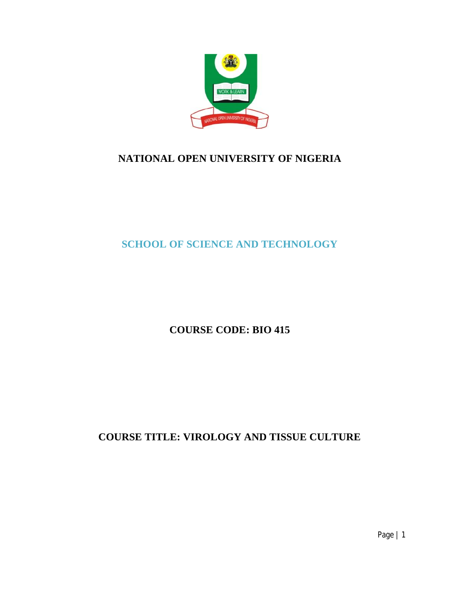

# **NATIONAL OPEN UNIVERSITY OF NIGERIA**

**SCHOOL OF SCIENCE AND TECHNOLOGY**

**COURSE CODE: BIO 415**

**COURSE TITLE: VIROLOGY AND TISSUE CULTURE**

Page | 1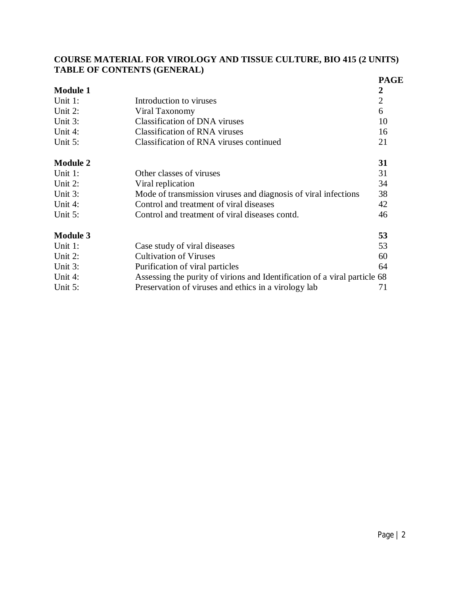# **COURSE MATERIAL FOR VIROLOGY AND TISSUE CULTURE, BIO 415 (2 UNITS) TABLE OF CONTENTS (GENERAL)**

|                 | Thomas of Contractive (Ontainment)                                        |                                 |
|-----------------|---------------------------------------------------------------------------|---------------------------------|
| <b>Module 1</b> |                                                                           | <b>PAGE</b><br>$\boldsymbol{2}$ |
| Unit 1:         | Introduction to viruses                                                   | $\overline{2}$                  |
| Unit 2:         | Viral Taxonomy                                                            | 6                               |
|                 |                                                                           |                                 |
| Unit 3:         | <b>Classification of DNA viruses</b>                                      | 10                              |
| Unit 4:         | <b>Classification of RNA viruses</b>                                      | 16                              |
| Unit 5:         | Classification of RNA viruses continued                                   | 21                              |
| <b>Module 2</b> |                                                                           | 31                              |
| Unit 1:         | Other classes of viruses                                                  | 31                              |
| Unit 2:         | Viral replication                                                         | 34                              |
| Unit 3:         | Mode of transmission viruses and diagnosis of viral infections            | 38                              |
| Unit 4:         | Control and treatment of viral diseases                                   | 42                              |
| Unit 5:         | Control and treatment of viral diseases contd.                            | 46                              |
| <b>Module 3</b> |                                                                           | 53                              |
| Unit 1:         | Case study of viral diseases                                              | 53                              |
| Unit 2:         | <b>Cultivation of Viruses</b>                                             | 60                              |
| Unit 3:         | Purification of viral particles                                           | 64                              |
| Unit 4:         | Assessing the purity of virions and Identification of a viral particle 68 |                                 |
| Unit 5:         | Preservation of viruses and ethics in a virology lab                      | 71                              |
|                 |                                                                           |                                 |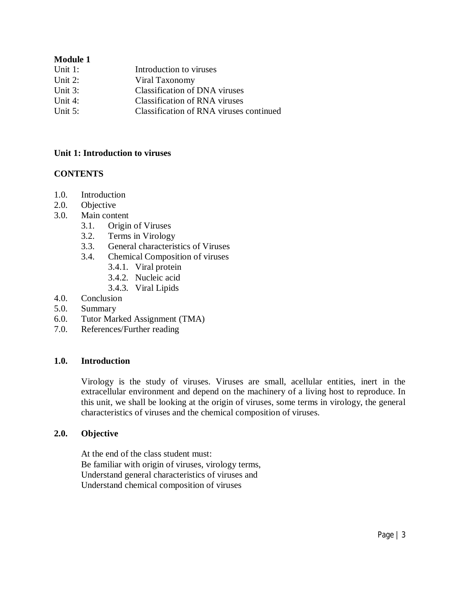# **Module 1**

| Unit $1$ : | Introduction to viruses                 |
|------------|-----------------------------------------|
| Unit $2$ : | Viral Taxonomy                          |
| Unit $3$ : | Classification of DNA viruses           |
| Unit $4$ : | Classification of RNA viruses           |
| Unit $5$ : | Classification of RNA viruses continued |
|            |                                         |

### **Unit 1: Introduction to viruses**

# **CONTENTS**

- 1.0. Introduction
- 2.0. Objective
- 3.0. Main content
	- 3.1. Origin of Viruses
	- 3.2. Terms in Virology
	- 3.3. General characteristics of Viruses
	- 3.4. Chemical Composition of viruses
		- 3.4.1. Viral protein
		- 3.4.2. Nucleic acid
		- 3.4.3. Viral Lipids
- 4.0. Conclusion
- 5.0. Summary
- 6.0. Tutor Marked Assignment (TMA)
- 7.0. References/Further reading

### **1.0. Introduction**

Virology is the study of viruses. Viruses are small, acellular entities, inert in the extracellular environment and depend on the machinery of a living host to reproduce. In this unit, we shall be looking at the origin of viruses, some terms in virology, the general characteristics of viruses and the chemical composition of viruses.

#### **2.0. Objective**

At the end of the class student must: Be familiar with origin of viruses, virology terms, Understand general characteristics of viruses and Understand chemical composition of viruses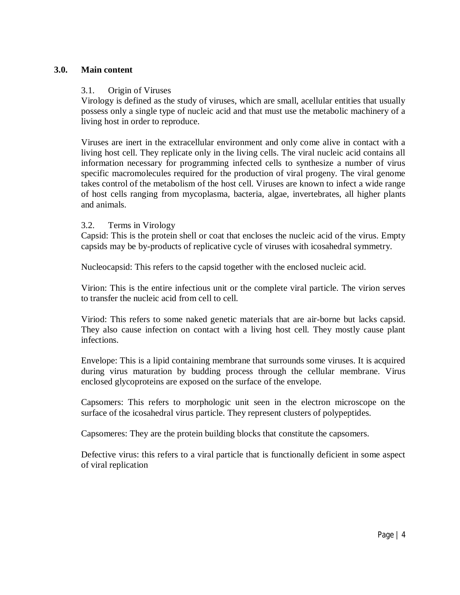### **3.0. Main content**

#### 3.1. Origin of Viruses

Virology is defined as the study of viruses, which are small, acellular entities that usually possess only a single type of nucleic acid and that must use the metabolic machinery of a living host in order to reproduce.

Viruses are inert in the extracellular environment and only come alive in contact with a living host cell. They replicate only in the living cells. The viral nucleic acid contains all information necessary for programming infected cells to synthesize a number of virus specific macromolecules required for the production of viral progeny. The viral genome takes control of the metabolism of the host cell. Viruses are known to infect a wide range of host cells ranging from mycoplasma, bacteria, algae, invertebrates, all higher plants and animals.

#### 3.2. Terms in Virology

Capsid: This is the protein shell or coat that encloses the nucleic acid of the virus. Empty capsids may be by-products of replicative cycle of viruses with icosahedral symmetry.

Nucleocapsid: This refers to the capsid together with the enclosed nucleic acid.

Virion: This is the entire infectious unit or the complete viral particle. The virion serves to transfer the nucleic acid from cell to cell.

Viriod: This refers to some naked genetic materials that are air-borne but lacks capsid. They also cause infection on contact with a living host cell. They mostly cause plant infections.

Envelope: This is a lipid containing membrane that surrounds some viruses. It is acquired during virus maturation by budding process through the cellular membrane. Virus enclosed glycoproteins are exposed on the surface of the envelope.

Capsomers: This refers to morphologic unit seen in the electron microscope on the surface of the icosahedral virus particle. They represent clusters of polypeptides.

Capsomeres: They are the protein building blocks that constitute the capsomers.

Defective virus: this refers to a viral particle that is functionally deficient in some aspect of viral replication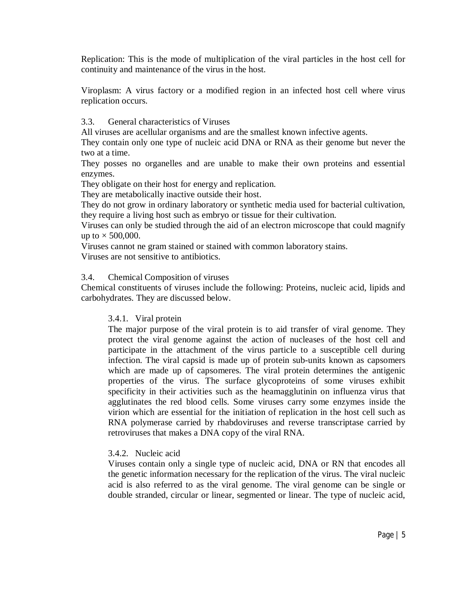Replication: This is the mode of multiplication of the viral particles in the host cell for continuity and maintenance of the virus in the host.

Viroplasm: A virus factory or a modified region in an infected host cell where virus replication occurs.

# 3.3. General characteristics of Viruses

All viruses are acellular organisms and are the smallest known infective agents.

They contain only one type of nucleic acid DNA or RNA as their genome but never the two at a time.

They posses no organelles and are unable to make their own proteins and essential enzymes.

They obligate on their host for energy and replication.

They are metabolically inactive outside their host.

They do not grow in ordinary laboratory or synthetic media used for bacterial cultivation, they require a living host such as embryo or tissue for their cultivation.

Viruses can only be studied through the aid of an electron microscope that could magnify up to  $\times$  500,000.

Viruses cannot ne gram stained or stained with common laboratory stains. Viruses are not sensitive to antibiotics.

#### 3.4. Chemical Composition of viruses

Chemical constituents of viruses include the following: Proteins, nucleic acid, lipids and carbohydrates. They are discussed below.

#### 3.4.1. Viral protein

The major purpose of the viral protein is to aid transfer of viral genome. They protect the viral genome against the action of nucleases of the host cell and participate in the attachment of the virus particle to a susceptible cell during infection. The viral capsid is made up of protein sub-units known as capsomers which are made up of capsomeres. The viral protein determines the antigenic properties of the virus. The surface glycoproteins of some viruses exhibit specificity in their activities such as the heamagglutinin on influenza virus that agglutinates the red blood cells. Some viruses carry some enzymes inside the virion which are essential for the initiation of replication in the host cell such as RNA polymerase carried by rhabdoviruses and reverse transcriptase carried by retroviruses that makes a DNA copy of the viral RNA.

#### 3.4.2. Nucleic acid

Viruses contain only a single type of nucleic acid, DNA or RN that encodes all the genetic information necessary for the replication of the virus. The viral nucleic acid is also referred to as the viral genome. The viral genome can be single or double stranded, circular or linear, segmented or linear. The type of nucleic acid,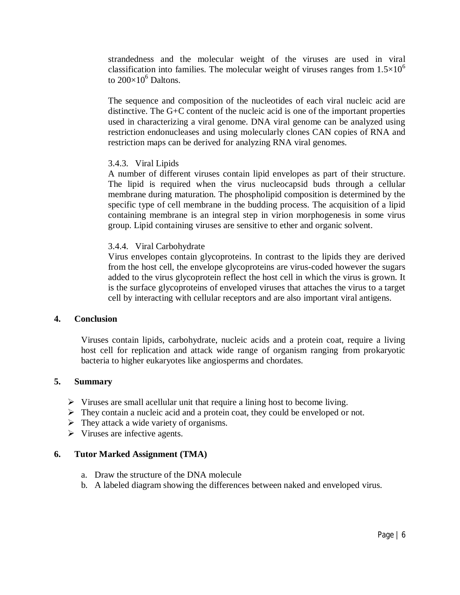strandedness and the molecular weight of the viruses are used in viral classification into families. The molecular weight of viruses ranges from  $1.5 \times 10^6$ to  $200\times10^6$  Daltons.

The sequence and composition of the nucleotides of each viral nucleic acid are distinctive. The G+C content of the nucleic acid is one of the important properties used in characterizing a viral genome. DNA viral genome can be analyzed using restriction endonucleases and using molecularly clones CAN copies of RNA and restriction maps can be derived for analyzing RNA viral genomes.

# 3.4.3. Viral Lipids

A number of different viruses contain lipid envelopes as part of their structure. The lipid is required when the virus nucleocapsid buds through a cellular membrane during maturation. The phospholipid composition is determined by the specific type of cell membrane in the budding process. The acquisition of a lipid containing membrane is an integral step in virion morphogenesis in some virus group. Lipid containing viruses are sensitive to ether and organic solvent.

#### 3.4.4. Viral Carbohydrate

Virus envelopes contain glycoproteins. In contrast to the lipids they are derived from the host cell, the envelope glycoproteins are virus-coded however the sugars added to the virus glycoprotein reflect the host cell in which the virus is grown. It is the surface glycoproteins of enveloped viruses that attaches the virus to a target cell by interacting with cellular receptors and are also important viral antigens.

#### **4. Conclusion**

Viruses contain lipids, carbohydrate, nucleic acids and a protein coat, require a living host cell for replication and attack wide range of organism ranging from prokaryotic bacteria to higher eukaryotes like angiosperms and chordates.

#### **5. Summary**

- $\triangleright$  Viruses are small acellular unit that require a lining host to become living.
- $\triangleright$  They contain a nucleic acid and a protein coat, they could be enveloped or not.
- $\triangleright$  They attack a wide variety of organisms.
- $\triangleright$  Viruses are infective agents.

#### **6. Tutor Marked Assignment (TMA)**

- a. Draw the structure of the DNA molecule
- b. A labeled diagram showing the differences between naked and enveloped virus.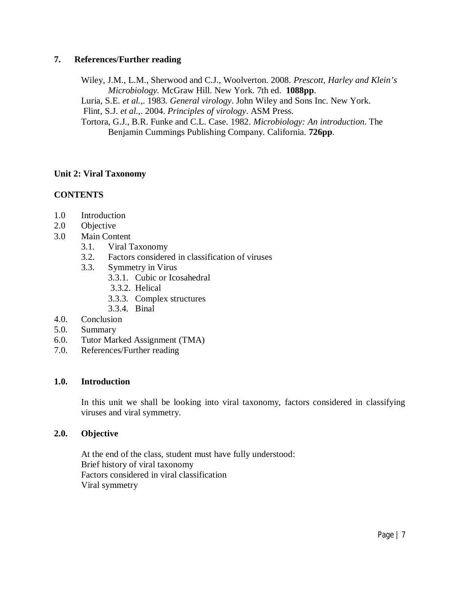# **7. References/Further reading**

Wiley, J.M., L.M., Sherwood and C.J., Woolverton. 2008. *Prescott, Harley and Klein's Microbiology.* McGraw Hill. New York. 7th ed. **1088pp**. Luria, S.E*. et al.*,. 1983. *General virology*. John Wiley and Sons Inc. New York. Flint, S.J. *et al.*,. 2004. *Principles of virology*. ASM Press. Tortora, G.J., B.R. Funke and C.L. Case. 1982. *Microbiology: An introduction*. The Benjamin Cummings Publishing Company. California. **726pp**.

# **Unit 2: Viral Taxonomy**

# **CONTENTS**

- 1.0 Introduction
- 2.0 Objective
- 3.0 Main Content
	- 3.1. Viral Taxonomy
	- 3.2. Factors considered in classification of viruses
	- 3.3. Symmetry in Virus
		- 3.3.1. Cubic or Icosahedral
		- 3.3.2. Helical
		- 3.3.3. Complex structures
		- 3.3.4. Binal
- 4.0. Conclusion
- 5.0. Summary
- 6.0. Tutor Marked Assignment (TMA)
- 7.0. References/Further reading

### **1.0. Introduction**

In this unit we shall be looking into viral taxonomy, factors considered in classifying viruses and viral symmetry.

### **2.0. Objective**

At the end of the class, student must have fully understood: Brief history of viral taxonomy Factors considered in viral classification Viral symmetry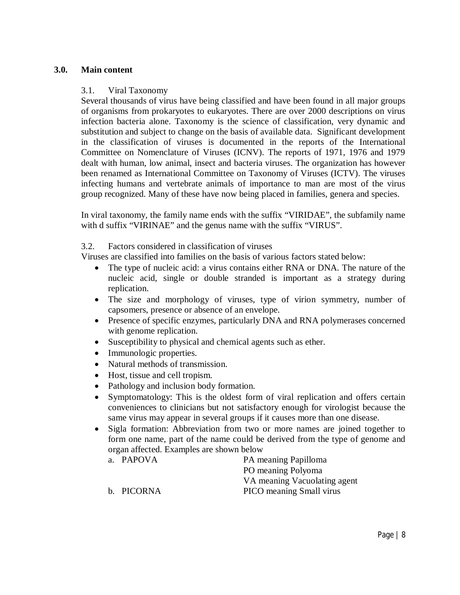### **3.0. Main content**

#### 3.1. Viral Taxonomy

Several thousands of virus have being classified and have been found in all major groups of organisms from prokaryotes to eukaryotes. There are over 2000 descriptions on virus infection bacteria alone. Taxonomy is the science of classification, very dynamic and substitution and subject to change on the basis of available data. Significant development in the classification of viruses is documented in the reports of the International Committee on Nomenclature of Viruses (ICNV). The reports of 1971, 1976 and 1979 dealt with human, low animal, insect and bacteria viruses. The organization has however been renamed as International Committee on Taxonomy of Viruses (ICTV). The viruses infecting humans and vertebrate animals of importance to man are most of the virus group recognized. Many of these have now being placed in families, genera and species.

In viral taxonomy, the family name ends with the suffix "VIRIDAE", the subfamily name with d suffix "VIRINAE" and the genus name with the suffix "VIRUS".

3.2. Factors considered in classification of viruses

Viruses are classified into families on the basis of various factors stated below:

- The type of nucleic acid: a virus contains either RNA or DNA. The nature of the nucleic acid, single or double stranded is important as a strategy during replication.
- The size and morphology of viruses, type of virion symmetry, number of capsomers, presence or absence of an envelope.
- Presence of specific enzymes, particularly DNA and RNA polymerases concerned with genome replication.
- Susceptibility to physical and chemical agents such as ether.
- Immunologic properties.
- Natural methods of transmission.
- Host, tissue and cell tropism.
- Pathology and inclusion body formation.
- Symptomatology: This is the oldest form of viral replication and offers certain conveniences to clinicians but not satisfactory enough for virologist because the same virus may appear in several groups if it causes more than one disease.
- Sigla formation: Abbreviation from two or more names are joined together to form one name, part of the name could be derived from the type of genome and organ affected. Examples are shown below
	- a. PAPOVA PA meaning Papilloma PO meaning Polyoma VA meaning Vacuolating agent b. PICORNA PICO meaning Small virus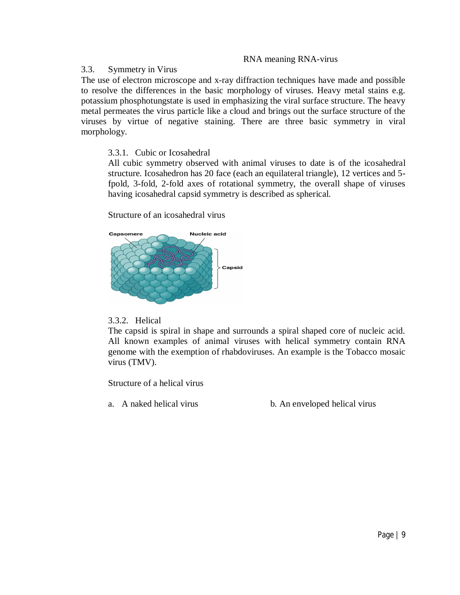#### RNA meaning RNA-virus

#### 3.3. Symmetry in Virus

The use of electron microscope and x-ray diffraction techniques have made and possible to resolve the differences in the basic morphology of viruses. Heavy metal stains e.g. potassium phosphotungstate is used in emphasizing the viral surface structure. The heavy metal permeates the virus particle like a cloud and brings out the surface structure of the viruses by virtue of negative staining. There are three basic symmetry in viral morphology.

# 3.3.1. Cubic or Icosahedral

All cubic symmetry observed with animal viruses to date is of the icosahedral structure. Icosahedron has 20 face (each an equilateral triangle), 12 vertices and 5 fpold, 3-fold, 2-fold axes of rotational symmetry, the overall shape of viruses having icosahedral capsid symmetry is described as spherical.

Structure of an icosahedral virus



# 3.3.2. Helical

The capsid is spiral in shape and surrounds a spiral shaped core of nucleic acid. All known examples of animal viruses with helical symmetry contain RNA genome with the exemption of rhabdoviruses. An example is the Tobacco mosaic virus (TMV).

Structure of a helical virus

a. A naked helical virus b. An enveloped helical virus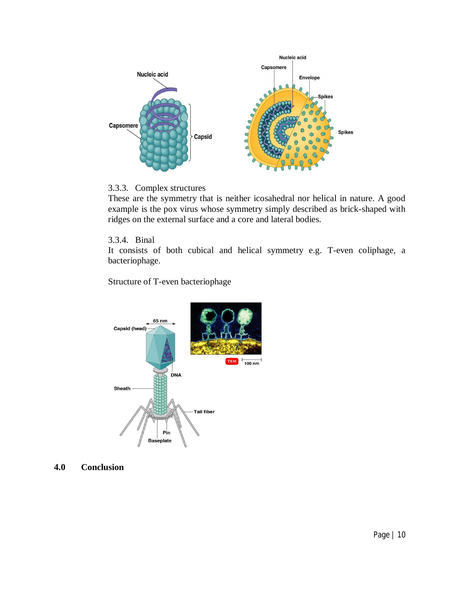

#### 3.3.3. Complex structures

These are the symmetry that is neither icosahedral nor helical in nature. A good example is the pox virus whose symmetry simply described as brick-shaped with ridges on the external surface and a core and lateral bodies.

#### 3.3.4. Binal

It consists of both cubical and helical symmetry e.g. T-even coliphage, a bacteriophage.

Structure of T-even bacteriophage



# **4.0 Conclusion**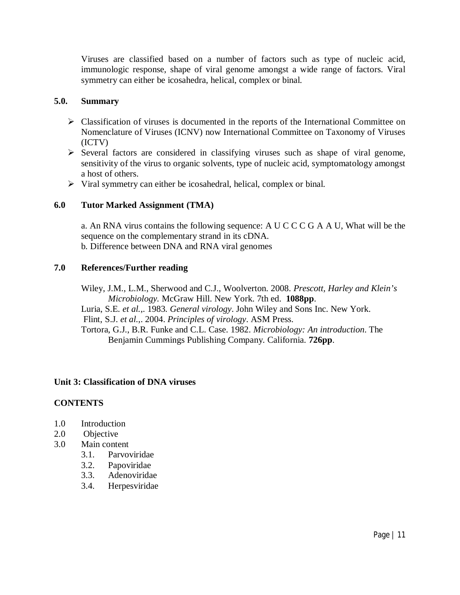Viruses are classified based on a number of factors such as type of nucleic acid, immunologic response, shape of viral genome amongst a wide range of factors. Viral symmetry can either be icosahedra, helical, complex or binal.

# **5.0. Summary**

- Classification of viruses is documented in the reports of the International Committee on Nomenclature of Viruses (ICNV) now International Committee on Taxonomy of Viruses (ICTV)
- $\triangleright$  Several factors are considered in classifying viruses such as shape of viral genome, sensitivity of the virus to organic solvents, type of nucleic acid, symptomatology amongst a host of others.
- $\triangleright$  Viral symmetry can either be icosahedral, helical, complex or binal.

# **6.0 Tutor Marked Assignment (TMA)**

a. An RNA virus contains the following sequence: A U C C C G A A U, What will be the sequence on the complementary strand in its cDNA. b. Difference between DNA and RNA viral genomes

# **7.0 References/Further reading**

Wiley, J.M., L.M., Sherwood and C.J., Woolverton. 2008. *Prescott, Harley and Klein's Microbiology.* McGraw Hill. New York. 7th ed. **1088pp**.

Luria, S.E*. et al.*,. 1983. *General virology*. John Wiley and Sons Inc. New York.

Flint, S.J. *et al.*,. 2004. *Principles of virology*. ASM Press.

Tortora, G.J., B.R. Funke and C.L. Case. 1982. *Microbiology: An introduction*. The Benjamin Cummings Publishing Company. California. **726pp**.

# **Unit 3: Classification of DNA viruses**

# **CONTENTS**

- 1.0 Introduction
- 2.0 Objective
- 3.0 Main content
	- 3.1. Parvoviridae
	- 3.2. Papoviridae
	- 3.3. Adenoviridae
	- 3.4. Herpesviridae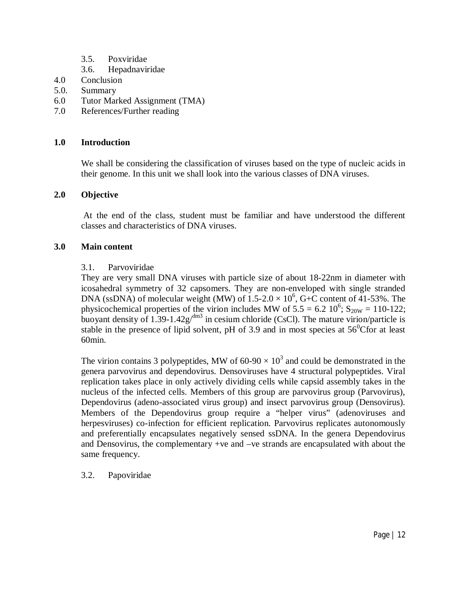- 3.5. Poxviridae
- 3.6. Hepadnaviridae
- 4.0 Conclusion
- 5.0. Summary
- 6.0 Tutor Marked Assignment (TMA)
- 7.0 References/Further reading

# **1.0 Introduction**

We shall be considering the classification of viruses based on the type of nucleic acids in their genome. In this unit we shall look into the various classes of DNA viruses.

# **2.0 Objective**

At the end of the class, student must be familiar and have understood the different classes and characteristics of DNA viruses.

# **3.0 Main content**

# 3.1. Parvoviridae

They are very small DNA viruses with particle size of about 18-22nm in diameter with icosahedral symmetry of 32 capsomers. They are non-enveloped with single stranded DNA (ssDNA) of molecular weight (MW) of  $1.5{\text -}2.0 \times 10^6$ , G+C content of 41-53%. The physicochemical properties of the virion includes MW of  $5.5 = 6.2 \times 10^6$ ;  $S_{20W} = 110-122$ ; buoyant density of 1.39-1.42g/dm<sup>3</sup> in cesium chloride (CsCl). The mature virion/particle is stable in the presence of lipid solvent, pH of 3.9 and in most species at  $56^{\circ}$ Cfor at least 60min.

The virion contains 3 polypeptides, MW of 60-90  $\times$  10<sup>3</sup> and could be demonstrated in the genera parvovirus and dependovirus. Densoviruses have 4 structural polypeptides. Viral replication takes place in only actively dividing cells while capsid assembly takes in the nucleus of the infected cells. Members of this group are parvovirus group (Parvovirus), Dependovirus (adeno-associated virus group) and insect parvovirus group (Densovirus). Members of the Dependovirus group require a "helper virus" (adenoviruses and herpesviruses) co-infection for efficient replication. Parvovirus replicates autonomously and preferentially encapsulates negatively sensed ssDNA. In the genera Dependovirus and Densovirus, the complementary +ve and –ve strands are encapsulated with about the same frequency.

3.2. Papoviridae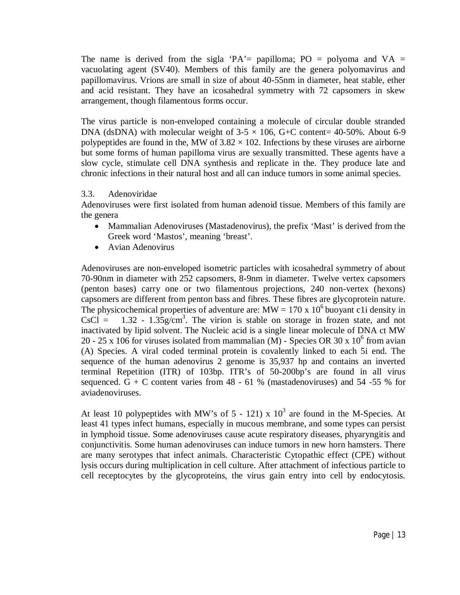The name is derived from the sigla 'PA'= papilloma; PO = polyoma and  $VA =$ vacuolating agent (SV40). Members of this family are the genera polyomavirus and papillomavirus. Vrions are small in size of about 40-55nm in diameter, heat stable, ether and acid resistant. They have an icosahedral symmetry with 72 capsomers in skew arrangement, though filamentous forms occur.

The virus particle is non-enveloped containing a molecule of circular double stranded DNA (dsDNA) with molecular weight of  $3-5 \times 106$ , G+C content= 40-50%. About 6-9 polypeptides are found in the, MW of  $3.82 \times 102$ . Infections by these viruses are airborne but some forms of human papilloma virus are sexually transmitted. These agents have a slow cycle, stimulate cell DNA synthesis and replicate in the. They produce late and chronic infections in their natural host and all can induce tumors in some animal species.

# 3.3. Adenoviridae

Adenoviruses were first isolated from human adenoid tissue. Members of this family are the genera

- Mammalian Adenoviruses (Mastadenovirus), the prefix 'Mast' is derived from the Greek word 'Mastos', meaning 'breast'.
- Avian Adenovirus

Adenoviruses are non-enveloped isometric particles with icosahedral symmetry of about 70-90nm in diameter with 252 capsomers, 8-9nm in diameter. Twelve vertex capsomers (penton bases) carry one or two filamentous projections, 240 non-vertex (hexons) capsomers are different from penton bass and fibres. These fibres are glycoprotein nature. The physicochemical properties of adventure are:  $MW = 170 \times 10^6$  buoyant c1i density in  $CsCI = 1.32 - 1.35g/cm<sup>3</sup>$ . The virion is stable on storage in frozen state, and not inactivated by lipid solvent. The Nucleic acid is a single linear molecule of DNA ct MW 20 - 25 x 106 for viruses isolated from mammalian (M) - Species OR 30 x  $10^6$  from avian (A) Species. A viral coded terminal protein is covalently linked to each 5i end. The sequence of the human adenovirus 2 genome is 35,937 hp and contains an inverted terminal Repetition (ITR) of 103bp. ITR's of 50-200bp's are found in all virus sequenced.  $G + C$  content varies from 48 - 61 % (mastadenoviruses) and 54 -55 % for aviadenoviruses.

At least 10 polypeptides with MW's of  $5 - 121$ ) x  $10<sup>3</sup>$  are found in the M-Species. At least 41 types infect humans, especially in mucous membrane, and some types can persist in lymphoid tissue. Some adenoviruses cause acute respiratory diseases, phyaryngitis and conjunctivitis. Some human adenoviruses can induce tumors in new horn hamsters. There are many serotypes that infect animals. Characteristic Cytopathic effect (CPE) without lysis occurs during multiplication in cell culture. After attachment of infectious particle to cell receptocytes by the glycoproteins, the virus gain entry into cell by endocytosis.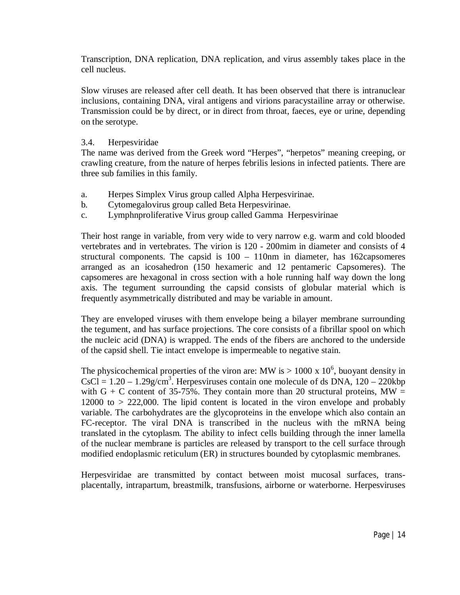Transcription, DNA replication, DNA replication, and virus assembly takes place in the cell nucleus.

Slow viruses are released after cell death. It has been observed that there is intranuclear inclusions, containing DNA, viral antigens and virions paracystailine array or otherwise. Transmission could be by direct, or in direct from throat, faeces, eye or urine, depending on the serotype.

#### 3.4. Herpesviridae

The name was derived from the Greek word "Herpes", "herpetos" meaning creeping, or crawling creature, from the nature of herpes febrilis lesions in infected patients. There are three sub families in this family.

- a. Herpes Simplex Virus group called Alpha Herpesvirinae.
- b. Cytomegalovirus group called Beta Herpesvirinae.
- c. Lymphnproliferative Virus group called Gamma Herpesvirinae

Their host range in variable, from very wide to very narrow e.g. warm and cold blooded vertebrates and in vertebrates. The virion is 120 - 200mim in diameter and consists of 4 structural components. The capsid is  $100 - 110$  nm in diameter, has 162capsomeres arranged as an icosahedron (150 hexameric and 12 pentameric Capsomeres). The capsomeres are hexagonal in cross section with a hole running half way down the long axis. The tegument surrounding the capsid consists of globular material which is frequently asymmetrically distributed and may be variable in amount.

They are enveloped viruses with them envelope being a bilayer membrane surrounding the tegument, and has surface projections. The core consists of a fibrillar spool on which the nucleic acid (DNA) is wrapped. The ends of the fibers are anchored to the underside of the capsid shell. Tie intact envelope is impermeable to negative stain.

The physicochemical properties of the viron are: MW is  $> 1000 \times 10^6$ , buoyant density in  $CsCl = 1.20 - 1.29g/cm<sup>3</sup>$ . Herpesviruses contain one molecule of ds DNA,  $120 - 220kbp$ with G + C content of 35-75%. They contain more than 20 structural proteins,  $MW =$ 12000 to > 222,000. The lipid content is located in the viron envelope and probably variable. The carbohydrates are the glycoproteins in the envelope which also contain an FC-receptor. The viral DNA is transcribed in the nucleus with the mRNA being translated in the cytoplasm. The ability to infect cells building through the inner lamella of the nuclear membrane is particles are released by transport to the cell surface through modified endoplasmic reticulum (ER) in structures bounded by cytoplasmic membranes.

Herpesviridae are transmitted by contact between moist mucosal surfaces, transplacentally, intrapartum, breastmilk, transfusions, airborne or waterborne. Herpesviruses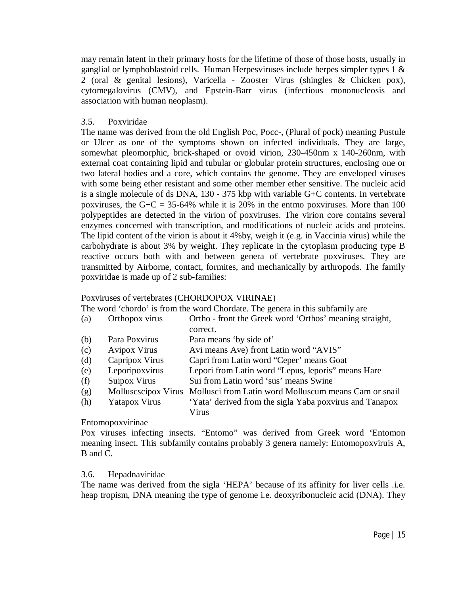may remain latent in their primary hosts for the lifetime of those of those hosts, usually in ganglial or lymphoblastoid cells. Human Herpesviruses include herpes simpler types 1  $\&$ 2 (oral & genital lesions), Varicella - Zooster Virus (shingles & Chicken pox), cytomegalovirus (CMV), and Epstein-Barr virus (infectious mononucleosis and association with human neoplasm).

### 3.5. Poxviridae

The name was derived from the old English Poc, Pocc-, (Plural of pock) meaning Pustule or Ulcer as one of the symptoms shown on infected individuals. They are large, somewhat pleomorphic, brick-shaped or ovoid virion, 230-450nm x 140-260nm, with external coat containing lipid and tubular or globular protein structures, enclosing one or two lateral bodies and a core, which contains the genome. They are enveloped viruses with some being ether resistant and some other member ether sensitive. The nucleic acid is a single molecule of ds DNA, 130 - 375 kbp with variable G+C contents. In vertebrate poxviruses, the  $G + C = 35-64\%$  while it is 20% in the entmo poxviruses. More than 100 polypeptides are detected in the virion of poxviruses. The virion core contains several enzymes concerned with transcription, and modifications of nucleic acids and proteins. The lipid content of the virion is about it 4%by, weigh it (e.g. in Vaccinia virus) while the carbohydrate is about 3% by weight. They replicate in the cytoplasm producing type B reactive occurs both with and between genera of vertebrate poxviruses. They are transmitted by Airborne, contact, formites, and mechanically by arthropods. The family poxviridae is made up of 2 sub-families:

### Poxviruses of vertebrates (CHORDOPOX VIRINAE)

The word 'chordo' is from the word Chordate. The genera in this subfamily are

| (a) | Orthopox virus                              | Ortho - front the Greek word 'Orthos' meaning straight, |
|-----|---------------------------------------------|---------------------------------------------------------|
|     |                                             | correct.                                                |
| (h) | $\mathbf{D}_{\alpha}$ $\mathbf{D}_{\alpha}$ | $\mathbf{p}_{\alpha r\alpha}$ means thy side of         |

- (b) Para Poxvirus Para means 'by side of'
- (c) Avipox Virus Avi means Ave) front Latin word "AVIS"<br>
(d) Capripox Virus Capri from Latin word "Ceper" means Goa
- (d) Capripox Virus Capri from Latin word "Ceper' means Goat
- (e) Leporipoxvirus Lepori from Latin word "Lepus, leporis" means Hare
- (f) Suipox Virus Sui from Latin word 'sus' means Swine
- (g) Molluscscipox Virus Mollusci from Latin word Molluscum means Cam or snail
- (h) Yatapox Virus 'Yata' derived from the sigla Yaba poxvirus and Tanapox Virus

#### Entomopoxvirinae

Pox viruses infecting insects. "Entomo" was derived from Greek word 'Entomon meaning insect. This subfamily contains probably 3 genera namely: Entomopoxviruis A, B and C.

#### 3.6. Hepadnaviridae

The name was derived from the sigla 'HEPA' because of its affinity for liver cells .i.e. heap tropism, DNA meaning the type of genome i.e. deoxyribonucleic acid (DNA). They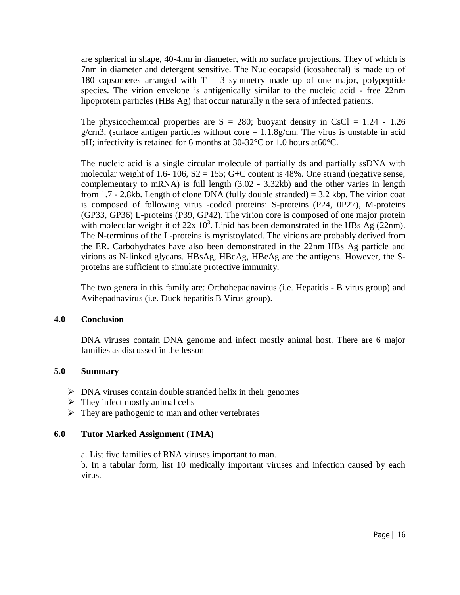are spherical in shape, 40-4nm in diameter, with no surface projections. They of which is 7nm in diameter and detergent sensitive. The Nucleocapsid (icosahedral) is made up of 180 capsomeres arranged with  $T = 3$  symmetry made up of one major, polypeptide species. The virion envelope is antigenically similar to the nucleic acid - free 22nm lipoprotein particles (HBs Ag) that occur naturally n the sera of infected patients.

The physicochemical properties are  $S = 280$ ; buoyant density in CsCl = 1.24 - 1.26 g/crn3, (surface antigen particles without core  $= 1.1.8$ g/cm. The virus is unstable in acid pH; infectivity is retained for 6 months at 30-32°C or 1.0 hours at60°C.

The nucleic acid is a single circular molecule of partially ds and partially ssDNA with molecular weight of 1.6- 106,  $S2 = 155$ ; G+C content is 48%. One strand (negative sense, complementary to mRNA) is full length (3.02 - 3.32kb) and the other varies in length from 1.7 - 2.8kb. Length of clone DNA (fully double stranded) =  $3.2$  kbp. The virion coat is composed of following virus -coded proteins: S-proteins (P24, 0P27), M-proteins (GP33, GP36) L-proteins (P39, GP42). The virion core is composed of one major protein with molecular weight it of  $22x 10^3$ . Lipid has been demonstrated in the HBs Ag (22nm). The N-terminus of the L-proteins is myristoylated. The virions are probably derived from the ER. Carbohydrates have also been demonstrated in the 22nm HBs Ag particle and virions as N-linked glycans. HBsAg, HBcAg, HBeAg are the antigens. However, the Sproteins are sufficient to simulate protective immunity.

The two genera in this family are: Orthohepadnavirus (i.e. Hepatitis - B virus group) and Avihepadnavirus (i.e. Duck hepatitis B Virus group).

#### **4.0 Conclusion**

DNA viruses contain DNA genome and infect mostly animal host. There are 6 major families as discussed in the lesson

#### **5.0 Summary**

- $\triangleright$  DNA viruses contain double stranded helix in their genomes
- $\triangleright$  They infect mostly animal cells
- $\triangleright$  They are pathogenic to man and other vertebrates

#### **6.0 Tutor Marked Assignment (TMA)**

a. List five families of RNA viruses important to man.

b. In a tabular form, list 10 medically important viruses and infection caused by each virus.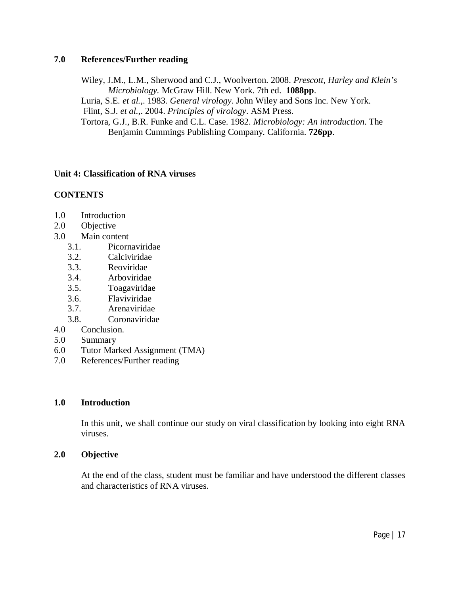### **7.0 References/Further reading**

Wiley, J.M., L.M., Sherwood and C.J., Woolverton. 2008. *Prescott, Harley and Klein's Microbiology.* McGraw Hill. New York. 7th ed. **1088pp**. Luria, S.E*. et al.*,. 1983. *General virology*. John Wiley and Sons Inc. New York. Flint, S.J. *et al.*,. 2004. *Principles of virology*. ASM Press. Tortora, G.J., B.R. Funke and C.L. Case. 1982. *Microbiology: An introduction*. The Benjamin Cummings Publishing Company. California. **726pp**.

# **Unit 4: Classification of RNA viruses**

# **CONTENTS**

- 1.0 Introduction
- 2.0 Objective
- 3.0 Main content
	- 3.1. Picornaviridae
	- 3.2. Calciviridae
	- 3.3. Reoviridae
	- 3.4. Arboviridae
	- 3.5. Toagaviridae
	- 3.6. Flaviviridae
	- 3.7. Arenaviridae
	- 3.8. Coronaviridae
- 4.0 Conclusion.
- 5.0 Summary
- 6.0 Tutor Marked Assignment (TMA)
- 7.0 References/Further reading

# **1.0 Introduction**

In this unit, we shall continue our study on viral classification by looking into eight RNA viruses.

#### **2.0 Objective**

At the end of the class, student must be familiar and have understood the different classes and characteristics of RNA viruses.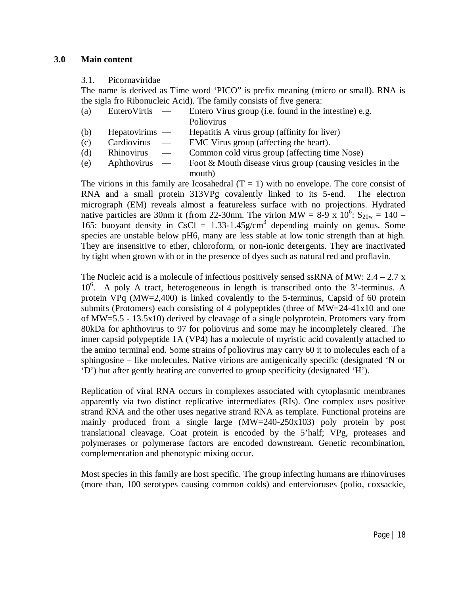#### 3.1. Picornaviridae

The name is derived as Time word 'PICO" is prefix meaning (micro or small). RNA is the sigla fro Ribonucleic Acid). The family consists of five genera:

- (a) EnteroVirtis Entero Virus group (i.e. found in the intestine) e.g.
	- Poliovirus
- (b) Hepatovirims Hepatitis A virus group (affinity for liver)
- (c) Cardiovirus EMC Virus group (affecting the heart).
- (d) Rhinovirus Common cold virus group (affecting time Nose)
- (e) Aphthovirus Foot & Mouth disease virus group (causing vesicles in the mouth)

The virions in this family are Icosahedral  $(T = 1)$  with no envelope. The core consist of RNA and a small protein 313VPg covalently linked to its 5-end. The electron micrograph (EM) reveals almost a featureless surface with no projections. Hydrated native particles are 30nm it (from 22-30nm. The virion MW =  $8-\frac{9}{3} \times 10^6$ :  $S_{20w} = 140$  – 165: buoyant density in CsCl =  $1.33-1.45$ g/cm<sup>3</sup> depending mainly on genus. Some species are unstable below pH6, many are less stable at low tonic strength than at high. They are insensitive to ether, chloroform, or non-ionic detergents. They are inactivated by tight when grown with or in the presence of dyes such as natural red and proflavin.

The Nucleic acid is a molecule of infectious positively sensed ssRNA of MW:  $2.4 - 2.7$  x 10<sup>6</sup>. A poly A tract, heterogeneous in length is transcribed onto the 3'-terminus. A protein VPq (MW=2,400) is linked covalently to the 5-terminus, Capsid of 60 protein submits (Protomers) each consisting of 4 polypeptides (three of MW=24-41x10 and one of MW=5.5 - 13.5x10) derived by cleavage of a single polyprotein. Protomers vary from 80kDa for aphthovirus to 97 for poliovirus and some may he incompletely cleared. The inner capsid polypeptide 1A (VP4) has a molecule of myristic acid covalently attached to the amino terminal end. Some strains of poliovirus may carry 60 it to molecules each of a sphingosine – like molecules. Native virions are antigenically specific (designated 'N or 'D') but after gently heating are converted to group specificity (designated 'H').

Replication of viral RNA occurs in complexes associated with cytoplasmic membranes apparently via two distinct replicative intermediates (RIs). One complex uses positive strand RNA and the other uses negative strand RNA as template. Functional proteins are mainly produced from a single large (MW=240-250x103) poly protein by post translational cleavage. Coat protein is encoded by the 5'half; VPg, proteases and polymerases or polymerase factors are encoded downstream. Genetic recombination, complementation and phenotypic mixing occur.

Most species in this family are host specific. The group infecting humans are rhinoviruses (more than, 100 serotypes causing common colds) and entervioruses (polio, coxsackie,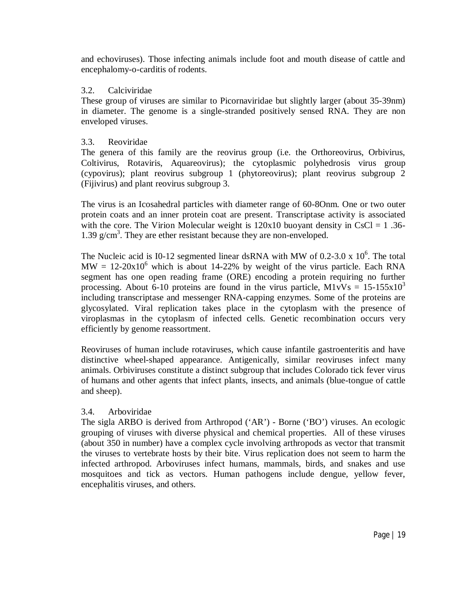and echoviruses). Those infecting animals include foot and mouth disease of cattle and encephalomy-o-carditis of rodents.

### 3.2. Calciviridae

These group of viruses are similar to Picornaviridae but slightly larger (about 35-39nm) in diameter. The genome is a single-stranded positively sensed RNA. They are non enveloped viruses.

# 3.3. Reoviridae

The genera of this family are the reovirus group (i.e. the Orthoreovirus, Orbivirus, Coltivirus, Rotaviris, Aquareovirus); the cytoplasmic polyhedrosis virus group (cypovirus); plant reovirus subgroup 1 (phytoreovirus); plant reovirus subgroup 2 (Fijivirus) and plant reovirus subgroup 3.

The virus is an Icosahedral particles with diameter range of 60-8Onm. One or two outer protein coats and an inner protein coat are present. Transcriptase activity is associated with the core. The Virion Molecular weight is  $120x10$  buoyant density in CsCl = 1.36-1.39 g/cm<sup>3</sup>. They are ether resistant because they are non-enveloped.

The Nucleic acid is I0-12 segmented linear dsRNA with MW of 0.2-3.0 x  $10^6$ . The total  $MW = 12-20x10<sup>6</sup>$  which is about 14-22% by weight of the virus particle. Each RNA segment has one open reading frame (ORE) encoding a protein requiring no further processing. About 6-10 proteins are found in the virus particle,  $M1vVs = 15-155x10^3$ including transcriptase and messenger RNA-capping enzymes. Some of the proteins are glycosylated. Viral replication takes place in the cytoplasm with the presence of viroplasmas in the cytoplasm of infected cells. Genetic recombination occurs very efficiently by genome reassortment.

Reoviruses of human include rotaviruses, which cause infantile gastroenteritis and have distinctive wheel-shaped appearance. Antigenically, similar reoviruses infect many animals. Orbiviruses constitute a distinct subgroup that includes Colorado tick fever virus of humans and other agents that infect plants, insects, and animals (blue-tongue of cattle and sheep).

#### 3.4. Arboviridae

The sigla ARBO is derived from Arthropod ('AR') - Borne ('BO') viruses. An ecologic grouping of viruses with diverse physical and chemical properties. All of these viruses (about 350 in number) have a complex cycle involving arthropods as vector that transmit the viruses to vertebrate hosts by their bite. Virus replication does not seem to harm the infected arthropod. Arboviruses infect humans, mammals, birds, and snakes and use mosquitoes and tick as vectors. Human pathogens include dengue, yellow fever, encephalitis viruses, and others.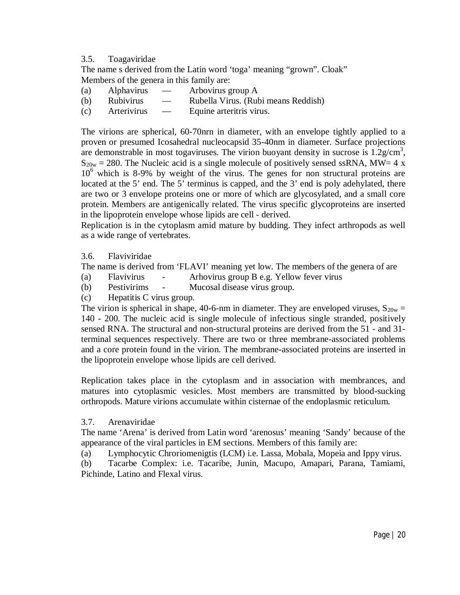#### 3.5. Toagaviridae

The name s derived from the Latin word 'toga' meaning "grown". Cloak" Members of the genera in this family are:

- (a) Alphavirus Arbovirus group A
- (b) Rubivirus Rubella Virus. (Rubi means Reddish)
- (c) Arterivirus Equine arteritris virus.

The virions are spherical, 60-70nrn in diameter, with an envelope tightly applied to a proven or presumed Icosahedral nucleocapsid 35-40nm in diameter. Surface projections are demonstrable in most togaviruses. The virion buoyant density in sucrose is  $1.2$  g/cm<sup>3</sup>,  $S_{20w} = 280$ . The Nucleic acid is a single molecule of positively sensed ssRNA, MW= 4 x  $10<sup>6</sup>$  which is 8-9% by weight of the virus. The genes for non structural proteins are located at the 5' end. The 5' terminus is capped, and the 3' end is poly adehylated, there are two or 3 envelope proteins one or more of which are glycosylated, and a small core protein. Members are antigenically related. The virus specific glycoproteins are inserted in the lipoprotein envelope whose lipids are cell - derived.

Replication is in the cytoplasm amid mature by budding. They infect arthropods as well as a wide range of vertebrates.

3.6. Flaviviridae

The name is derived from 'FLAVI' meaning yet low. The members of the genera of are

- (a) Flavivirus Arhovirus group B e.g. Yellow fever virus
- (b) Pestivirims Mucosal disease virus group.
- (c) Hepatitis C virus group.

The virion is spherical in shape, 40-6-nm in diameter. They are enveloped viruses,  $S_{20w}$  = 140 - 200. The nucleic acid is single molecule of infectious single stranded, positively sensed RNA. The structural and non-structural proteins are derived from the 51 - and 31 terminal sequences respectively. There are two or three membrane-associated problems and a core protein found in the virion. The membrane-associated proteins are inserted in the lipoprotein envelope whose lipids are cell derived.

Replication takes place in the cytoplasm and in association with membrances, and matures into cytoplasmic vesicles. Most members are transmitted by blood-sucking orthropods. Mature virions accumulate within cisternae of the endoplasmic reticulum.

#### 3.7. Arenaviridae

The name 'Arena' is derived from Latin word 'arenosus' meaning 'Sandy' because of the appearance of the viral particles in EM sections. Members of this family are:

(a) Lymphocytic Chroriomenigtis (LCM) i.e. Lassa, Mobala, Mopeia and Ippy virus.

(b) Tacarbe Complex: i.e. Tacaribe, Junin, Macupo, Amapari, Parana, Tamiami, Pichinde, Latino and Flexal virus.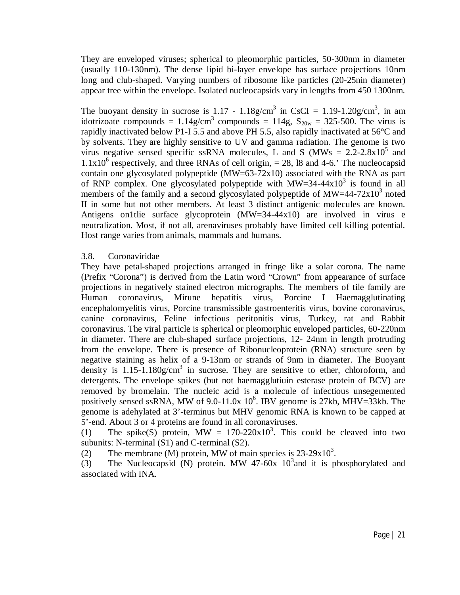They are enveloped viruses; spherical to pleomorphic particles, 50-300nm in diameter (usually 110-130nm). The dense lipid bi-layer envelope has surface projections 10nm long and club-shaped. Varying numbers of ribosome like particles (20-25nin diameter) appear tree within the envelope. Isolated nucleocapsids vary in lengths from 450 1300nm.

The buoyant density in sucrose is 1.17 - 1.18g/cm<sup>3</sup> in CsCI = 1.19-1.20g/cm<sup>3</sup>, in am idotrizoate compounds =  $1.14$ g/cm<sup>3</sup> compounds =  $114$ g, S<sub>20w</sub> = 325-500. The virus is rapidly inactivated below P1-I 5.5 and above PH 5.5, also rapidly inactivated at 56°C and by solvents. They are highly sensitive to UV and gamma radiation. The genome is two virus negative sensed specific ssRNA molecules, L and S (MWs =  $2.2-2.8x10^5$  and  $1.1x10<sup>6</sup>$  respectively, and three RNAs of cell origin, = 28, 18 and 4-6.' The nucleocapsid contain one glycosylated polypeptide (MW=63-72x10) associated with the RNA as part of RNP complex. One glycosylated polypeptide with  $MW=34-44x10^3$  is found in all members of the family and a second glycosylated polypeptide of  $MW=44-72x10^3$  noted II in some but not other members. At least 3 distinct antigenic molecules are known. Antigens on1tlie surface glycoprotein (MW=34-44x10) are involved in virus e neutralization. Most, if not all, arenaviruses probably have limited cell killing potential. Host range varies from animals, mammals and humans.

#### 3.8. Coronaviridae

They have petal-shaped projections arranged in fringe like a solar corona. The name (Prefix "Corona") is derived from the Latin word "Crown" from appearance of surface projections in negatively stained electron micrographs. The members of tile family are Human coronavirus, Mirune hepatitis virus, Porcine I Haemagglutinating encephalomyelitis virus, Porcine transmissible gastroenteritis virus, bovine coronavirus, canine coronavirus, Feline infectious peritonitis virus, Turkey, rat and Rabbit coronavirus. The viral particle is spherical or pleomorphic enveloped particles, 60-220nm in diameter. There are club-shaped surface projections, 12- 24nm in length protruding from the envelope. There is presence of Ribonucleoprotein (RNA) structure seen by negative staining as helix of a 9-13nm or strands of 9nm in diameter. The Buoyant density is  $1.15$ -1.180g/cm<sup>3</sup> in sucrose. They are sensitive to ether, chloroform, and detergents. The envelope spikes (but not haemagglutiuin esterase protein of BCV) are removed by bromelain. The nucleic acid is a molecule of infectious unsegemented positively sensed ssRNA, MW of 9.0-11.0x  $10^6$ . IBV genome is 27kb, MHV=33kb. The genome is adehylated at 3'-terminus but MHV genomic RNA is known to be capped at 5'-end. About 3 or 4 proteins are found in all coronaviruses.

(1) The spike(S) protein, MW =  $170-220x10^3$ . This could be cleaved into two subunits: N-terminal (S1) and C-terminal (S2).

(2) The membrane (M) protein, MW of main species is  $23-29x10^3$ .

(3) The Nucleocapsid (N) protein. MW 47-60x  $10^3$  and it is phosphorylated and associated with INA.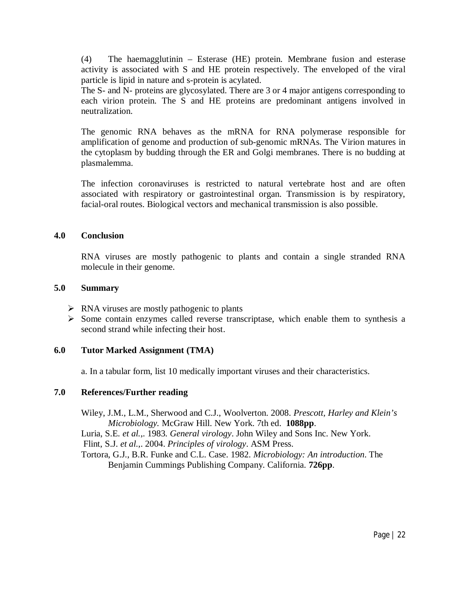(4) The haemagglutinin – Esterase (HE) protein. Membrane fusion and esterase activity is associated with S and HE protein respectively. The enveloped of the viral particle is lipid in nature and s-protein is acylated.

The S- and N- proteins are glycosylated. There are 3 or 4 major antigens corresponding to each virion protein. The S and HE proteins are predominant antigens involved in neutralization.

The genomic RNA behaves as the mRNA for RNA polymerase responsible for amplification of genome and production of sub-genomic mRNAs. The Virion matures in the cytoplasm by budding through the ER and Golgi membranes. There is no budding at plasmalemma.

The infection coronaviruses is restricted to natural vertebrate host and are often associated with respiratory or gastrointestinal organ. Transmission is by respiratory, facial-oral routes. Biological vectors and mechanical transmission is also possible.

#### **4.0 Conclusion**

RNA viruses are mostly pathogenic to plants and contain a single stranded RNA molecule in their genome.

#### **5.0 Summary**

- $\triangleright$  RNA viruses are mostly pathogenic to plants
- $\triangleright$  Some contain enzymes called reverse transcriptase, which enable them to synthesis a second strand while infecting their host.

#### **6.0 Tutor Marked Assignment (TMA)**

a. In a tabular form, list 10 medically important viruses and their characteristics.

#### **7.0 References/Further reading**

Wiley, J.M., L.M., Sherwood and C.J., Woolverton. 2008. *Prescott, Harley and Klein's Microbiology.* McGraw Hill. New York. 7th ed. **1088pp**.

Luria, S.E*. et al.*,. 1983. *General virology*. John Wiley and Sons Inc. New York.

Flint, S.J. *et al.*,. 2004. *Principles of virology*. ASM Press.

Tortora, G.J., B.R. Funke and C.L. Case. 1982. *Microbiology: An introduction*. The Benjamin Cummings Publishing Company. California. **726pp**.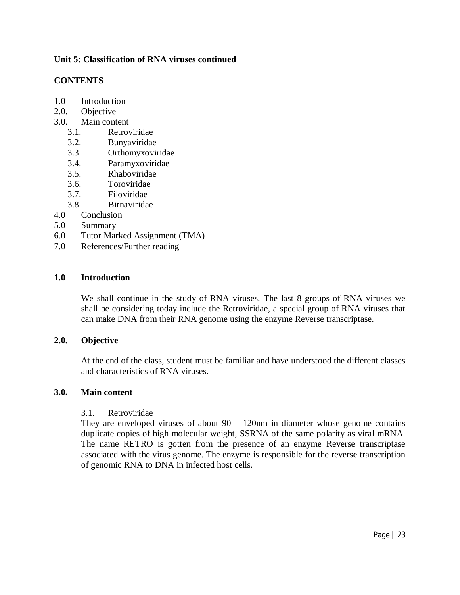# **Unit 5: Classification of RNA viruses continued**

# **CONTENTS**

- 1.0 Introduction
- 2.0. Objective
- 3.0. Main content
	- 3.1. Retroviridae
	- 3.2. Bunyaviridae
	- 3.3. Orthomyxoviridae
	- 3.4. Paramyxoviridae
	- 3.5. Rhaboviridae
	- 3.6. Toroviridae
	- 3.7. Filoviridae
	- 3.8. Birnaviridae
- 4.0 Conclusion
- 5.0 Summary
- 6.0 Tutor Marked Assignment (TMA)
- 7.0 References/Further reading

#### **1.0 Introduction**

We shall continue in the study of RNA viruses. The last 8 groups of RNA viruses we shall be considering today include the Retroviridae, a special group of RNA viruses that can make DNA from their RNA genome using the enzyme Reverse transcriptase.

#### **2.0. Objective**

At the end of the class, student must be familiar and have understood the different classes and characteristics of RNA viruses.

#### **3.0. Main content**

#### 3.1. Retroviridae

They are enveloped viruses of about  $90 - 120$ nm in diameter whose genome contains duplicate copies of high molecular weight, SSRNA of the same polarity as viral mRNA. The name RETRO is gotten from the presence of an enzyme Reverse transcriptase associated with the virus genome. The enzyme is responsible for the reverse transcription of genomic RNA to DNA in infected host cells.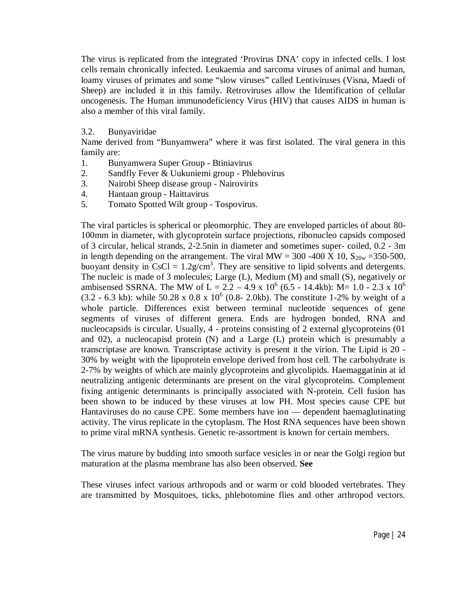The virus is replicated from the integrated 'Provirus DNA' copy in infected cells. I lost cells remain chronically infected. Leukaemia and sarcoma viruses of animal and human, loamy viruses of primates and some "slow viruses" called Lentiviruses (Visna, Maedi of Sheep) are included it in this family. Retroviruses allow the Identification of cellular oncogenesis. The Human immunodeficiency Virus (HIV) that causes AIDS in human is also a member of this viral family.

#### 3.2. Bunyaviridae

Name derived from "Bunyamwera" where it was first isolated. The viral genera in this family are:

- 1. Bunyamwera Super Group Btiniavirus
- 2. Sandfly Fever & Uukuniemi group Phlehovirus
- 3. Nairobi Sheep disease group Nairovirits
- 4. Hantaan group Haittavirus
- 5. Tomato Spotted Wilt group Tospovirus.

The viral particles is spherical or pleomorphic. They are enveloped particles of about 80- 100mm in diameter, with glycoprotein surface projections, ribonucleo capsids composed of 3 circular, helical strands, 2-2.5nin in diameter and sometimes super- coiled, 0.2 - 3m in length depending on the arrangement. The viral MW = 300 -400 X 10,  $S_{20w}$  =350-500, buoyant density in  $CsCl = 1.2g/cm<sup>3</sup>$ . They are sensitive to lipid solvents and detergents. The nucleic is made of 3 molecules; Large (L), Medium (M) and small (S), negatively or ambisensed SSRNA. The MW of L =  $2.2 - 4.9 \times 10^6$  (6.5 - 14.4kb): M= 1.0 - 2.3 x 10<sup>6</sup>  $(3.2 - 6.3 \text{ kb})$ : while  $50.28 \times 0.8 \times 10^6$  (0.8- 2.0kb). The constitute 1-2% by weight of a whole particle. Differences exist between terminal nucleotide sequences of gene segments of viruses of different genera. Ends are hydrogen bonded, RNA and nucleocapsids is circular. Usually, 4 - proteins consisting of 2 external glycoproteins (01 and 02), a nucleocapisd protein (N) and a Large (L) protein which is presumably a transcriptase are known. Transcriptase activity is present it the virion. The Lipid is 20 - 30% by weight with the lipoprotein envelope derived from host cell. The carbohydrate is 2-7% by weights of which are mainly glycoproteins and glycolipids. Haemaggatinin at id neutralizing antigenic determinants are present on the viral glycoproteins. Complement fixing antigenic determinants is principally associated with N-protein. Cell fusion has been shown to be induced by these viruses at low PH. Most species cause CPE but Hantaviruses do no cause CPE. Some members have ion — dependent haemaglutinating activity. The virus replicate in the cytoplasm. The Host RNA sequences have been shown to prime viral mRNA synthesis. Genetic re-assortment is known for certain members.

The virus mature by budding into smooth surface vesicles in or near the Golgi region but maturation at the plasma membrane has also been observed. **See** 

These viruses infect various arthropods and or warm or cold blooded vertebrates. They are transmitted by Mosquitoes, ticks, phlebotomine flies and other arthropod vectors.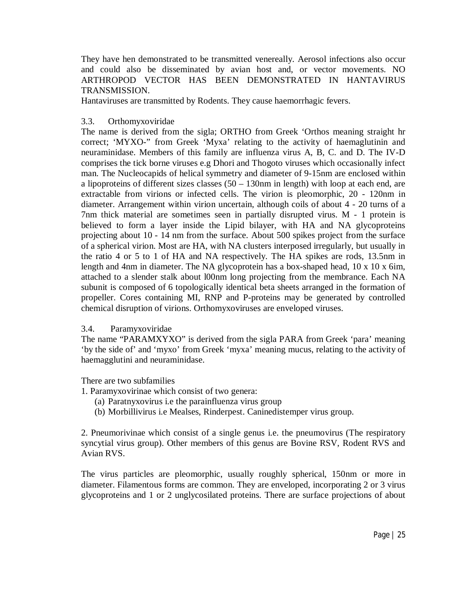They have hen demonstrated to be transmitted venereally. Aerosol infections also occur and could also be disseminated by avian host and, or vector movements. NO ARTHROPOD VECTOR HAS BEEN DEMONSTRATED IN HANTAVIRUS TRANSMISSION.

Hantaviruses are transmitted by Rodents. They cause haemorrhagic fevers.

# 3.3. Orthomyxoviridae

The name is derived from the sigla; ORTHO from Greek 'Orthos meaning straight hr correct; 'MYXO-" from Greek 'Myxa' relating to the activity of haemaglutinin and neuraminidase. Members of this family are influenza virus A, B, C. and D. The IV-D comprises the tick borne viruses e.g Dhori and Thogoto viruses which occasionally infect man. The Nucleocapids of helical symmetry and diameter of 9-15nm are enclosed within a lipoproteins of different sizes classes (50 – 130nm in length) with loop at each end, are extractable from virions or infected cells. The virion is pleomorphic, 20 - 120nm in diameter. Arrangement within virion uncertain, although coils of about 4 - 20 turns of a 7nm thick material are sometimes seen in partially disrupted virus. M - 1 protein is believed to form a layer inside the Lipid bilayer, with HA and NA glycoproteins projecting about 10 - 14 nm from the surface. About 500 spikes project from the surface of a spherical virion. Most are HA, with NA clusters interposed irregularly, but usually in the ratio 4 or 5 to 1 of HA and NA respectively. The HA spikes are rods, 13.5nm in length and 4nm in diameter. The NA glycoprotein has a box-shaped head, 10 x 10 x 6im, attached to a slender stalk about l00nm long projecting from the membrance. Each NA subunit is composed of 6 topologically identical beta sheets arranged in the formation of propeller. Cores containing MI, RNP and P-proteins may be generated by controlled chemical disruption of virions. Orthomyxoviruses are enveloped viruses.

#### 3.4. Paramyxoviridae

The name "PARAMXYXO" is derived from the sigla PARA from Greek 'para' meaning 'by the side of' and 'myxo' from Greek 'myxa' meaning mucus, relating to the activity of haemagglutini and neuraminidase.

There are two subfamilies

- 1. Paramyxovirinae which consist of two genera:
	- (a) Paratnyxovirus i.e the parainfluenza virus group
	- (b) Morbillivirus i.e Mealses, Rinderpest. Caninedistemper virus group.

2. Pneumorivinae which consist of a single genus i.e. the pneumovirus (The respiratory syncytial virus group). Other members of this genus are Bovine RSV, Rodent RVS and Avian RVS.

The virus particles are pleomorphic, usually roughly spherical, 150nm or more in diameter. Filamentous forms are common. They are enveloped, incorporating 2 or 3 virus glycoproteins and 1 or 2 unglycosilated proteins. There are surface projections of about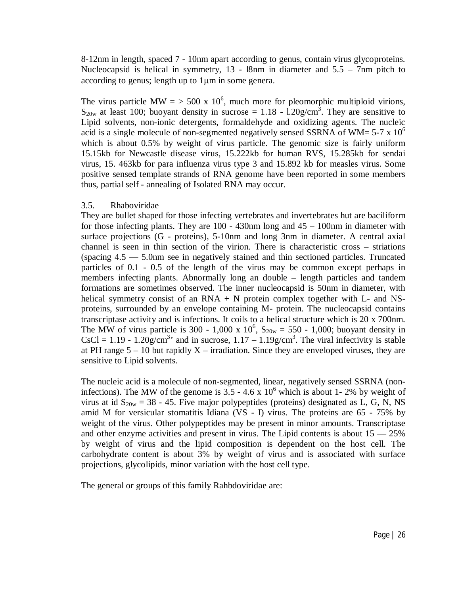8-12nm in length, spaced 7 - 10nm apart according to genus, contain virus glycoproteins. Nucleocapsid is helical in symmetry, 13 - l8nm in diameter and 5.5 – 7nm pitch to according to genus; length up to 1 µm in some genera.

The virus particle MW =  $>$  500 x 10<sup>6</sup>, much more for pleomorphic multiploid virions,  $S_{20w}$  at least 100; buoyant density in sucrose = 1.18 - l.20g/cm<sup>3</sup>. They are sensitive to Lipid solvents, non-ionic detergents, formaldehyde and oxidizing agents. The nucleic acid is a single molecule of non-segmented negatively sensed SSRNA of WM=  $5-7 \times 10^{6}$ which is about 0.5% by weight of virus particle. The genomic size is fairly uniform 15.15kb for Newcastle disease virus, 15.222kb for human RVS, 15.285kb for sendai virus, 15. 463kb for para influenza virus type 3 and 15.892 kb for measles virus. Some positive sensed template strands of RNA genome have been reported in some members thus, partial self - annealing of Isolated RNA may occur.

#### 3.5. Rhaboviridae

They are bullet shaped for those infecting vertebrates and invertebrates hut are baciliform for those infecting plants. They are 100 - 430nm long and 45 – 100nm in diameter with surface projections (G - proteins), 5-10nm and long 3nm in diameter. A central axial channel is seen in thin section of the virion. There is characteristic cross – striations (spacing  $4.5 - 5.0$  m see in negatively stained and thin sectioned particles. Truncated particles of 0.1 - 0.5 of the length of the virus may be common except perhaps in members infecting plants. Abnormally long an double – length particles and tandem formations are sometimes observed. The inner nucleocapsid is 50nm in diameter, with helical symmetry consist of an  $RNA + N$  protein complex together with L- and NSproteins, surrounded by an envelope containing M- protein. The nucleocapsid contains transcriptase activity and is infections. It coils to a helical structure which is 20 x 700nm. The MW of virus particle is 300 - 1,000 x  $10^6$ ,  $S_{20w} = 550$  - 1,000; buoyant density in CsCl = 1.19 - 1.20g/cm<sup>3</sup> and in sucrose,  $1.17 - 1.19$ g/cm<sup>3</sup>. The viral infectivity is stable at PH range  $5 - 10$  but rapidly  $X -$  irradiation. Since they are enveloped viruses, they are sensitive to Lipid solvents.

The nucleic acid is a molecule of non-segmented, linear, negatively sensed SSRNA (noninfections). The MW of the genome is  $3.5 - 4.6 \times 10^6$  which is about 1-2% by weight of virus at id  $S_{20w} = 38 - 45$ . Five major polypeptides (proteins) designated as L, G, N, NS amid M for versicular stomatitis Idiana (VS - I) virus. The proteins are 65 - 75% by weight of the virus. Other polypeptides may be present in minor amounts. Transcriptase and other enzyme activities and present in virus. The Lipid contents is about  $15 - 25\%$ by weight of virus and the lipid composition is dependent on the host cell. The carbohydrate content is about 3% by weight of virus and is associated with surface projections, glycolipids, minor variation with the host cell type.

The general or groups of this family Rahbdoviridae are: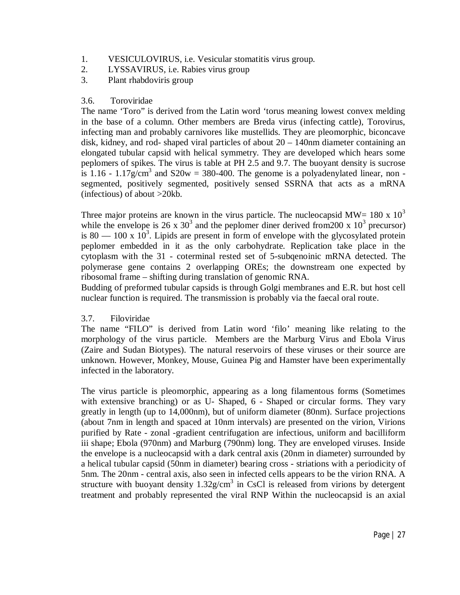- 1. VESICULOVIRUS, i.e. Vesicular stomatitis virus group.
- 2. LYSSAVIRUS, i.e. Rabies virus group
- 3. Plant rhabdoviris group

### 3.6. Toroviridae

The name 'Toro" is derived from the Latin word 'torus meaning lowest convex melding in the base of a column. Other members are Breda virus (infecting cattle), Torovirus, infecting man and probably carnivores like mustellids. They are pleomorphic, biconcave disk, kidney, and rod- shaped viral particles of about  $20 - 140$ nm diameter containing an elongated tubular capsid with helical symmetry. They are developed which hears some peplomers of spikes. The virus is table at PH 2.5 and 9.7. The buoyant density is sucrose is 1.16 - 1.17g/cm<sup>3</sup> and S20w = 380-400. The genome is a polyadenylated linear, non segmented, positively segmented, positively sensed SSRNA that acts as a mRNA (infectious) of about >20kb.

Three major proteins are known in the virus particle. The nucleocapsid MW=  $180 \times 10^3$ while the envelope is 26 x  $30<sup>3</sup>$  and the peplomer diner derived from 200 x  $10<sup>3</sup>$  precursor) is 80  $-$  100 x 10<sup>3</sup>. Lipids are present in form of envelope with the glycosylated protein peplomer embedded in it as the only carbohydrate. Replication take place in the cytoplasm with the 31 - coterminal rested set of 5-subqenoinic mRNA detected. The polymerase gene contains 2 overlapping OREs; the downstream one expected by ribosomal frame – shifting during translation of genomic RNA.

Budding of preformed tubular capsids is through Golgi membranes and E.R. but host cell nuclear function is required. The transmission is probably via the faecal oral route.

# 3.7. Filoviridae

The name "FILO" is derived from Latin word 'filo' meaning like relating to the morphology of the virus particle. Members are the Marburg Virus and Ebola Virus (Zaire and Sudan Biotypes). The natural reservoirs of these viruses or their source are unknown. However, Monkey, Mouse, Guinea Pig and Hamster have been experimentally infected in the laboratory.

The virus particle is pleomorphic, appearing as a long filamentous forms (Sometimes with extensive branching) or as U- Shaped,  $6$  - Shaped or circular forms. They vary greatly in length (up to 14,000nm), but of uniform diameter (80nm). Surface projections (about 7nm in length and spaced at 10nm intervals) are presented on the virion, Virions purified by Rate - zonal -gradient centrifugation are infectious, uniform and bacilliform iii shape; Ebola (970nm) and Marburg (790nm) long. They are enveloped viruses. Inside the envelope is a nucleocapsid with a dark central axis (20nm in diameter) surrounded by a helical tubular capsid (50nm in diameter) bearing cross - striations with a periodicity of 5nm. The 20nm - central axis, also seen in infected cells appears to be the virion RNA. A structure with buoyant density  $1.32$ g/cm<sup>3</sup> in CsCl is released from virions by detergent treatment and probably represented the viral RNP Within the nucleocapsid is an axial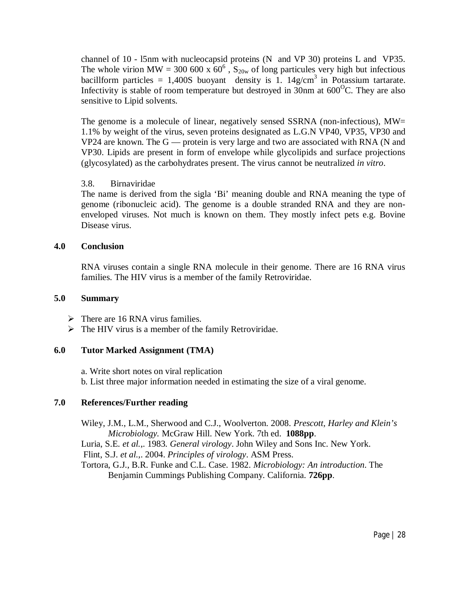channel of 10 - l5nm with nucleocapsid proteins (N and VP 30) proteins L and VP35. The whole virion MW = 300 600 x  $60^6$ ,  $S_{20w}$  of long particules very high but infectious bacillform particles = 1,400S buoyant density is 1.  $14g/cm<sup>3</sup>$  in Potassium tartarate. Infectivity is stable of room temperature but destroyed in 30nm at  $600^{\circ}$ C. They are also sensitive to Lipid solvents.

The genome is a molecule of linear, negatively sensed SSRNA (non-infectious), MW= 1.1% by weight of the virus, seven proteins designated as L.G.N VP40, VP35, VP30 and VP24 are known. The  $G$  — protein is very large and two are associated with RNA (N and VP30. Lipids are present in form of envelope while glycolipids and surface projections (glycosylated) as the carbohydrates present. The virus cannot be neutralized *in vitro*.

# 3.8. Birnaviridae

The name is derived from the sigla 'Bi' meaning double and RNA meaning the type of genome (ribonucleic acid). The genome is a double stranded RNA and they are nonenveloped viruses. Not much is known on them. They mostly infect pets e.g. Bovine Disease virus.

#### **4.0 Conclusion**

RNA viruses contain a single RNA molecule in their genome. There are 16 RNA virus families. The HIV virus is a member of the family Retroviridae.

### **5.0 Summary**

- $\triangleright$  There are 16 RNA virus families.
- $\triangleright$  The HIV virus is a member of the family Retroviridae.

# **6.0 Tutor Marked Assignment (TMA)**

a. Write short notes on viral replication

b. List three major information needed in estimating the size of a viral genome.

# **7.0 References/Further reading**

Wiley, J.M., L.M., Sherwood and C.J., Woolverton. 2008. *Prescott, Harley and Klein's Microbiology.* McGraw Hill. New York. 7th ed. **1088pp**.

Luria, S.E*. et al.*,. 1983. *General virology*. John Wiley and Sons Inc. New York.

Flint, S.J. *et al.*,. 2004. *Principles of virology*. ASM Press.

Tortora, G.J., B.R. Funke and C.L. Case. 1982. *Microbiology: An introduction*. The Benjamin Cummings Publishing Company. California. **726pp**.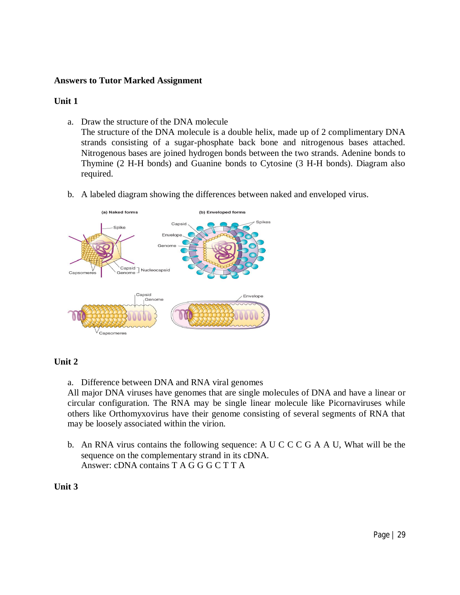# **Answers to Tutor Marked Assignment**

### **Unit 1**

a. Draw the structure of the DNA molecule

The structure of the DNA molecule is a double helix, made up of 2 complimentary DNA strands consisting of a sugar-phosphate back bone and nitrogenous bases attached. Nitrogenous bases are joined hydrogen bonds between the two strands. Adenine bonds to Thymine (2 H-H bonds) and Guanine bonds to Cytosine (3 H-H bonds). Diagram also required.

b. A labeled diagram showing the differences between naked and enveloped virus.



# **Unit 2**

a. Difference between DNA and RNA viral genomes

All major DNA viruses have genomes that are single molecules of DNA and have a linear or circular configuration. The RNA may be single linear molecule like Picornaviruses while others like Orthomyxovirus have their genome consisting of several segments of RNA that may be loosely associated within the virion.

b. An RNA virus contains the following sequence: A U C C C G A A U, What will be the sequence on the complementary strand in its cDNA. Answer: cDNA contains T A G G G C T T A

#### **Unit 3**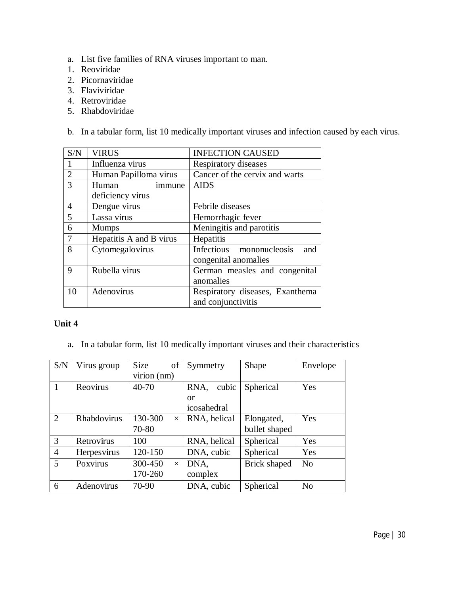- a. List five families of RNA viruses important to man.
- 1. Reoviridae
- 2. Picornaviridae
- 3. Flaviviridae
- 4. Retroviridae
- 5. Rhabdoviridae

b. In a tabular form, list 10 medically important viruses and infection caused by each virus.

| S/N            | <b>VIRUS</b>            | <b>INFECTION CAUSED</b>         |  |
|----------------|-------------------------|---------------------------------|--|
|                | Influenza virus         | Respiratory diseases            |  |
| $\overline{2}$ | Human Papilloma virus   | Cancer of the cervix and warts  |  |
| 3              | Human<br>immune         | <b>AIDS</b>                     |  |
|                | deficiency virus        |                                 |  |
| 4              | Dengue virus            | Febrile diseases                |  |
| 5              | Lassa virus             | Hemorrhagic fever               |  |
| 6              | <b>Mumps</b>            | Meningitis and parotitis        |  |
| $\overline{7}$ | Hepatitis A and B virus | Hepatitis                       |  |
| 8              | Cytomegalovirus         | Infectious mononucleosis<br>and |  |
|                |                         | congenital anomalies            |  |
| 9              | Rubella virus           | German measles and congenital   |  |
|                |                         | anomalies                       |  |
| 10             | Adenovirus              | Respiratory diseases, Exanthema |  |
|                |                         | and conjunctivitis              |  |

# **Unit 4**

a. In a tabular form, list 10 medically important viruses and their characteristics

| S/N            | Virus group | <b>Size</b><br>of   | Symmetry      | Shape         | Envelope       |
|----------------|-------------|---------------------|---------------|---------------|----------------|
|                |             | virion (nm)         |               |               |                |
|                | Reovirus    | 40-70               | cubic<br>RNA, | Spherical     | Yes            |
|                |             |                     | <b>or</b>     |               |                |
|                |             |                     | icosahedral   |               |                |
| 2              | Rhabdovirus | 130-300<br>$\times$ | RNA, helical  | Elongated,    | Yes            |
|                |             | 70-80               |               | bullet shaped |                |
| 3              | Retrovirus  | 100                 | RNA, helical  | Spherical     | Yes            |
| $\overline{4}$ | Herpesvirus | 120-150             | DNA, cubic    | Spherical     | Yes            |
| 5              | Poxvirus    | 300-450<br>$\times$ | DNA.          | Brick shaped  | N <sub>o</sub> |
|                |             | 170-260             | complex       |               |                |
| 6              | Adenovirus  | 70-90               | DNA, cubic    | Spherical     | N <sub>o</sub> |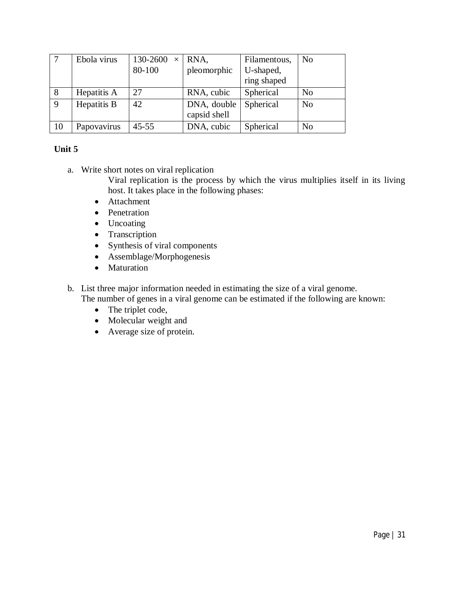|    | Ebola virus | $130-2600 \times \text{RNA}$ , |                             | Filamentous, | N <sub>0</sub> |
|----|-------------|--------------------------------|-----------------------------|--------------|----------------|
|    |             | 80-100                         | pleomorphic                 | U-shaped,    |                |
|    |             |                                |                             | ring shaped  |                |
| 8  | Hepatitis A | 27                             | RNA, cubic                  | Spherical    | N <sub>0</sub> |
| 9  | Hepatitis B | 42                             | DNA, double<br>capsid shell | Spherical    | N <sub>o</sub> |
| 10 | Papovavirus | $45 - 55$                      | DNA, cubic                  | Spherical    | N <sub>0</sub> |

# **Unit 5**

a. Write short notes on viral replication

Viral replication is the process by which the virus multiplies itself in its living host. It takes place in the following phases:

- Attachment
- Penetration
- Uncoating
- Transcription
- Synthesis of viral components
- Assemblage/Morphogenesis
- Maturation
- b. List three major information needed in estimating the size of a viral genome. The number of genes in a viral genome can be estimated if the following are known:
	- The triplet code,
	- Molecular weight and
	- Average size of protein.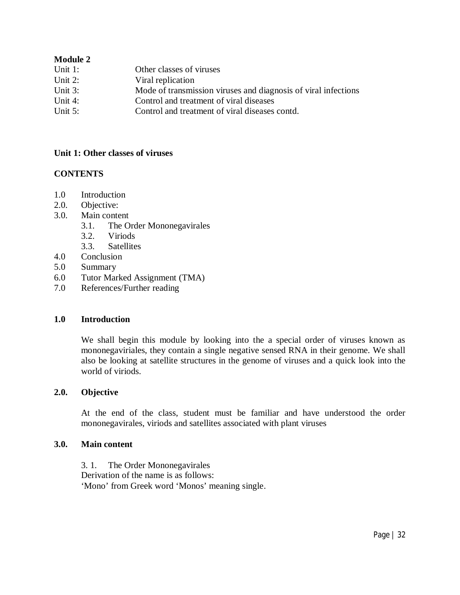# **Module 2**

| Unit $1$ : | Other classes of viruses                                       |
|------------|----------------------------------------------------------------|
| Unit $2$ : | Viral replication                                              |
| Unit $3$ : | Mode of transmission viruses and diagnosis of viral infections |
| Unit $4$ : | Control and treatment of viral diseases                        |
| Unit $5$ : | Control and treatment of viral diseases contd.                 |

### **Unit 1: Other classes of viruses**

# **CONTENTS**

- 1.0 Introduction
- 2.0. Objective:
- 3.0. Main content
	- 3.1. The Order Mononegavirales
	- 3.2. Viriods
	- 3.3. Satellites
- 4.0 Conclusion
- 5.0 Summary
- 6.0 Tutor Marked Assignment (TMA)
- 7.0 References/Further reading

#### **1.0 Introduction**

We shall begin this module by looking into the a special order of viruses known as mononegaviriales, they contain a single negative sensed RNA in their genome. We shall also be looking at satellite structures in the genome of viruses and a quick look into the world of viriods.

#### **2.0. Objective**

At the end of the class, student must be familiar and have understood the order mononegavirales, viriods and satellites associated with plant viruses

#### **3.0. Main content**

3. 1. The Order Mononegavirales Derivation of the name is as follows: 'Mono' from Greek word 'Monos' meaning single.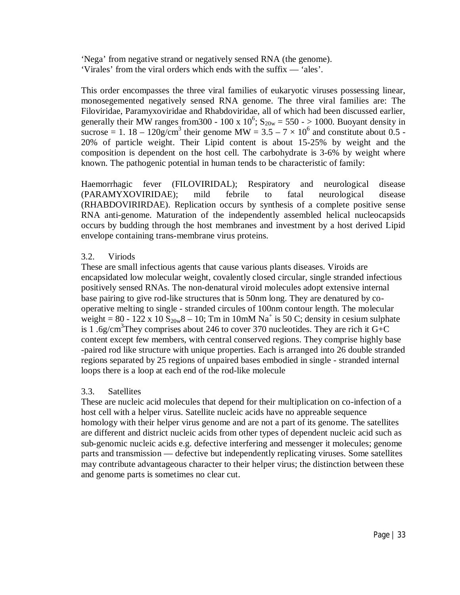'Nega' from negative strand or negatively sensed RNA (the genome). 'Virales' from the viral orders which ends with the suffix — 'ales'.

This order encompasses the three viral families of eukaryotic viruses possessing linear, monosegemented negatively sensed RNA genome. The three viral families are: The Filoviridae, Paramyxoviridae and Rhabdoviridae, all of which had been discussed earlier, generally their MW ranges from 300 - 100 x  $10^6$ ;  $S_{20w} = 550 - > 1000$ . Buoyant density in sucrose = 1. 18 – 120g/cm<sup>3</sup> their genome MW =  $3.5 - 7 \times 10^6$  and constitute about 0.5 -20% of particle weight. Their Lipid content is about 15-25% by weight and the composition is dependent on the host cell. The carbohydrate is 3-6% by weight where known. The pathogenic potential in human tends to be characteristic of family:

Haemorrhagic fever (FILOVIRIDAL); Respiratory and neurological disease (PARAMYXOVIRIDAE); mild febrile to fatal neurological disease (RHABDOVIRIRDAE). Replication occurs by synthesis of a complete positive sense RNA anti-genome. Maturation of the independently assembled helical nucleocapsids occurs by budding through the host membranes and investment by a host derived Lipid envelope containing trans-membrane virus proteins.

# 3.2. Viriods

These are small infectious agents that cause various plants diseases. Viroids are encapsidated low molecular weight, covalently closed circular, single stranded infectious positively sensed RNAs. The non-denatural viroid molecules adopt extensive internal base pairing to give rod-like structures that is 50nm long. They are denatured by cooperative melting to single - stranded circules of 100nm contour length. The molecular weight =  $80 - 122 \times 10 \text{ S}_{20w} - 10$ ; Tm in 10mM Na<sup>+</sup> is 50 C; density in cesium sulphate is 1.6g/cm<sup>3</sup>They comprises about 246 to cover 370 nucleotides. They are rich it  $G+C$ content except few members, with central conserved regions. They comprise highly base -paired rod like structure with unique properties. Each is arranged into 26 double stranded regions separated by 25 regions of unpaired bases embodied in single - stranded internal loops there is a loop at each end of the rod-like molecule

# 3.3. Satellites

These are nucleic acid molecules that depend for their multiplication on co-infection of a host cell with a helper virus. Satellite nucleic acids have no appreable sequence homology with their helper virus genome and are not a part of its genome. The satellites are different and district nucleic acids from other types of dependent nucleic acid such as sub-genomic nucleic acids e.g. defective interfering and messenger it molecules; genome parts and transmission — defective but independently replicating viruses. Some satellites may contribute advantageous character to their helper virus; the distinction between these and genome parts is sometimes no clear cut.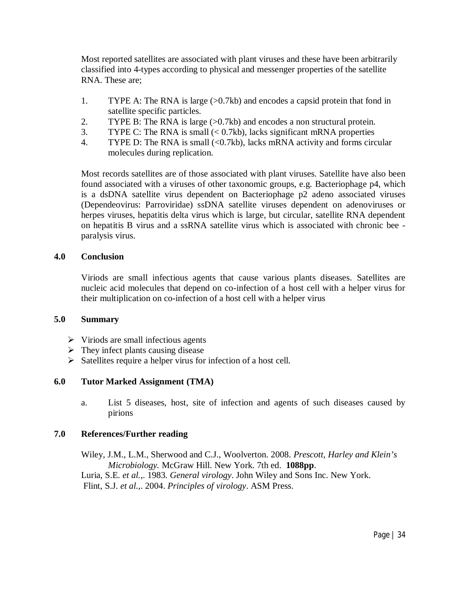Most reported satellites are associated with plant viruses and these have been arbitrarily classified into 4-types according to physical and messenger properties of the satellite RNA. These are;

- 1. TYPE A: The RNA is large  $(>0.7kb)$  and encodes a capsid protein that fond in satellite specific particles.
- 2. TYPE B: The RNA is large  $(>0.7kb)$  and encodes a non structural protein.
- 3. TYPE C: The RNA is small  $( $0.7kb$ ), lacks significant mRNA properties$
- 4. TYPE D: The RNA is small (<0.7kb), lacks mRNA activity and forms circular molecules during replication.

Most records satellites are of those associated with plant viruses. Satellite have also been found associated with a viruses of other taxonomic groups, e.g. Bacteriophage p4, which is a dsDNA satellite virus dependent on Bacteriophage p2 adeno associated viruses (Dependeovirus: Parroviridae) ssDNA satellite viruses dependent on adenoviruses or herpes viruses, hepatitis delta virus which is large, but circular, satellite RNA dependent on hepatitis B virus and a ssRNA satellite virus which is associated with chronic bee paralysis virus.

# **4.0 Conclusion**

Viriods are small infectious agents that cause various plants diseases. Satellites are nucleic acid molecules that depend on co-infection of a host cell with a helper virus for their multiplication on co-infection of a host cell with a helper virus

# **5.0 Summary**

- $\triangleright$  Viriods are small infectious agents
- $\triangleright$  They infect plants causing disease
- $\triangleright$  Satellites require a helper virus for infection of a host cell.

# **6.0 Tutor Marked Assignment (TMA)**

a. List 5 diseases, host, site of infection and agents of such diseases caused by pirions

# **7.0 References/Further reading**

Wiley, J.M., L.M., Sherwood and C.J., Woolverton. 2008. *Prescott, Harley and Klein's Microbiology.* McGraw Hill. New York. 7th ed. **1088pp**. Luria, S.E*. et al.*,. 1983. *General virology*. John Wiley and Sons Inc. New York. Flint, S.J. *et al.*,. 2004. *Principles of virology*. ASM Press.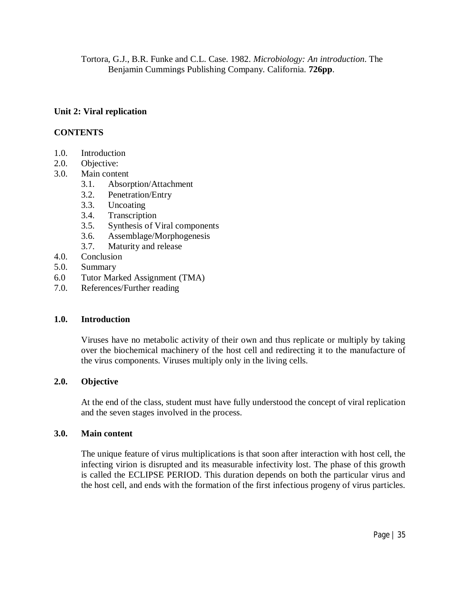Tortora, G.J., B.R. Funke and C.L. Case. 1982. *Microbiology: An introduction*. The Benjamin Cummings Publishing Company. California. **726pp**.

# **Unit 2: Viral replication**

# **CONTENTS**

- 1.0. Introduction
- 2.0. Objective:
- 3.0. Main content
	- 3.1. Absorption/Attachment
	- 3.2. Penetration/Entry
	- 3.3. Uncoating
	- 3.4. Transcription
	- 3.5. Synthesis of Viral components
	- 3.6. Assemblage/Morphogenesis
	- 3.7. Maturity and release
- 4.0. Conclusion
- 5.0. Summary
- 6.0 Tutor Marked Assignment (TMA)
- 7.0. References/Further reading

#### **1.0. Introduction**

Viruses have no metabolic activity of their own and thus replicate or multiply by taking over the biochemical machinery of the host cell and redirecting it to the manufacture of the virus components. Viruses multiply only in the living cells.

#### **2.0. Objective**

At the end of the class, student must have fully understood the concept of viral replication and the seven stages involved in the process.

#### **3.0. Main content**

The unique feature of virus multiplications is that soon after interaction with host cell, the infecting virion is disrupted and its measurable infectivity lost. The phase of this growth is called the ECLIPSE PERIOD. This duration depends on both the particular virus and the host cell, and ends with the formation of the first infectious progeny of virus particles.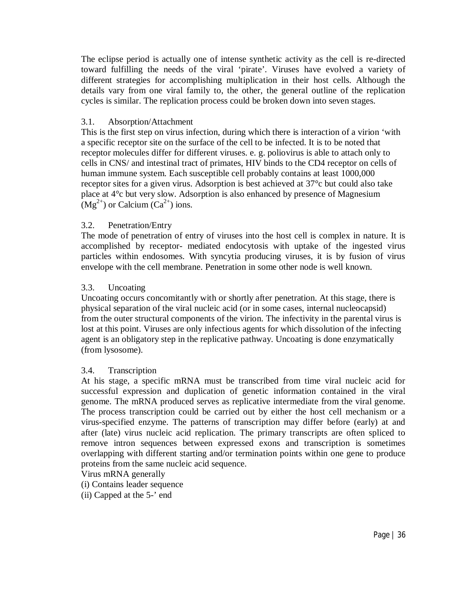The eclipse period is actually one of intense synthetic activity as the cell is re-directed toward fulfilling the needs of the viral 'pirate'. Viruses have evolved a variety of different strategies for accomplishing multiplication in their host cells. Although the details vary from one viral family to, the other, the general outline of the replication cycles is similar. The replication process could be broken down into seven stages.

#### 3.1. Absorption/Attachment

This is the first step on virus infection, during which there is interaction of a virion 'with a specific receptor site on the surface of the cell to be infected. It is to be noted that receptor molecules differ for different viruses. e. g. poliovirus is able to attach only to cells in CNS/ and intestinal tract of primates, HIV binds to the CD4 receptor on cells of human immune system. Each susceptible cell probably contains at least 1000,000 receptor sites for a given virus. Adsorption is best achieved at 37°c but could also take place at 4°c but very slow. Adsorption is also enhanced by presence of Magnesium  $(Mg<sup>2+</sup>)$  or Calcium (Ca<sup>2+</sup>) ions.

# 3.2. Penetration/Entry

The mode of penetration of entry of viruses into the host cell is complex in nature. It is accomplished by receptor- mediated endocytosis with uptake of the ingested virus particles within endosomes. With syncytia producing viruses, it is by fusion of virus envelope with the cell membrane. Penetration in some other node is well known.

#### 3.3. Uncoating

Uncoating occurs concomitantly with or shortly after penetration. At this stage, there is physical separation of the viral nucleic acid (or in some cases, internal nucleocapsid) from the outer structural components of the virion. The infectivity in the parental virus is lost at this point. Viruses are only infectious agents for which dissolution of the infecting agent is an obligatory step in the replicative pathway. Uncoating is done enzymatically (from lysosome).

#### 3.4. Transcription

At his stage, a specific mRNA must be transcribed from time viral nucleic acid for successful expression and duplication of genetic information contained in the viral genome. The mRNA produced serves as replicative intermediate from the viral genome. The process transcription could be carried out by either the host cell mechanism or a virus-specified enzyme. The patterns of transcription may differ before (early) at and after (late) virus nucleic acid replication. The primary transcripts are often spliced to remove intron sequences between expressed exons and transcription is sometimes overlapping with different starting and/or termination points within one gene to produce proteins from the same nucleic acid sequence.

Virus mRNA generally

(i) Contains leader sequence

(ii) Capped at the 5-' end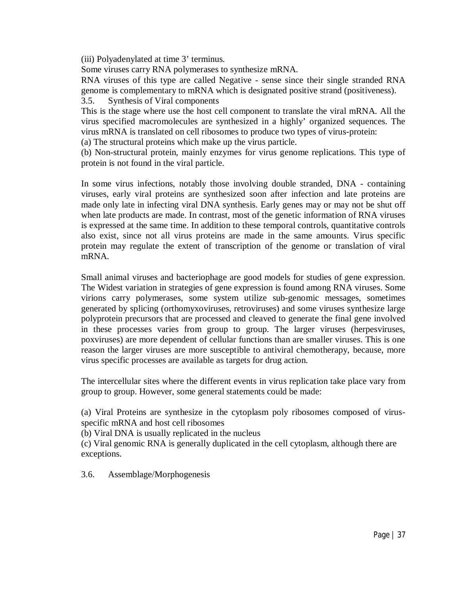(iii) Polyadenylated at time 3' terminus.

Some viruses carry RNA polymerases to synthesize mRNA.

RNA viruses of this type are called Negative - sense since their single stranded RNA genome is complementary to mRNA which is designated positive strand (positiveness).

3.5. Synthesis of Viral components

This is the stage where use the host cell component to translate the viral mRNA. All the virus specified macromolecules are synthesized in a highly' organized sequences. The virus mRNA is translated on cell ribosomes to produce two types of virus-protein:

(a) The structural proteins which make up the virus particle.

(b) Non-structural protein, mainly enzymes for virus genome replications. This type of protein is not found in the viral particle.

In some virus infections, notably those involving double stranded, DNA - containing viruses, early viral proteins are synthesized soon after infection and late proteins are made only late in infecting viral DNA synthesis. Early genes may or may not be shut off when late products are made. In contrast, most of the genetic information of RNA viruses is expressed at the same time. In addition to these temporal controls, quantitative controls also exist, since not all virus proteins are made in the same amounts. Virus specific protein may regulate the extent of transcription of the genome or translation of viral mRNA.

Small animal viruses and bacteriophage are good models for studies of gene expression. The Widest variation in strategies of gene expression is found among RNA viruses. Some virions carry polymerases, some system utilize sub-genomic messages, sometimes generated by splicing (orthomyxoviruses, retroviruses) and some viruses synthesize large polyprotein precursors that are processed and cleaved to generate the final gene involved in these processes varies from group to group. The larger viruses (herpesviruses, poxviruses) are more dependent of cellular functions than are smaller viruses. This is one reason the larger viruses are more susceptible to antiviral chemotherapy, because, more virus specific processes are available as targets for drug action.

The intercellular sites where the different events in virus replication take place vary from group to group. However, some general statements could be made:

(a) Viral Proteins are synthesize in the cytoplasm poly ribosomes composed of virusspecific mRNA and host cell ribosomes

(b) Viral DNA is usually replicated in the nucleus

(c) Viral genomic RNA is generally duplicated in the cell cytoplasm, although there are exceptions.

3.6. Assemblage/Morphogenesis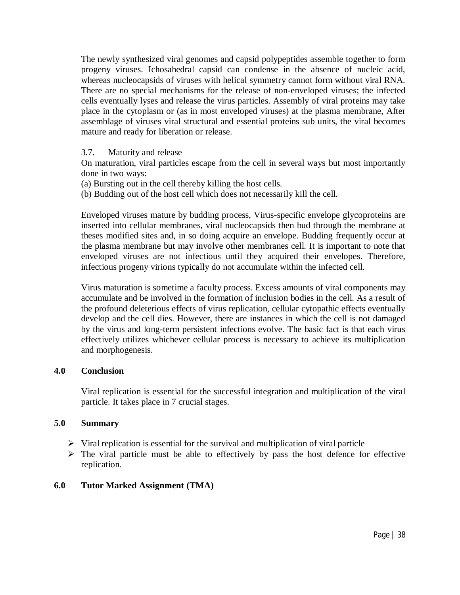The newly synthesized viral genomes and capsid polypeptides assemble together to form progeny viruses. Ichosahedral capsid can condense in the absence of nucleic acid, whereas nucleocapsids of viruses with helical symmetry cannot form without viral RNA. There are no special mechanisms for the release of non-enveloped viruses; the infected cells eventually lyses and release the virus particles. Assembly of viral proteins may take place in the cytoplasm or (as in most enveloped viruses) at the plasma membrane, After assemblage of viruses viral structural and essential proteins sub units, the viral becomes mature and ready for liberation or release.

### 3.7. Maturity and release

On maturation, viral particles escape from the cell in several ways but most importantly done in two ways:

- (a) Bursting out in the cell thereby killing the host cells.
- (b) Budding out of the host cell which does not necessarily kill the cell.

Enveloped viruses mature by budding process, Virus-specific envelope glycoproteins are inserted into cellular membranes, viral nucleocapsids then bud through the membrane at theses modified sites and, in so doing acquire an envelope. Budding frequently occur at the plasma membrane but may involve other membranes cell. It is important to note that enveloped viruses are not infectious until they acquired their envelopes. Therefore, infectious progeny virions typically do not accumulate within the infected cell.

Virus maturation is sometime a faculty process. Excess amounts of viral components may accumulate and be involved in the formation of inclusion bodies in the cell. As a result of the profound deleterious effects of virus replication, cellular cytopathic effects eventually develop and the cell dies. However, there are instances in which the cell is not damaged by the virus and long-term persistent infections evolve. The basic fact is that each virus effectively utilizes whichever cellular process is necessary to achieve its multiplication and morphogenesis.

### **4.0 Conclusion**

Viral replication is essential for the successful integration and multiplication of the viral particle. It takes place in 7 crucial stages.

### **5.0 Summary**

- $\triangleright$  Viral replication is essential for the survival and multiplication of viral particle
- $\triangleright$  The viral particle must be able to effectively by pass the host defence for effective replication.

# **6.0 Tutor Marked Assignment (TMA)**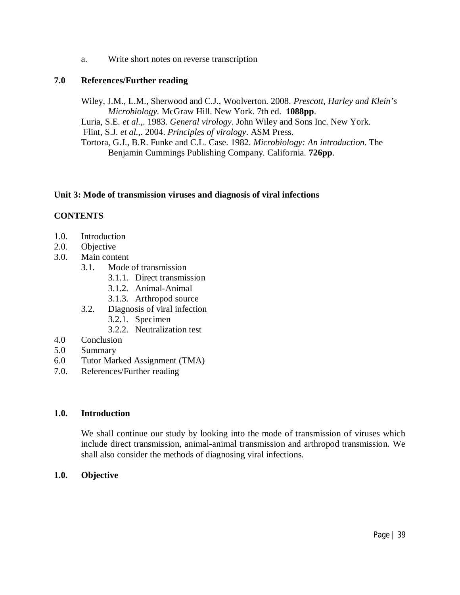a. Write short notes on reverse transcription

### **7.0 References/Further reading**

Wiley, J.M., L.M., Sherwood and C.J., Woolverton. 2008. *Prescott, Harley and Klein's Microbiology.* McGraw Hill. New York. 7th ed. **1088pp**. Luria, S.E*. et al.*,. 1983. *General virology*. John Wiley and Sons Inc. New York. Flint, S.J. *et al.*,. 2004. *Principles of virology*. ASM Press. Tortora, G.J., B.R. Funke and C.L. Case. 1982. *Microbiology: An introduction*. The Benjamin Cummings Publishing Company. California. **726pp**.

### **Unit 3: Mode of transmission viruses and diagnosis of viral infections**

## **CONTENTS**

- 1.0. Introduction
- 2.0. Objective
- 3.0. Main content
	- 3.1. Mode of transmission
		- 3.1.1. Direct transmission
		- 3.1.2. Animal-Animal
		- 3.1.3. Arthropod source
	- 3.2. Diagnosis of viral infection
		- 3.2.1. Specimen
		- 3.2.2. Neutralization test
- 4.0 Conclusion
- 5.0 Summary
- 6.0 Tutor Marked Assignment (TMA)
- 7.0. References/Further reading

### **1.0. Introduction**

We shall continue our study by looking into the mode of transmission of viruses which include direct transmission, animal-animal transmission and arthropod transmission. We shall also consider the methods of diagnosing viral infections.

### **1.0. Objective**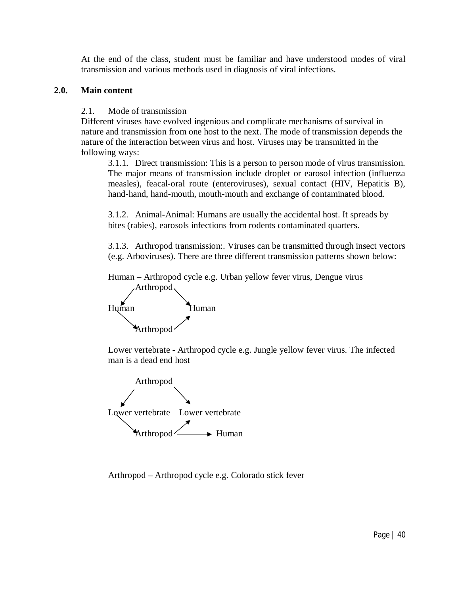At the end of the class, student must be familiar and have understood modes of viral transmission and various methods used in diagnosis of viral infections.

### **2.0. Main content**

2.1. Mode of transmission

Different viruses have evolved ingenious and complicate mechanisms of survival in nature and transmission from one host to the next. The mode of transmission depends the nature of the interaction between virus and host. Viruses may be transmitted in the following ways:

3.1.1. Direct transmission: This is a person to person mode of virus transmission. The major means of transmission include droplet or earosol infection (influenza measles), feacal-oral route (enteroviruses), sexual contact (HIV, Hepatitis B), hand-hand, hand-mouth, mouth-mouth and exchange of contaminated blood.

3.1.2. Animal-Animal: Humans are usually the accidental host. It spreads by bites (rabies), earosols infections from rodents contaminated quarters.

3.1.3. Arthropod transmission:. Viruses can be transmitted through insect vectors (e.g. Arboviruses). There are three different transmission patterns shown below:

Human – Arthropod cycle e.g. Urban yellow fever virus, Dengue virus Arthropod



Lower vertebrate - Arthropod cycle e.g. Jungle yellow fever virus. The infected man is a dead end host



Arthropod – Arthropod cycle e.g. Colorado stick fever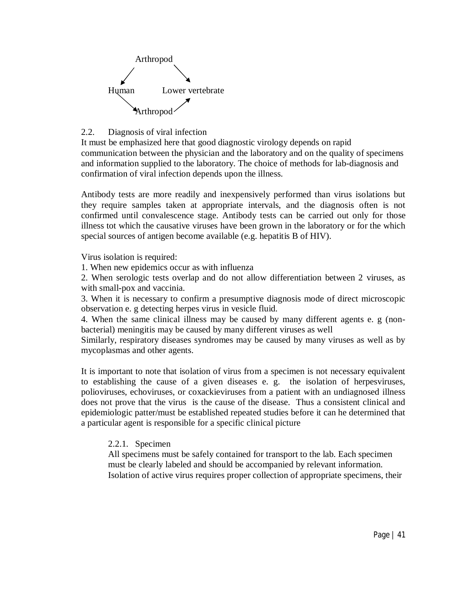

## 2.2. Diagnosis of viral infection

It must be emphasized here that good diagnostic virology depends on rapid communication between the physician and the laboratory and on the quality of specimens and information supplied to the laboratory. The choice of methods for lab-diagnosis and confirmation of viral infection depends upon the illness.

Antibody tests are more readily and inexpensively performed than virus isolations but they require samples taken at appropriate intervals, and the diagnosis often is not confirmed until convalescence stage. Antibody tests can be carried out only for those illness tot which the causative viruses have been grown in the laboratory or for the which special sources of antigen become available (e.g. hepatitis B of HIV).

Virus isolation is required:

1. When new epidemics occur as with influenza

2. When serologic tests overlap and do not allow differentiation between 2 viruses, as with small-pox and vaccinia.

3. When it is necessary to confirm a presumptive diagnosis mode of direct microscopic observation e. g detecting herpes virus in vesicle fluid.

4. When the same clinical illness may be caused by many different agents e. g (nonbacterial) meningitis may be caused by many different viruses as well

Similarly, respiratory diseases syndromes may be caused by many viruses as well as by mycoplasmas and other agents.

It is important to note that isolation of virus from a specimen is not necessary equivalent to establishing the cause of a given diseases e. g. the isolation of herpesviruses, polioviruses, echoviruses, or coxackieviruses from a patient with an undiagnosed illness does not prove that the virus is the cause of the disease. Thus a consistent clinical and epidemiologic patter/must be established repeated studies before it can he determined that a particular agent is responsible for a specific clinical picture

## 2.2.1. Specimen

All specimens must be safely contained for transport to the lab. Each specimen must be clearly labeled and should be accompanied by relevant information. Isolation of active virus requires proper collection of appropriate specimens, their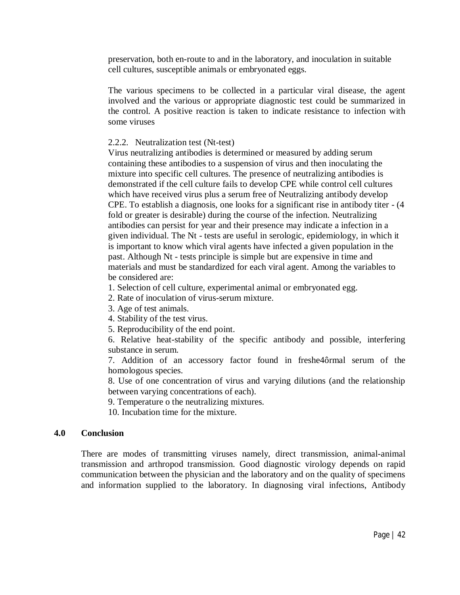preservation, both en-route to and in the laboratory, and inoculation in suitable cell cultures, susceptible animals or embryonated eggs.

The various specimens to be collected in a particular viral disease, the agent involved and the various or appropriate diagnostic test could be summarized in the control. A positive reaction is taken to indicate resistance to infection with some viruses

### 2.2.2. Neutralization test (Nt-test)

Virus neutralizing antibodies is determined or measured by adding serum containing these antibodies to a suspension of virus and then inoculating the mixture into specific cell cultures. The presence of neutralizing antibodies is demonstrated if the cell culture fails to develop CPE while control cell cultures which have received virus plus a serum free of Neutralizing antibody develop CPE. To establish a diagnosis, one looks for a significant rise in antibody titer - (4 fold or greater is desirable) during the course of the infection. Neutralizing antibodies can persist for year and their presence may indicate a infection in a given individual. The Nt - tests are useful in serologic, epidemiology, in which it is important to know which viral agents have infected a given population in the past. Although Nt - tests principle is simple but are expensive in time and materials and must be standardized for each viral agent. Among the variables to be considered are:

1. Selection of cell culture, experimental animal or embryonated egg.

- 2. Rate of inoculation of virus-serum mixture.
- 3. Age of test animals.
- 4. Stability of the test virus.
- 5. Reproducibility of the end point.

6. Relative heat-stability of the specific antibody and possible, interfering substance in serum.

7. Addition of an accessory factor found in freshe4ôrmal serum of the homologous species.

8. Use of one concentration of virus and varying dilutions (and the relationship between varying concentrations of each).

9. Temperature o the neutralizing mixtures.

10. Incubation time for the mixture.

### **4.0 Conclusion**

There are modes of transmitting viruses namely, direct transmission, animal-animal transmission and arthropod transmission. Good diagnostic virology depends on rapid communication between the physician and the laboratory and on the quality of specimens and information supplied to the laboratory. In diagnosing viral infections, Antibody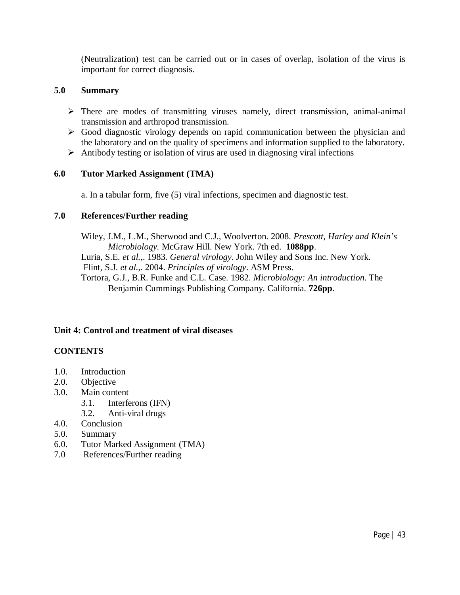(Neutralization) test can be carried out or in cases of overlap, isolation of the virus is important for correct diagnosis.

### **5.0 Summary**

- There are modes of transmitting viruses namely, direct transmission, animal-animal transmission and arthropod transmission.
- Good diagnostic virology depends on rapid communication between the physician and the laboratory and on the quality of specimens and information supplied to the laboratory.
- $\triangleright$  Antibody testing or isolation of virus are used in diagnosing viral infections

### **6.0 Tutor Marked Assignment (TMA)**

a. In a tabular form, five (5) viral infections, specimen and diagnostic test.

### **7.0 References/Further reading**

Wiley, J.M., L.M., Sherwood and C.J., Woolverton. 2008. *Prescott, Harley and Klein's Microbiology.* McGraw Hill. New York. 7th ed. **1088pp**. Luria, S.E*. et al.*,. 1983. *General virology*. John Wiley and Sons Inc. New York. Flint, S.J. *et al.*,. 2004. *Principles of virology*. ASM Press. Tortora, G.J., B.R. Funke and C.L. Case. 1982. *Microbiology: An introduction*. The Benjamin Cummings Publishing Company. California. **726pp**.

## **Unit 4: Control and treatment of viral diseases**

## **CONTENTS**

- 1.0. Introduction
- 2.0. Objective
- 3.0. Main content
	- 3.1. Interferons (IFN)
	- 3.2. Anti-viral drugs
- 4.0. Conclusion
- 5.0. Summary
- 6.0. Tutor Marked Assignment (TMA)
- 7.0 References/Further reading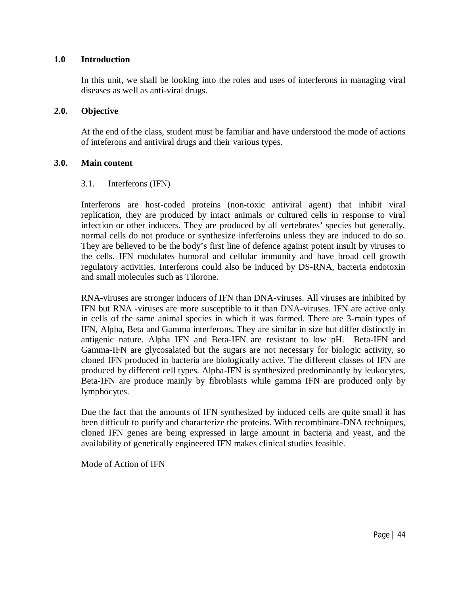#### **1.0 Introduction**

In this unit, we shall be looking into the roles and uses of interferons in managing viral diseases as well as anti-viral drugs.

#### **2.0. Objective**

At the end of the class, student must be familiar and have understood the mode of actions of inteferons and antiviral drugs and their various types.

### **3.0. Main content**

#### 3.1. Interferons (IFN)

Interferons are host-coded proteins (non-toxic antiviral agent) that inhibit viral replication, they are produced by intact animals or cultured cells in response to viral infection or other inducers. They are produced by all vertebrates' species but generally, normal cells do not produce or synthesize inferferoins unless they are induced to do so. They are believed to be the body's first line of defence against potent insult by viruses to the cells. IFN modulates humoral and cellular immunity and have broad cell growth regulatory activities. Interferons could also be induced by DS-RNA, bacteria endotoxin and small molecules such as Tilorone.

RNA-viruses are stronger inducers of IFN than DNA-viruses. All viruses are inhibited by IFN but RNA -viruses are more susceptible to it than DNA-viruses. IFN are active only in cells of the same animal species in which it was formed. There are 3-main types of IFN, Alpha, Beta and Gamma interferons. They are similar in size hut differ distinctly in antigenic nature. Alpha IFN and Beta-IFN are resistant to low pH. Beta-IFN and Gamma-IFN are glycosalated but the sugars are not necessary for biologic activity, so cloned IFN produced in bacteria are biologically active. The different classes of IFN are produced by different cell types. Alpha-IFN is synthesized predominantly by leukocytes, Beta-IFN are produce mainly by fibroblasts while gamma IFN are produced only by lymphocytes.

Due the fact that the amounts of IFN synthesized by induced cells are quite small it has been difficult to purify and characterize the proteins. With recombinant-DNA techniques, cloned IFN genes are being expressed in large amount in bacteria and yeast, and the availability of genetically engineered IFN makes clinical studies feasible.

Mode of Action of IFN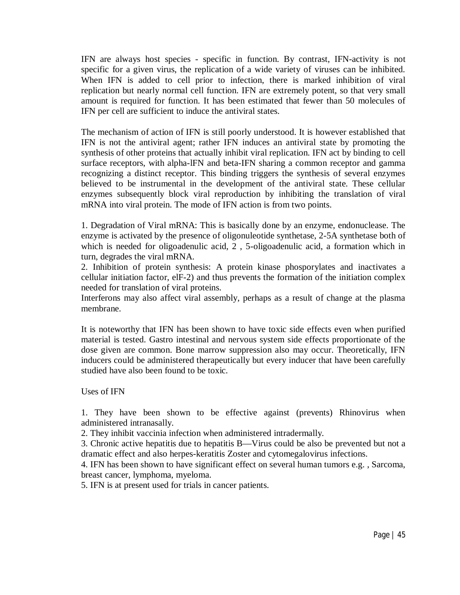IFN are always host species - specific in function. By contrast, IFN-activity is not specific for a given virus, the replication of a wide variety of viruses can be inhibited. When IFN is added to cell prior to infection, there is marked inhibition of viral replication but nearly normal cell function. IFN are extremely potent, so that very small amount is required for function. It has been estimated that fewer than 50 molecules of IFN per cell are sufficient to induce the antiviral states.

The mechanism of action of IFN is still poorly understood. It is however established that IFN is not the antiviral agent; rather IFN induces an antiviral state by promoting the synthesis of other proteins that actually inhibit viral replication. IFN act by binding to cell surface receptors, with alpha-lFN and beta-IFN sharing a common receptor and gamma recognizing a distinct receptor. This binding triggers the synthesis of several enzymes believed to be instrumental in the development of the antiviral state. These cellular enzymes subsequently block viral reproduction by inhibiting the translation of viral mRNA into viral protein. The mode of IFN action is from two points.

1. Degradation of Viral mRNA: This is basically done by an enzyme, endonuclease. The enzyme is activated by the presence of oligonuleotide synthetase, 2-5A synthetase both of which is needed for oligoadenulic acid, 2 , 5-oligoadenulic acid, a formation which in turn, degrades the viral mRNA.

2. Inhibition of protein synthesis: A protein kinase phosporylates and inactivates a cellular initiation factor, elF-2) and thus prevents the formation of the initiation complex needed for translation of viral proteins.

Interferons may also affect viral assembly, perhaps as a result of change at the plasma membrane.

It is noteworthy that IFN has been shown to have toxic side effects even when purified material is tested. Gastro intestinal and nervous system side effects proportionate of the dose given are common. Bone marrow suppression also may occur. Theoretically, IFN inducers could be administered therapeutically but every inducer that have been carefully studied have also been found to be toxic.

Uses of IFN

1. They have been shown to be effective against (prevents) Rhinovirus when administered intranasally.

2. They inhibit vaccinia infection when administered intradermally.

3. Chronic active hepatitis due to hepatitis B—Virus could be also be prevented but not a dramatic effect and also herpes-keratitis Zoster and cytomegalovirus infections.

4. IFN has been shown to have significant effect on several human tumors e.g. , Sarcoma, breast cancer, lymphoma, myeloma.

5. IFN is at present used for trials in cancer patients.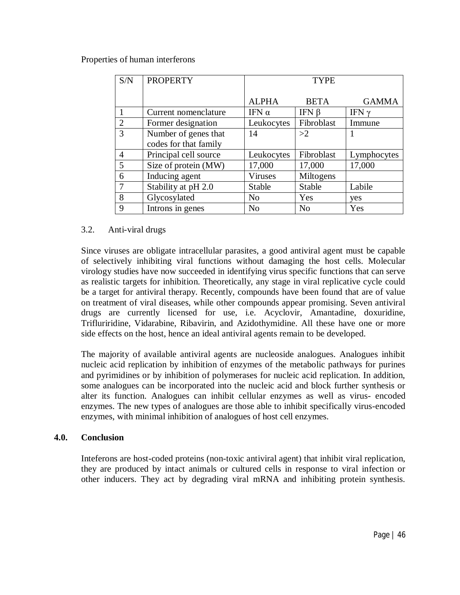#### Properties of human interferons

| S/N            | <b>PROPERTY</b>       | <b>TYPE</b>    |                |              |
|----------------|-----------------------|----------------|----------------|--------------|
|                |                       | <b>ALPHA</b>   | <b>BETA</b>    | <b>GAMMA</b> |
|                | Current nomenclature  | IFN $\alpha$   | IFN $\beta$    | IFN $\gamma$ |
| $\overline{2}$ | Former designation    | Leukocytes     | Fibroblast     | Immune       |
| 3              | Number of genes that  | 14             | >2             |              |
|                | codes for that family |                |                |              |
| 4              | Principal cell source | Leukocytes     | Fibroblast     | Lymphocytes  |
| 5              | Size of protein (MW)  | 17,000         | 17,000         | 17,000       |
| 6              | Inducing agent        | Viruses        | Miltogens      |              |
| 7              | Stability at pH 2.0   | <b>Stable</b>  | Stable         | Labile       |
| 8              | Glycosylated          | N <sub>0</sub> | Yes            | yes          |
| 9              | Introns in genes      | N <sub>0</sub> | N <sub>o</sub> | Yes          |

### 3.2. Anti-viral drugs

Since viruses are obligate intracellular parasites, a good antiviral agent must be capable of selectively inhibiting viral functions without damaging the host cells. Molecular virology studies have now succeeded in identifying virus specific functions that can serve as realistic targets for inhibition. Theoretically, any stage in viral replicative cycle could be a target for antiviral therapy. Recently, compounds have been found that are of value on treatment of viral diseases, while other compounds appear promising. Seven antiviral drugs are currently licensed for use, i.e. Acyclovir, Amantadine, doxuridine, Trifluriridine, Vidarabine, Ribavirin, and Azidothymidine. All these have one or more side effects on the host, hence an ideal antiviral agents remain to be developed.

The majority of available antiviral agents are nucleoside analogues. Analogues inhibit nucleic acid replication by inhibition of enzymes of the metabolic pathways for purines and pyrimidines or by inhibition of polymerases for nucleic acid replication. In addition, some analogues can be incorporated into the nucleic acid and block further synthesis or alter its function. Analogues can inhibit cellular enzymes as well as virus- encoded enzymes. The new types of analogues are those able to inhibit specifically virus-encoded enzymes, with minimal inhibition of analogues of host cell enzymes.

### **4.0. Conclusion**

Inteferons are host-coded proteins (non-toxic antiviral agent) that inhibit viral replication, they are produced by intact animals or cultured cells in response to viral infection or other inducers. They act by degrading viral mRNA and inhibiting protein synthesis.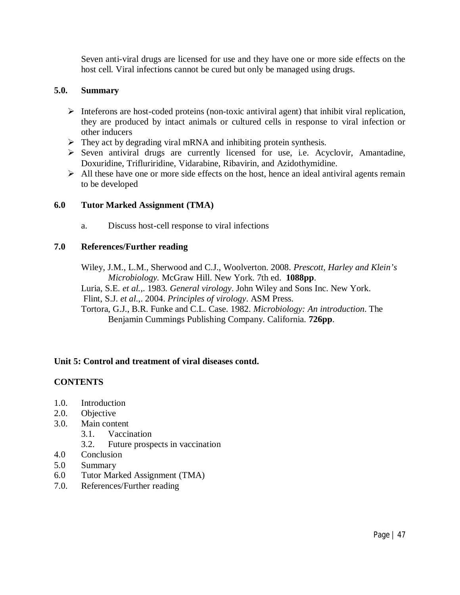Seven anti-viral drugs are licensed for use and they have one or more side effects on the host cell. Viral infections cannot be cured but only be managed using drugs.

### **5.0. Summary**

- $\triangleright$  Inteferons are host-coded proteins (non-toxic antiviral agent) that inhibit viral replication, they are produced by intact animals or cultured cells in response to viral infection or other inducers
- $\triangleright$  They act by degrading viral mRNA and inhibiting protein synthesis.
- $\triangleright$  Seven antiviral drugs are currently licensed for use, i.e. Acyclovir, Amantadine, Doxuridine, Trifluriridine, Vidarabine, Ribavirin, and Azidothymidine.
- $\triangleright$  All these have one or more side effects on the host, hence an ideal antiviral agents remain to be developed

### **6.0 Tutor Marked Assignment (TMA)**

a. Discuss host-cell response to viral infections

### **7.0 References/Further reading**

Wiley, J.M., L.M., Sherwood and C.J., Woolverton. 2008. *Prescott, Harley and Klein's Microbiology.* McGraw Hill. New York. 7th ed. **1088pp**.

Luria, S.E*. et al.*,. 1983. *General virology*. John Wiley and Sons Inc. New York. Flint, S.J. *et al.*,. 2004. *Principles of virology*. ASM Press.

Tortora, G.J., B.R. Funke and C.L. Case. 1982. *Microbiology: An introduction*. The Benjamin Cummings Publishing Company. California. **726pp**.

## **Unit 5: Control and treatment of viral diseases contd.**

## **CONTENTS**

- 1.0. Introduction
- 2.0. Objective
- 3.0. Main content
	- 3.1. Vaccination
	- 3.2. Future prospects in vaccination
- 4.0 Conclusion
- 5.0 Summary
- 6.0 Tutor Marked Assignment (TMA)
- 7.0. References/Further reading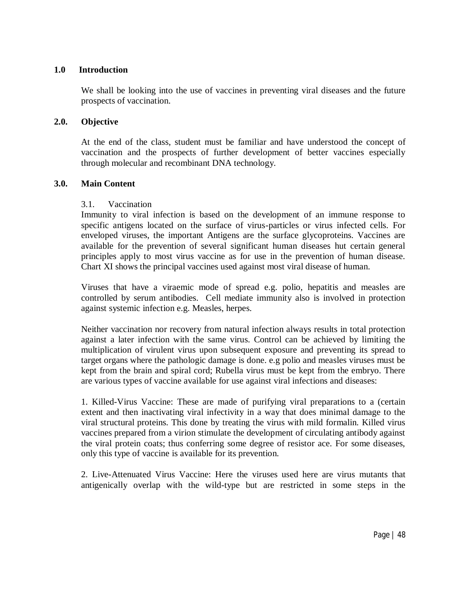#### **1.0 Introduction**

We shall be looking into the use of vaccines in preventing viral diseases and the future prospects of vaccination.

#### **2.0. Objective**

At the end of the class, student must be familiar and have understood the concept of vaccination and the prospects of further development of better vaccines especially through molecular and recombinant DNA technology.

#### **3.0. Main Content**

#### 3.1. Vaccination

Immunity to viral infection is based on the development of an immune response to specific antigens located on the surface of virus-particles or virus infected cells. For enveloped viruses, the important Antigens are the surface glycoproteins. Vaccines are available for the prevention of several significant human diseases hut certain general principles apply to most virus vaccine as for use in the prevention of human disease. Chart XI shows the principal vaccines used against most viral disease of human.

Viruses that have a viraemic mode of spread e.g. polio, hepatitis and measles are controlled by serum antibodies. Cell mediate immunity also is involved in protection against systemic infection e.g. Measles, herpes.

Neither vaccination nor recovery from natural infection always results in total protection against a later infection with the same virus. Control can be achieved by limiting the multiplication of virulent virus upon subsequent exposure and preventing its spread to target organs where the pathologic damage is done. e.g polio and measles viruses must be kept from the brain and spiral cord; Rubella virus must be kept from the embryo. There are various types of vaccine available for use against viral infections and diseases:

1. Killed-Virus Vaccine: These are made of purifying viral preparations to a (certain extent and then inactivating viral infectivity in a way that does minimal damage to the viral structural proteins. This done by treating the virus with mild formalin. Killed virus vaccines prepared from a virion stimulate the development of circulating antibody against the viral protein coats; thus conferring some degree of resistor ace. For some diseases, only this type of vaccine is available for its prevention.

2. Live-Attenuated Virus Vaccine: Here the viruses used here are virus mutants that antigenically overlap with the wild-type but are restricted in some steps in the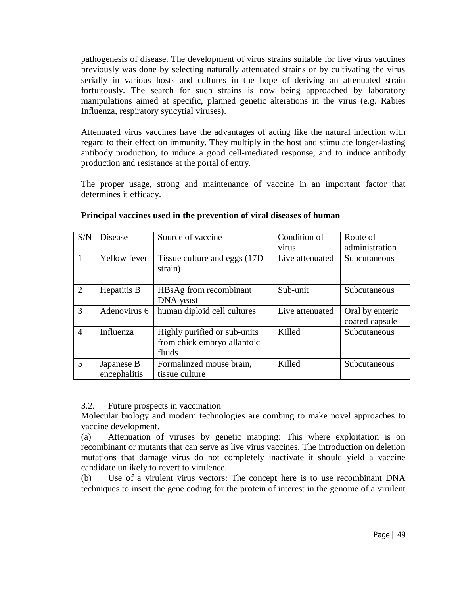pathogenesis of disease. The development of virus strains suitable for live virus vaccines previously was done by selecting naturally attenuated strains or by cultivating the virus serially in various hosts and cultures in the hope of deriving an attenuated strain fortuitously. The search for such strains is now being approached by laboratory manipulations aimed at specific, planned genetic alterations in the virus (e.g. Rabies Influenza, respiratory syncytial viruses).

Attenuated virus vaccines have the advantages of acting like the natural infection with regard to their effect on immunity. They multiply in the host and stimulate longer-lasting antibody production, to induce a good cell-mediated response, and to induce antibody production and resistance at the portal of entry.

The proper usage, strong and maintenance of vaccine in an important factor that determines it efficacy.

| S/N            | <b>Disease</b>             | Source of vaccine                                                     | Condition of<br>virus | Route of<br>administration        |
|----------------|----------------------------|-----------------------------------------------------------------------|-----------------------|-----------------------------------|
| $\mathbf{1}$   | Yellow fever               | Tissue culture and eggs (17D)<br>strain)                              | Live attenuated       | Subcutaneous                      |
| 2              | Hepatitis B                | HBsAg from recombinant<br>DNA yeast                                   | Sub-unit              | Subcutaneous                      |
| 3              | Adenovirus 6               | human diploid cell cultures                                           | Live attenuated       | Oral by enteric<br>coated capsule |
| $\overline{4}$ | Influenza                  | Highly purified or sub-units<br>from chick embryo allantoic<br>fluids | Killed                | Subcutaneous                      |
| 5              | Japanese B<br>encephalitis | Formalinzed mouse brain,<br>tissue culture                            | Killed                | Subcutaneous                      |

#### **Principal vaccines used in the prevention of viral diseases of human**

### 3.2. Future prospects in vaccination

Molecular biology and modern technologies are combing to make novel approaches to vaccine development.

(a) Attenuation of viruses by genetic mapping: This where exploitation is on recombinant or mutants that can serve as live virus vaccines. The introduction on deletion mutations that damage virus do not completely inactivate it should yield a vaccine candidate unlikely to revert to virulence.

(b) Use of a virulent virus vectors: The concept here is to use recombinant DNA techniques to insert the gene coding for the protein of interest in the genome of a virulent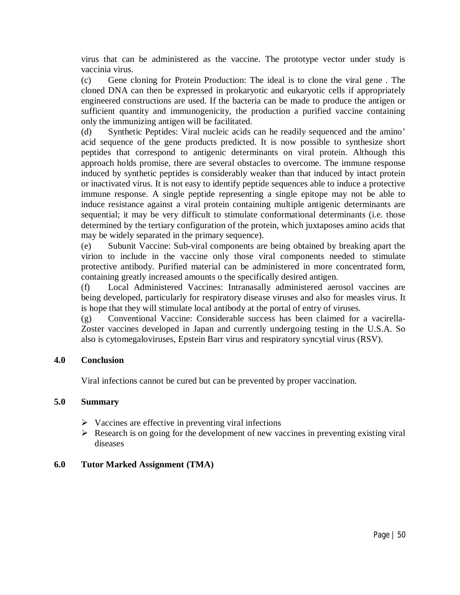virus that can be administered as the vaccine. The prototype vector under study is vaccinia virus.

(c) Gene cloning for Protein Production: The ideal is to clone the viral gene . The cloned DNA can then be expressed in prokaryotic and eukaryotic cells if appropriately engineered constructions are used. If the bacteria can be made to produce the antigen or sufficient quantity and immunogenicity, the production a purified vaccine containing only the immunizing antigen will be facilitated.

(d) Synthetic Peptides: Viral nucleic acids can he readily sequenced and the amino' acid sequence of the gene products predicted. It is now possible to synthesize short peptides that correspond to antigenic determinants on viral protein. Although this approach holds promise, there are several obstacles to overcome. The immune response induced by synthetic peptides is considerably weaker than that induced by intact protein or inactivated virus. It is not easy to identify peptide sequences able to induce a protective immune response. A single peptide representing a single epitope may not be able to induce resistance against a viral protein containing multiple antigenic determinants are sequential; it may be very difficult to stimulate conformational determinants (i.e. those determined by the tertiary configuration of the protein, which juxtaposes amino acids that may be widely separated in the primary sequence).

(e) Subunit Vaccine: Sub-viral components are being obtained by breaking apart the virion to include in the vaccine only those viral components needed to stimulate protective antibody. Purified material can be administered in more concentrated form, containing greatly increased amounts o the specifically desired antigen.

(f) Local Administered Vaccines: Intranasally administered aerosol vaccines are being developed, particularly for respiratory disease viruses and also for measles virus. It is hope that they will stimulate local antibody at the portal of entry of viruses.

(g) Conventional Vaccine: Considerable success has been claimed for a vacirella-Zoster vaccines developed in Japan and currently undergoing testing in the U.S.A. So also is cytomegaloviruses, Epstein Barr virus and respiratory syncytial virus (RSV).

### **4.0 Conclusion**

Viral infections cannot be cured but can be prevented by proper vaccination.

### **5.0 Summary**

- $\triangleright$  Vaccines are effective in preventing viral infections
- $\triangleright$  Research is on going for the development of new vaccines in preventing existing viral diseases

### **6.0 Tutor Marked Assignment (TMA)**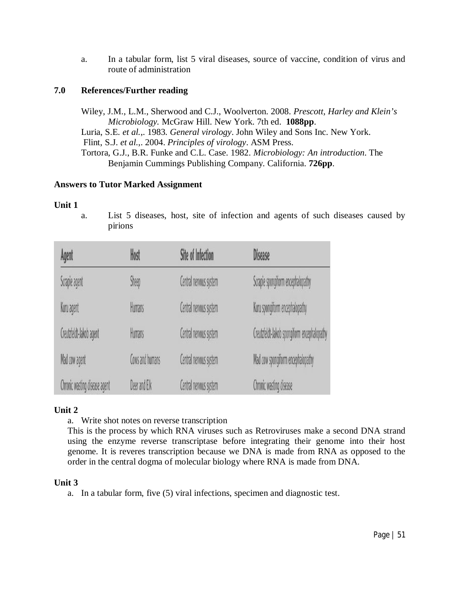a. In a tabular form, list 5 viral diseases, source of vaccine, condition of virus and route of administration

## **7.0 References/Further reading**

Wiley, J.M., L.M., Sherwood and C.J., Woolverton. 2008. *Prescott, Harley and Klein's Microbiology.* McGraw Hill. New York. 7th ed. **1088pp**. Luria, S.E*. et al.*,. 1983. *General virology*. John Wiley and Sons Inc. New York. Flint, S.J. *et al.*,. 2004. *Principles of virology*. ASM Press. Tortora, G.J., B.R. Funke and C.L. Case. 1982. *Microbiology: An introduction*. The Benjamin Cummings Publishing Company. California. **726pp**.

## **Answers to Tutor Marked Assignment**

### **Unit 1**

a. List 5 diseases, host, site of infection and agents of such diseases caused by pirions

| Agent                         | Host            | <b>Site of Infection</b> | <b>Disease</b>                              |
|-------------------------------|-----------------|--------------------------|---------------------------------------------|
| Scrapie agent                 | Sheep           | Central nervous system   | Scrapie spongiform encephalopathy           |
| Kuru agent                    | Humans          | Central nervous system   | Kuru spongiform encephalopathy              |
| Creutzfeldt-Jakob agent       | <b>Humans</b>   | Central nervous system   | Creutzfeldt-Jakob spongiform encephalopathy |
| Mad cow agent                 | Cows and humans | Central nervous system   | Mad cow spongiform encephalopathy           |
| Chronic wasting disease agent | Deer and Elk    | Central nervous system   | Chronic wasting disease                     |

## **Unit 2**

a. Write shot notes on reverse transcription

This is the process by which RNA viruses such as Retroviruses make a second DNA strand using the enzyme reverse transcriptase before integrating their genome into their host genome. It is reveres transcription because we DNA is made from RNA as opposed to the order in the central dogma of molecular biology where RNA is made from DNA.

## **Unit 3**

a. In a tabular form, five (5) viral infections, specimen and diagnostic test.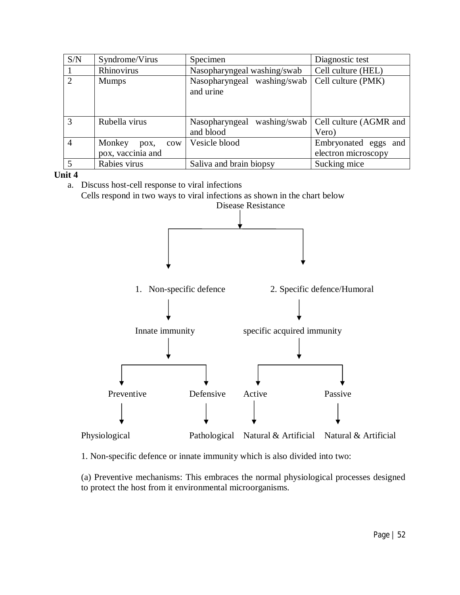| S/N            | Syndrome/Virus           | Specimen                                    | Diagnostic test                 |
|----------------|--------------------------|---------------------------------------------|---------------------------------|
|                | Rhinovirus               | Nasopharyngeal washing/swab                 | Cell culture (HEL)              |
| $\overline{2}$ | <b>Mumps</b>             | Nasopharyngeal washing/swab<br>and urine    | Cell culture (PMK)              |
| 3              | Rubella virus            | washing/swab<br>Nasopharyngeal<br>and blood | Cell culture (AGMR and<br>Vero) |
| $\overline{4}$ | Monkey<br>$\cos$<br>pox, | Vesicle blood                               | Embryonated eggs and            |
|                | pox, vaccinia and        |                                             | electron microscopy             |
|                | Rabies virus             | Saliva and brain biopsy                     | Sucking mice                    |

#### **Unit 4**

a. Discuss host-cell response to viral infections Cells respond in two ways to viral infections as shown in the chart below



1. Non-specific defence or innate immunity which is also divided into two:

(a) Preventive mechanisms: This embraces the normal physiological processes designed to protect the host from it environmental microorganisms.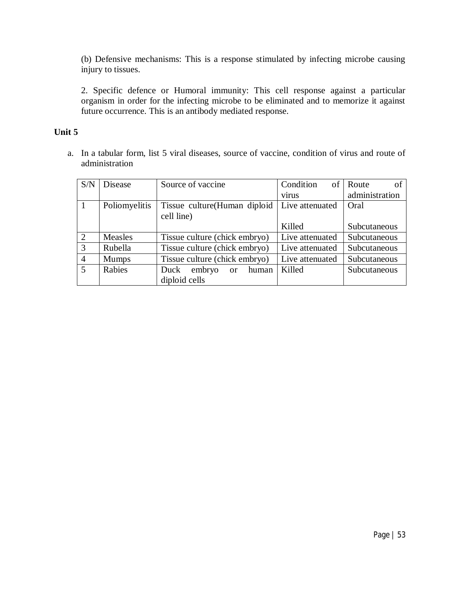(b) Defensive mechanisms: This is a response stimulated by infecting microbe causing injury to tissues.

2. Specific defence or Humoral immunity: This cell response against a particular organism in order for the infecting microbe to be eliminated and to memorize it against future occurrence. This is an antibody mediated response.

## **Unit 5**

a. In a tabular form, list 5 viral diseases, source of vaccine, condition of virus and route of administration

| S/N            | <b>Disease</b> | Source of vaccine                        | Condition<br>of | Route<br>of    |
|----------------|----------------|------------------------------------------|-----------------|----------------|
|                |                |                                          | virus           | administration |
|                | Poliomyelitis  | Tissue culture (Human diploid            | Live attenuated | Oral           |
|                |                | cell line)                               |                 |                |
|                |                |                                          | Killed          | Subcutaneous   |
| 2              | Measles        | Tissue culture (chick embryo)            | Live attenuated | Subcutaneous   |
| 3              | Rubella        | Tissue culture (chick embryo)            | Live attenuated | Subcutaneous   |
| $\overline{4}$ | <b>Mumps</b>   | Tissue culture (chick embryo)            | Live attenuated | Subcutaneous   |
| 5              | Rabies         | embryo<br>Duck<br>human<br><sub>or</sub> | Killed          | Subcutaneous   |
|                |                | diploid cells                            |                 |                |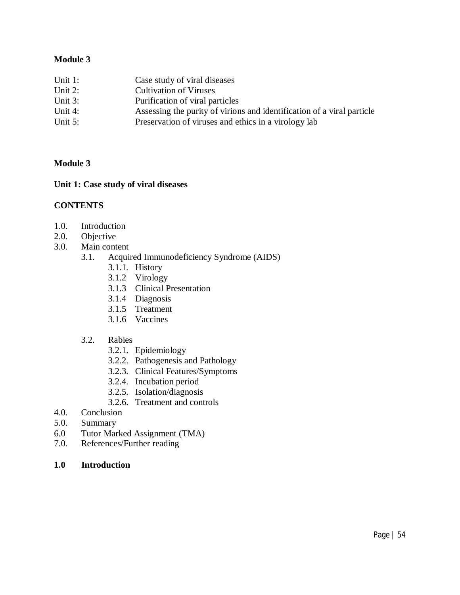## **Module 3**

| Unit $1$ : | Case study of viral diseases                                           |
|------------|------------------------------------------------------------------------|
| Unit $2$ : | <b>Cultivation of Viruses</b>                                          |
| Unit $3$ : | Purification of viral particles                                        |
| Unit $4$ : | Assessing the purity of virions and identification of a viral particle |
| Unit $5$ : | Preservation of viruses and ethics in a virology lab                   |

#### **Module 3**

## **Unit 1: Case study of viral diseases**

#### **CONTENTS**

- 1.0. Introduction<br>2.0. Objective
- Objective
- 3.0. Main content
	- 3.1. Acquired Immunodeficiency Syndrome (AIDS)
		- 3.1.1. History
		- 3.1.2 Virology
		- 3.1.3 Clinical Presentation
		- 3.1.4 Diagnosis
		- 3.1.5 Treatment
		- 3.1.6 Vaccines
	- 3.2. Rabies
		- 3.2.1. Epidemiology
		- 3.2.2. Pathogenesis and Pathology
		- 3.2.3. Clinical Features/Symptoms
		- 3.2.4. Incubation period
		- 3.2.5. Isolation/diagnosis
		- 3.2.6. Treatment and controls
- 4.0. Conclusion
- 5.0. Summary
- 6.0 Tutor Marked Assignment (TMA)
- 7.0. References/Further reading
- **1.0 Introduction**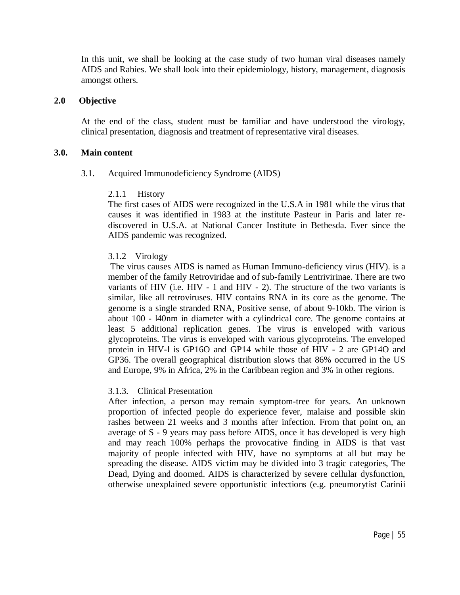In this unit, we shall be looking at the case study of two human viral diseases namely AIDS and Rabies. We shall look into their epidemiology, history, management, diagnosis amongst others.

#### **2.0 Objective**

At the end of the class, student must be familiar and have understood the virology, clinical presentation, diagnosis and treatment of representative viral diseases.

#### **3.0. Main content**

#### 3.1. Acquired Immunodeficiency Syndrome (AIDS)

#### 2.1.1 History

The first cases of AIDS were recognized in the U.S.A in 1981 while the virus that causes it was identified in 1983 at the institute Pasteur in Paris and later rediscovered in U.S.A. at National Cancer Institute in Bethesda. Ever since the AIDS pandemic was recognized.

### 3.1.2 Virology

The virus causes AIDS is named as Human Immuno-deficiency virus (HIV). is a member of the family Retroviridae and of sub-family Lentrivirinae. There are two variants of HIV (i.e. HIV - 1 and HIV - 2). The structure of the two variants is similar, like all retroviruses. HIV contains RNA in its core as the genome. The genome is a single stranded RNA, Positive sense, of about 9-10kb. The virion is about 100 - l40nm in diameter with a cylindrical core. The genome contains at least 5 additional replication genes. The virus is enveloped with various glycoproteins. The virus is enveloped with various glycoproteins. The enveloped protein in HIV-l is GP16O and GP14 while those of HIV - 2 are GP14O and GP36. The overall geographical distribution slows that 86% occurred in the US and Europe, 9% in Africa, 2% in the Caribbean region and 3% in other regions.

### 3.1.3. Clinical Presentation

After infection, a person may remain symptom-tree for years. An unknown proportion of infected people do experience fever, malaise and possible skin rashes between 21 weeks and 3 months after infection. From that point on, an average of S - 9 years may pass before AIDS, once it has developed is very high and may reach 100% perhaps the provocative finding in AIDS is that vast majority of people infected with HIV, have no symptoms at all but may be spreading the disease. AIDS victim may be divided into 3 tragic categories, The Dead, Dying and doomed. AIDS is characterized by severe cellular dysfunction, otherwise unexplained severe opportunistic infections (e.g. pneumorytist Carinii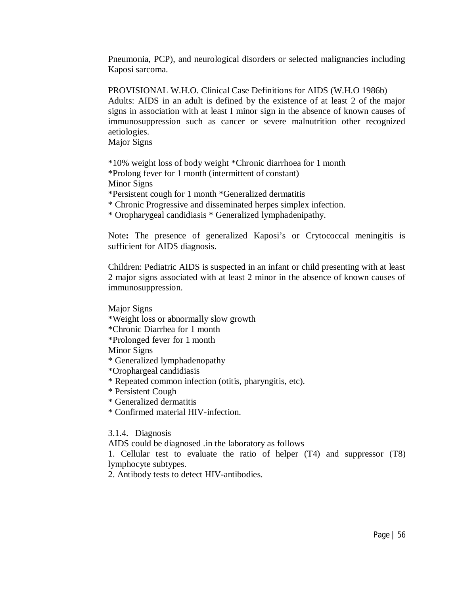Pneumonia, PCP), and neurological disorders or selected malignancies including Kaposi sarcoma.

PROVISIONAL W.H.O. Clinical Case Definitions for AIDS (W.H.O 1986b) Adults: AIDS in an adult is defined by the existence of at least 2 of the major signs in association with at least I minor sign in the absence of known causes of immunosuppression such as cancer or severe malnutrition other recognized aetiologies.

Major Signs

\*10% weight loss of body weight \*Chronic diarrhoea for 1 month \*Prolong fever for 1 month (intermittent of constant)

Minor Signs

\*Persistent cough for 1 month \*Generalized dermatitis

\* Chronic Progressive and disseminated herpes simplex infection.

\* Oropharygeal candidiasis \* Generalized lymphadenipathy.

Note**:** The presence of generalized Kaposi's or Crytococcal meningitis is sufficient for AIDS diagnosis.

Children: Pediatric AIDS is suspected in an infant or child presenting with at least 2 major signs associated with at least 2 minor in the absence of known causes of immunosuppression.

Major Signs

- \*Weight loss or abnormally slow growth
- \*Chronic Diarrhea for 1 month
- \*Prolonged fever for 1 month

Minor Signs

\* Generalized lymphadenopathy

\*Orophargeal candidiasis

\* Repeated common infection (otitis, pharyngitis, etc).

- \* Persistent Cough
- \* Generalized dermatitis
- \* Confirmed material HIV-infection.

3.1.4. Diagnosis

AIDS could be diagnosed .in the laboratory as follows

1. Cellular test to evaluate the ratio of helper (T4) and suppressor (T8) lymphocyte subtypes.

2. Antibody tests to detect HIV-antibodies.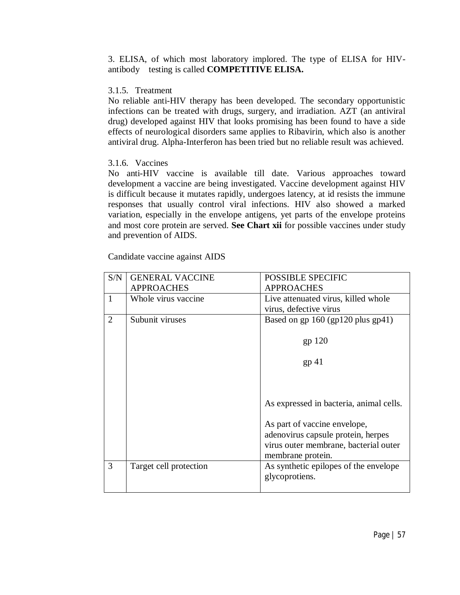3. ELISA, of which most laboratory implored. The type of ELISA for HIVantibody testing is called **COMPETITIVE ELISA.**

### 3.1.5. Treatment

No reliable anti-HIV therapy has been developed. The secondary opportunistic infections can be treated with drugs, surgery, and irradiation. AZT (an antiviral drug) developed against HIV that looks promising has been found to have a side effects of neurological disorders same applies to Ribavirin, which also is another antiviral drug. Alpha-Interferon has been tried but no reliable result was achieved.

## 3.1.6. Vaccines

No anti-HIV vaccine is available till date. Various approaches toward development a vaccine are being investigated. Vaccine development against HIV is difficult because it mutates rapidly, undergoes latency, at id resists the immune responses that usually control viral infections. HIV also showed a marked variation, especially in the envelope antigens, yet parts of the envelope proteins and most core protein are served. **See Chart xii** for possible vaccines under study and prevention of AIDS.

Candidate vaccine against AIDS

| S/N | <b>GENERAL VACCINE</b> | <b>POSSIBLE SPECIFIC</b>                |
|-----|------------------------|-----------------------------------------|
|     | <b>APPROACHES</b>      | <b>APPROACHES</b>                       |
| 1   | Whole virus vaccine    | Live attenuated virus, killed whole     |
|     |                        | virus, defective virus                  |
| 2   | Subunit viruses        | Based on gp 160 (gp120 plus gp41)       |
|     |                        |                                         |
|     |                        | $gp$ 120                                |
|     |                        |                                         |
|     |                        | $gp$ 41                                 |
|     |                        |                                         |
|     |                        |                                         |
|     |                        |                                         |
|     |                        | As expressed in bacteria, animal cells. |
|     |                        |                                         |
|     |                        | As part of vaccine envelope,            |
|     |                        | adenovirus capsule protein, herpes      |
|     |                        | virus outer membrane, bacterial outer   |
|     |                        | membrane protein.                       |
| 3   | Target cell protection | As synthetic epilopes of the envelope   |
|     |                        | glycoprotiens.                          |
|     |                        |                                         |
|     |                        |                                         |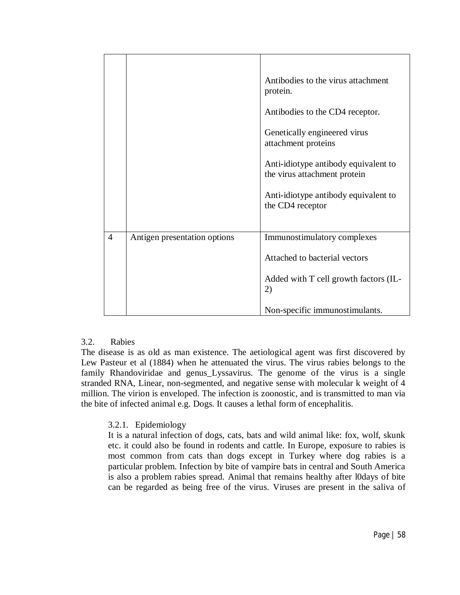|                |                              | Antibodies to the virus attachment<br>protein.                       |
|----------------|------------------------------|----------------------------------------------------------------------|
|                |                              | Antibodies to the CD4 receptor.                                      |
|                |                              | Genetically engineered virus<br>attachment proteins                  |
|                |                              | Anti-idiotype antibody equivalent to<br>the virus attachment protein |
|                |                              | Anti-idiotype antibody equivalent to<br>the CD4 receptor             |
|                |                              |                                                                      |
| $\overline{4}$ | Antigen presentation options | Immunostimulatory complexes                                          |
|                |                              | Attached to bacterial vectors                                        |
|                |                              | Added with T cell growth factors (IL-<br>2)                          |
|                |                              | Non-specific immunostimulants.                                       |

### 3.2. Rabies

The disease is as old as man existence. The aetiological agent was first discovered by Lew Pasteur et al (1884) when he attenuated the virus. The virus rabies belongs to the family Rhandoviridae and genus\_Lyssavirus. The genome of the virus is a single stranded RNA, Linear, non-segmented, and negative sense with molecular k weight of 4 million. The virion is enveloped. The infection is zoonostic, and is transmitted to man via the bite of infected animal e.g. Dogs. It causes a lethal form of encephalitis.

### 3.2.1. Epidemiology

It is a natural infection of dogs, cats, bats and wild animal like: fox, wolf, skunk etc. it could also be found in rodents and cattle. In Europe, exposure to rabies is most common from cats than dogs except in Turkey where dog rabies is a particular problem. Infection by bite of vampire bats in central and South America is also a problem rabies spread. Animal that remains healthy after l0days of bite can be regarded as being free of the virus. Viruses are present in the saliva of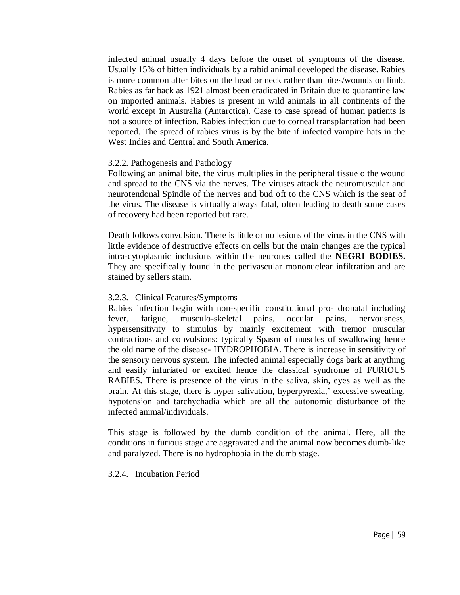infected animal usually 4 days before the onset of symptoms of the disease. Usually 15% of bitten individuals by a rabid animal developed the disease. Rabies is more common after bites on the head or neck rather than bites/wounds on limb. Rabies as far back as 1921 almost been eradicated in Britain due to quarantine law on imported animals. Rabies is present in wild animals in all continents of the world except in Australia (Antarctica). Case to case spread of human patients is not a source of infection. Rabies infection due to corneal transplantation had been reported. The spread of rabies virus is by the bite if infected vampire hats in the West Indies and Central and South America.

#### 3.2.2. Pathogenesis and Pathology

Following an animal bite, the virus multiplies in the peripheral tissue o the wound and spread to the CNS via the nerves. The viruses attack the neuromuscular and neurotendonal Spindle of the nerves and bud oft to the CNS which is the seat of the virus. The disease is virtually always fatal, often leading to death some cases of recovery had been reported but rare.

Death follows convulsion. There is little or no lesions of the virus in the CNS with little evidence of destructive effects on cells but the main changes are the typical intra-cytoplasmic inclusions within the neurones called the **NEGRI BODIES.** They are specifically found in the perivascular mononuclear infiltration and are stained by sellers stain.

### 3.2.3. Clinical Features/Symptoms

Rabies infection begin with non-specific constitutional pro- dronatal including fever, fatigue, musculo-skeletal pains, occular pains, nervousness, hypersensitivity to stimulus by mainly excitement with tremor muscular contractions and convulsions: typically Spasm of muscles of swallowing hence the old name of the disease- HYDROPHOBIA. There is increase in sensitivity of the sensory nervous system. The infected animal especially dogs bark at anything and easily infuriated or excited hence the classical syndrome of FURIOUS RABIES**.** There is presence of the virus in the saliva, skin, eyes as well as the brain. At this stage, there is hyper salivation, hyperpyrexia,' excessive sweating, hypotension and tarchychadia which are all the autonomic disturbance of the infected animal/individuals.

This stage is followed by the dumb condition of the animal. Here, all the conditions in furious stage are aggravated and the animal now becomes dumb-like and paralyzed. There is no hydrophobia in the dumb stage.

### 3.2.4. Incubation Period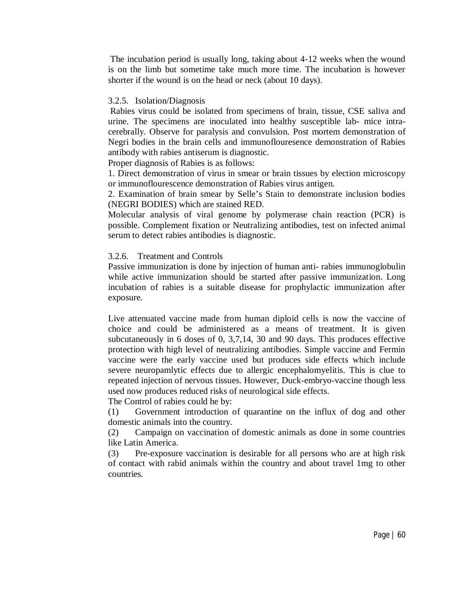The incubation period is usually long, taking about 4-12 weeks when the wound is on the limb but sometime take much more time. The incubation is however shorter if the wound is on the head or neck (about 10 days).

### 3.2.5. Isolation/Diagnosis

Rabies virus could be isolated from specimens of brain, tissue, CSE saliva and urine. The specimens are inoculated into healthy susceptible lab- mice intracerebrally. Observe for paralysis and convulsion. Post mortem demonstration of Negri bodies in the brain cells and immunoflouresence demonstration of Rabies antibody with rabies antiserum is diagnostic.

Proper diagnosis of Rabies is as follows:

1. Direct demonstration of virus in smear or brain tissues by election microscopy or immunoflourescence demonstration of Rabies virus antigen.

2. Examination of brain smear by Selle's Stain to demonstrate inclusion bodies (NEGRI BODIES) which are stained RED.

Molecular analysis of viral genome by polymerase chain reaction (PCR) is possible. Complement fixation or Neutralizing antibodies, test on infected animal serum to detect rabies antibodies is diagnostic.

### 3.2.6. Treatment and Controls

Passive immunization is done by injection of human anti- rabies immunoglobulin while active immunization should be started after passive immunization. Long incubation of rabies is a suitable disease for prophylactic immunization after exposure.

Live attenuated vaccine made from human diploid cells is now the vaccine of choice and could be administered as a means of treatment. It is given subcutaneously in 6 doses of 0, 3,7,14, 30 and 90 days. This produces effective protection with high level of neutralizing antibodies. Simple vaccine and Fermin vaccine were the early vaccine used but produces side effects which include severe neuropamlytic effects due to allergic encephalomyelitis. This is clue to repeated injection of nervous tissues. However, Duck-embryo-vaccine though less used now produces reduced risks of neurological side effects.

The Control of rabies could he by:

(1) Government introduction of quarantine on the influx of dog and other domestic animals into the country.

(2) Campaign on vaccination of domestic animals as done in some countries like Latin America.

(3) Pre-exposure vaccination is desirable for all persons who are at high risk of contact with rabid animals within the country and about travel 1mg to other countries.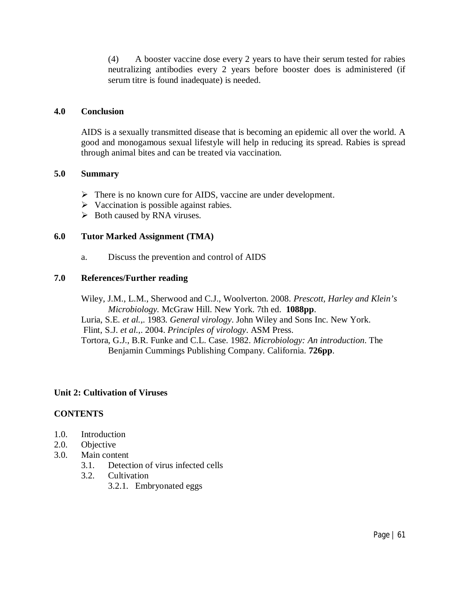(4) A booster vaccine dose every 2 years to have their serum tested for rabies neutralizing antibodies every 2 years before booster does is administered (if serum titre is found inadequate) is needed.

### **4.0 Conclusion**

AIDS is a sexually transmitted disease that is becoming an epidemic all over the world. A good and monogamous sexual lifestyle will help in reducing its spread. Rabies is spread through animal bites and can be treated via vaccination.

### **5.0 Summary**

- $\triangleright$  There is no known cure for AIDS, vaccine are under development.
- $\triangleright$  Vaccination is possible against rabies.
- $\triangleright$  Both caused by RNA viruses.

### **6.0 Tutor Marked Assignment (TMA)**

a. Discuss the prevention and control of AIDS

### **7.0 References/Further reading**

Wiley, J.M., L.M., Sherwood and C.J., Woolverton. 2008. *Prescott, Harley and Klein's Microbiology.* McGraw Hill. New York. 7th ed. **1088pp**. Luria, S.E*. et al.*,. 1983. *General virology*. John Wiley and Sons Inc. New York. Flint, S.J. *et al.*,. 2004. *Principles of virology*. ASM Press. Tortora, G.J., B.R. Funke and C.L. Case. 1982. *Microbiology: An introduction*. The Benjamin Cummings Publishing Company. California. **726pp**.

### **Unit 2: Cultivation of Viruses**

### **CONTENTS**

- 1.0. Introduction
- 2.0. Objective
- 3.0. Main content
	- 3.1. Detection of virus infected cells
	- 3.2. Cultivation
		- 3.2.1. Embryonated eggs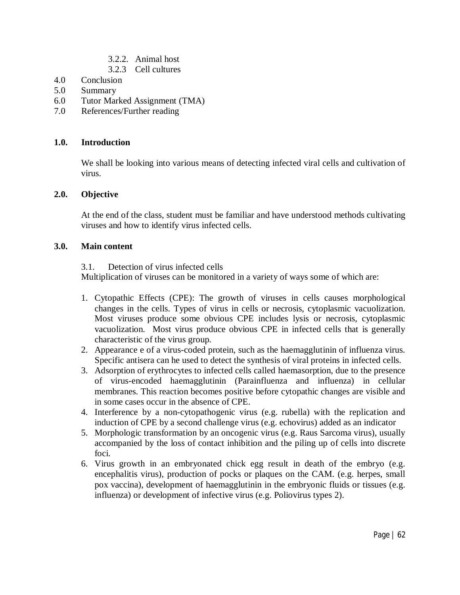- 3.2.2. Animal host
- 3.2.3 Cell cultures
- 4.0 Conclusion
- 5.0 Summary
- 6.0 Tutor Marked Assignment (TMA)
- 7.0 References/Further reading

## **1.0. Introduction**

We shall be looking into various means of detecting infected viral cells and cultivation of virus.

### **2.0. Objective**

At the end of the class, student must be familiar and have understood methods cultivating viruses and how to identify virus infected cells.

### **3.0. Main content**

3.1. Detection of virus infected cells

Multiplication of viruses can be monitored in a variety of ways some of which are:

- 1. Cytopathic Effects (CPE): The growth of viruses in cells causes morphological changes in the cells. Types of virus in cells or necrosis, cytoplasmic vacuolization. Most viruses produce some obvious CPE includes lysis or necrosis, cytoplasmic vacuolization. Most virus produce obvious CPE in infected cells that is generally characteristic of the virus group.
- 2. Appearance e of a virus-coded protein, such as the haemagglutinin of influenza virus. Specific antisera can he used to detect the synthesis of viral proteins in infected cells.
- 3. Adsorption of erythrocytes to infected cells called haemasorption, due to the presence of virus-encoded haemagglutinin (Parainfluenza and influenza) in cellular membranes. This reaction becomes positive before cytopathic changes are visible and in some cases occur in the absence of CPE.
- 4. Interference by a non-cytopathogenic virus (e.g. rubella) with the replication and induction of CPE by a second challenge virus (e.g. echovirus) added as an indicator
- 5. Morphologic transformation by an oncogenic virus (e.g. Raus Sarcoma virus), usually accompanied by the loss of contact inhibition and the piling up of cells into discrete foci.
- 6. Virus growth in an embryonated chick egg result in death of the embryo (e.g. encephalitis virus), production of pocks or plaques on the CAM. (e.g. herpes, small pox vaccina), development of haemagglutinin in the embryonic fluids or tissues (e.g. influenza) or development of infective virus (e.g. Poliovirus types 2).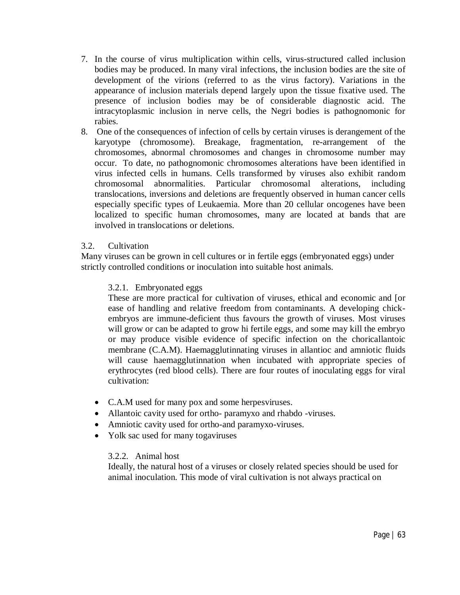- 7. In the course of virus multiplication within cells, virus-structured called inclusion bodies may be produced. In many viral infections, the inclusion bodies are the site of development of the virions (referred to as the virus factory). Variations in the appearance of inclusion materials depend largely upon the tissue fixative used. The presence of inclusion bodies may be of considerable diagnostic acid. The intracytoplasmic inclusion in nerve cells, the Negri bodies is pathognomonic for rabies.
- 8. One of the consequences of infection of cells by certain viruses is derangement of the karyotype (chromosome). Breakage, fragmentation, re-arrangement of the chromosomes, abnormal chromosomes and changes in chromosome number may occur. To date, no pathognomonic chromosomes alterations have been identified in virus infected cells in humans. Cells transformed by viruses also exhibit random chromosomal abnormalities. Particular chromosomal alterations, including translocations, inversions and deletions are frequently observed in human cancer cells especially specific types of Leukaemia. More than 20 cellular oncogenes have been localized to specific human chromosomes, many are located at bands that are involved in translocations or deletions.

### 3.2. Cultivation

Many viruses can be grown in cell cultures or in fertile eggs (embryonated eggs) under strictly controlled conditions or inoculation into suitable host animals.

### 3.2.1. Embryonated eggs

These are more practical for cultivation of viruses, ethical and economic and [or ease of handling and relative freedom from contaminants. A developing chickembryos are immune-deficient thus favours the growth of viruses. Most viruses will grow or can be adapted to grow hi fertile eggs, and some may kill the embryo or may produce visible evidence of specific infection on the choricallantoic membrane (C.A.M). Haemagglutinnating viruses in allantioc and amniotic fluids will cause haemagglutinnation when incubated with appropriate species of erythrocytes (red blood cells). There are four routes of inoculating eggs for viral cultivation:

- C.A.M used for many pox and some herpesviruses.
- Allantoic cavity used for ortho- paramyxo and rhabdo -viruses.
- Amniotic cavity used for ortho-and paramyxo-viruses.
- Yolk sac used for many togaviruses

## 3.2.2. Animal host

Ideally, the natural host of a viruses or closely related species should be used for animal inoculation. This mode of viral cultivation is not always practical on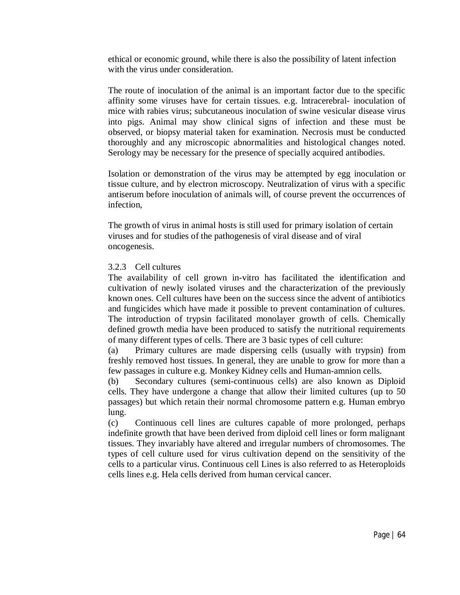ethical or economic ground, while there is also the possibility of latent infection with the virus under consideration.

The route of inoculation of the animal is an important factor due to the specific affinity some viruses have for certain tissues. e.g. lntracerebral- inoculation of mice with rabies virus; subcutaneous inoculation of swine vesicular disease virus into pigs. Animal may show clinical signs of infection and these must be observed, or biopsy material taken for examination. Necrosis must be conducted thoroughly and any microscopic abnormalities and histological changes noted. Serology may be necessary for the presence of specially acquired antibodies.

Isolation or demonstration of the virus may be attempted by egg inoculation or tissue culture, and by electron microscopy. Neutralization of virus with a specific antiserum before inoculation of animals will, of course prevent the occurrences of infection,

The growth of virus in animal hosts is still used for primary isolation of certain viruses and for studies of the pathogenesis of viral disease and of viral oncogenesis.

### 3.2.3 Cell cultures

The availability of cell grown in-vitro has facilitated the identification and cultivation of newly isolated viruses and the characterization of the previously known ones. Cell cultures have been on the success since the advent of antibiotics and fungicides which have made it possible to prevent contamination of cultures. The introduction of trypsin facilitated monolayer growth of cells. Chemically defined growth media have been produced to satisfy the nutritional requirements of many different types of cells. There are 3 basic types of cell culture:

(a) Primary cultures are made dispersing cells (usually with trypsin) from freshly removed host tissues. In general, they are unable to grow for more than a few passages in culture e.g. Monkey Kidney cells and Human-amnion cells.

(b) Secondary cultures (semi-continuous cells) are also known as Diploid cells. They have undergone a change that allow their limited cultures (up to 50 passages) but which retain their normal chromosome pattern e.g. Human embryo lung.

(c) Continuous cell lines are cultures capable of more prolonged, perhaps indefinite growth that have been derived from diploid cell lines or form malignant tissues. They invariably have altered and irregular numbers of chromosomes. The types of cell culture used for virus cultivation depend on the sensitivity of the cells to a particular virus. Continuous cell Lines is also referred to as Heteroploids cells lines e.g. Hela cells derived from human cervical cancer.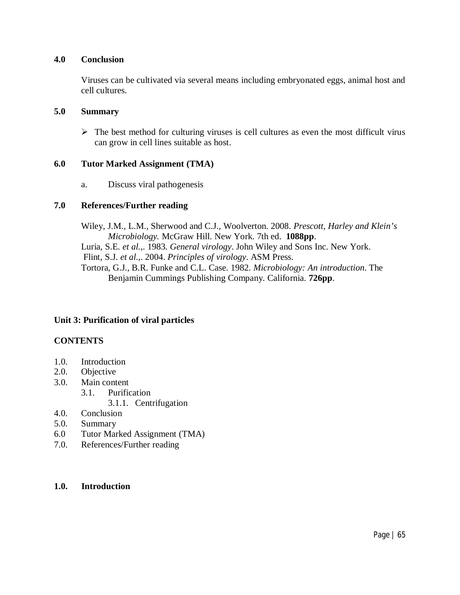### **4.0 Conclusion**

Viruses can be cultivated via several means including embryonated eggs, animal host and cell cultures.

### **5.0 Summary**

 $\triangleright$  The best method for culturing viruses is cell cultures as even the most difficult virus can grow in cell lines suitable as host.

### **6.0 Tutor Marked Assignment (TMA)**

a. Discuss viral pathogenesis

### **7.0 References/Further reading**

Wiley, J.M., L.M., Sherwood and C.J., Woolverton. 2008. *Prescott, Harley and Klein's Microbiology.* McGraw Hill. New York. 7th ed. **1088pp**. Luria, S.E*. et al.*,. 1983. *General virology*. John Wiley and Sons Inc. New York. Flint, S.J. *et al.*,. 2004. *Principles of virology*. ASM Press. Tortora, G.J., B.R. Funke and C.L. Case. 1982. *Microbiology: An introduction*. The Benjamin Cummings Publishing Company. California. **726pp**.

## **Unit 3: Purification of viral particles**

## **CONTENTS**

- 1.0. Introduction
- 2.0. Objective
- 3.0. Main content
	- 3.1. Purification
		- 3.1.1. Centrifugation
- 4.0. Conclusion
- 5.0. Summary
- 6.0 Tutor Marked Assignment (TMA)
- 7.0. References/Further reading

### **1.0. Introduction**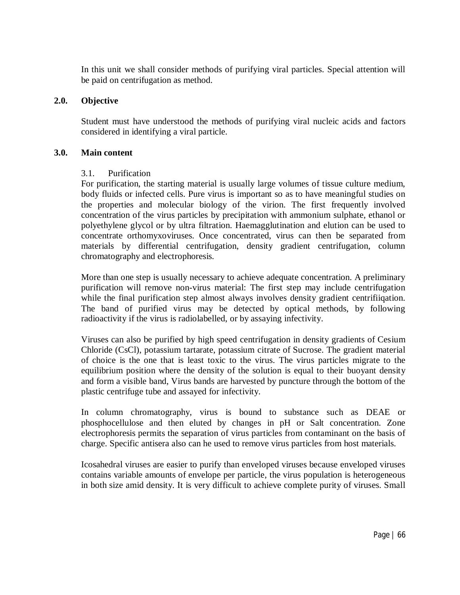In this unit we shall consider methods of purifying viral particles. Special attention will be paid on centrifugation as method.

### **2.0. Objective**

Student must have understood the methods of purifying viral nucleic acids and factors considered in identifying a viral particle.

### **3.0. Main content**

### 3.1. Purification

For purification, the starting material is usually large volumes of tissue culture medium, body fluids or infected cells. Pure virus is important so as to have meaningful studies on the properties and molecular biology of the virion. The first frequently involved concentration of the virus particles by precipitation with ammonium sulphate, ethanol or polyethylene glycol or by ultra filtration. Haemagglutination and elution can be used to concentrate orthomyxoviruses. Once concentrated, virus can then be separated from materials by differential centrifugation, density gradient centrifugation, column chromatography and electrophoresis.

More than one step is usually necessary to achieve adequate concentration. A preliminary purification will remove non-virus material: The first step may include centrifugation while the final purification step almost always involves density gradient centrifiiqation. The band of purified virus may be detected by optical methods, by following radioactivity if the virus is radiolabelled, or by assaying infectivity.

Viruses can also be purified by high speed centrifugation in density gradients of Cesium Chloride (CsCl), potassium tartarate, potassium citrate of Sucrose. The gradient material of choice is the one that is least toxic to the virus. The virus particles migrate to the equilibrium position where the density of the solution is equal to their buoyant density and form a visible band, Virus bands are harvested by puncture through the bottom of the plastic centrifuge tube and assayed for infectivity.

In column chromatography, virus is bound to substance such as DEAE or phosphocellulose and then eluted by changes in pH or Salt concentration. Zone electrophoresis permits the separation of virus particles from contaminant on the basis of charge. Specific antisera also can he used to remove virus particles from host materials.

Icosahedral viruses are easier to purify than enveloped viruses because enveloped viruses contains variable amounts of envelope per particle, the virus population is heterogeneous in both size amid density. It is very difficult to achieve complete purity of viruses. Small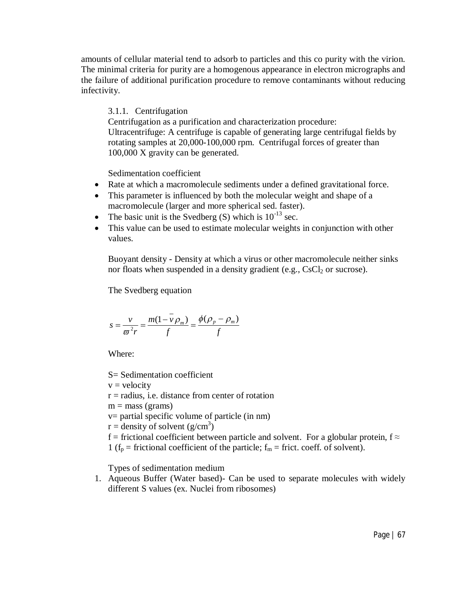amounts of cellular material tend to adsorb to particles and this co purity with the virion. The minimal criteria for purity are a homogenous appearance in electron micrographs and the failure of additional purification procedure to remove contaminants without reducing infectivity.

3.1.1. Centrifugation

Centrifugation as a purification and characterization procedure: Ultracentrifuge: A centrifuge is capable of generating large centrifugal fields by rotating samples at 20,000-100,000 rpm. Centrifugal forces of greater than 100,000 X gravity can be generated.

Sedimentation coefficient

- Rate at which a macromolecule sediments under a defined gravitational force.
- This parameter is influenced by both the molecular weight and shape of a macromolecule (larger and more spherical sed. faster).
- The basic unit is the Svedberg  $(S)$  which is  $10^{-13}$  sec.
- This value can be used to estimate molecular weights in conjunction with other values.

Buoyant density - Density at which a virus or other macromolecule neither sinks nor floats when suspended in a density gradient (e.g.,  $CsCl<sub>2</sub>$  or sucrose).

The Svedberg equation

$$
s = \frac{v}{\varpi^2 r} = \frac{m(1 - v \rho_m)}{f} = \frac{\phi(\rho_p - \rho_m)}{f}
$$

Where:

S= Sedimentation coefficient

 $v =$  velocity

 $r =$  radius, i.e. distance from center of rotation

 $m =$  mass (grams)

v= partial specific volume of particle (in nm)

 $r =$  density of solvent (g/cm<sup>3</sup>)

f = frictional coefficient between particle and solvent. For a globular protein,  $f \approx$ 

1 ( $f_p$  = frictional coefficient of the particle;  $f_m$  = frict. coeff. of solvent).

Types of sedimentation medium

1. Aqueous Buffer (Water based)- Can be used to separate molecules with widely different S values (ex. Nuclei from ribosomes)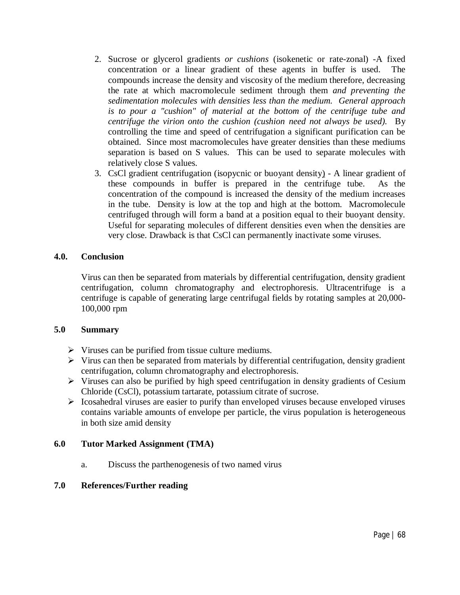- 2. Sucrose or glycerol gradients *or cushions* (isokenetic or rate-zonal) -A fixed concentration or a linear gradient of these agents in buffer is used. The compounds increase the density and viscosity of the medium therefore, decreasing the rate at which macromolecule sediment through them *and preventing the sedimentation molecules with densities less than the medium. General approach is to pour a "cushion" of material at the bottom of the centrifuge tube and centrifuge the virion onto the cushion (cushion need not always be used).* By controlling the time and speed of centrifugation a significant purification can be obtained. Since most macromolecules have greater densities than these mediums separation is based on S values. This can be used to separate molecules with relatively close S values.
- 3. CsCl gradient centrifugation (isopycnic or buoyant density) A linear gradient of these compounds in buffer is prepared in the centrifuge tube. As the concentration of the compound is increased the density of the medium increases in the tube. Density is low at the top and high at the bottom. Macromolecule centrifuged through will form a band at a position equal to their buoyant density. Useful for separating molecules of different densities even when the densities are very close. Drawback is that CsCl can permanently inactivate some viruses.

### **4.0. Conclusion**

Virus can then be separated from materials by differential centrifugation, density gradient centrifugation, column chromatography and electrophoresis. Ultracentrifuge is a centrifuge is capable of generating large centrifugal fields by rotating samples at 20,000- 100,000 rpm

### **5.0 Summary**

- $\triangleright$  Viruses can be purified from tissue culture mediums.
- $\triangleright$  Virus can then be separated from materials by differential centrifugation, density gradient centrifugation, column chromatography and electrophoresis.
- $\triangleright$  Viruses can also be purified by high speed centrifugation in density gradients of Cesium Chloride (CsCl), potassium tartarate, potassium citrate of sucrose.
- $\triangleright$  Icosahedral viruses are easier to purify than enveloped viruses because enveloped viruses contains variable amounts of envelope per particle, the virus population is heterogeneous in both size amid density

## **6.0 Tutor Marked Assignment (TMA)**

a. Discuss the parthenogenesis of two named virus

## **7.0 References/Further reading**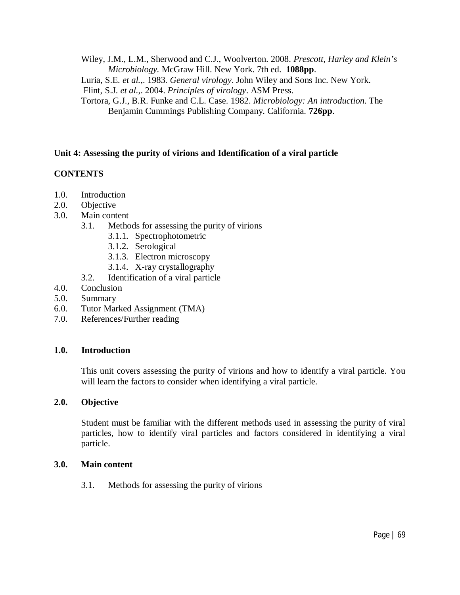Wiley, J.M., L.M., Sherwood and C.J., Woolverton. 2008. *Prescott, Harley and Klein's Microbiology.* McGraw Hill. New York. 7th ed. **1088pp**.

Luria, S.E*. et al.*,. 1983. *General virology*. John Wiley and Sons Inc. New York.

Flint, S.J. *et al.*,. 2004. *Principles of virology*. ASM Press.

Tortora, G.J., B.R. Funke and C.L. Case. 1982. *Microbiology: An introduction*. The Benjamin Cummings Publishing Company. California. **726pp**.

# **Unit 4: Assessing the purity of virions and Identification of a viral particle**

# **CONTENTS**

- 1.0. Introduction
- 2.0. Objective
- 3.0. Main content
	- 3.1. Methods for assessing the purity of virions
		- 3.1.1. Spectrophotometric
		- 3.1.2. Serological
		- 3.1.3. Electron microscopy
		- 3.1.4. X-ray crystallography
	- 3.2. Identification of a viral particle
- 4.0. Conclusion
- 5.0. Summary
- 6.0. Tutor Marked Assignment (TMA)
- 7.0. References/Further reading

## **1.0. Introduction**

This unit covers assessing the purity of virions and how to identify a viral particle. You will learn the factors to consider when identifying a viral particle.

### **2.0. Objective**

Student must be familiar with the different methods used in assessing the purity of viral particles, how to identify viral particles and factors considered in identifying a viral particle.

### **3.0. Main content**

3.1. Methods for assessing the purity of virions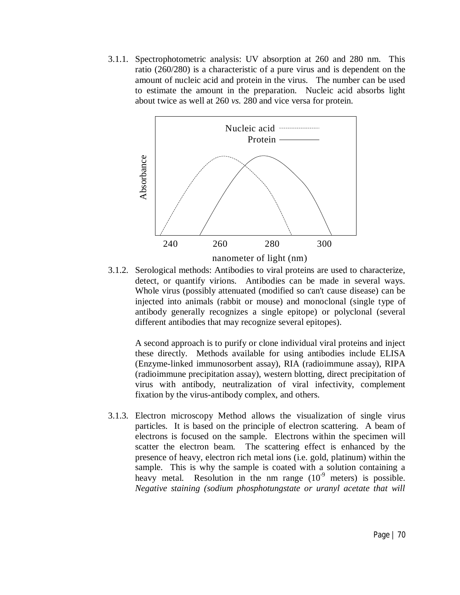3.1.1. Spectrophotometric analysis: UV absorption at 260 and 280 nm. This ratio (260/280) is a characteristic of a pure virus and is dependent on the amount of nucleic acid and protein in the virus. The number can be used to estimate the amount in the preparation. Nucleic acid absorbs light about twice as well at 260 *vs.* 280 and vice versa for protein.



3.1.2. Serological methods: Antibodies to viral proteins are used to characterize, detect, or quantify virions. Antibodies can be made in several ways. Whole virus (possibly attenuated (modified so can't cause disease) can be injected into animals (rabbit or mouse) and monoclonal (single type of antibody generally recognizes a single epitope) or polyclonal (several different antibodies that may recognize several epitopes).

A second approach is to purify or clone individual viral proteins and inject these directly.Methods available for using antibodies include ELISA (Enzyme-linked immunosorbent assay), RIA (radioimmune assay), RIPA (radioimmune precipitation assay), western blotting, direct precipitation of virus with antibody, neutralization of viral infectivity, complement fixation by the virus-antibody complex, and others.

3.1.3. Electron microscopy Method allows the visualization of single virus particles. It is based on the principle of electron scattering. A beam of electrons is focused on the sample. Electrons within the specimen will scatter the electron beam. The scattering effect is enhanced by the presence of heavy, electron rich metal ions (i.e. gold, platinum) within the sample. This is why the sample is coated with a solution containing a heavy metal. Resolution in the nm range  $(10<sup>-9</sup>$  meters) is possible. *Negative staining (sodium phosphotungstate or uranyl acetate that will*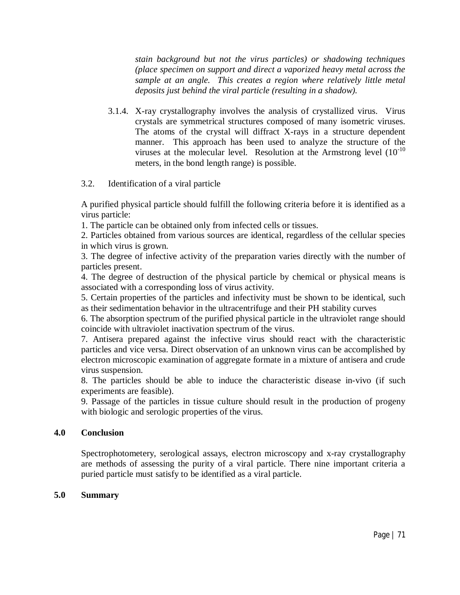*stain background but not the virus particles) or shadowing techniques (place specimen on support and direct a vaporized heavy metal across the sample at an angle. This creates a region where relatively little metal deposits just behind the viral particle (resulting in a shadow).*

3.1.4. X-ray crystallography involves the analysis of crystallized virus. Virus crystals are symmetrical structures composed of many isometric viruses. The atoms of the crystal will diffract X-rays in a structure dependent manner. This approach has been used to analyze the structure of the viruses at the molecular level. Resolution at the Armstrong level  $(10^{-10}$ meters, in the bond length range) is possible.

### 3.2. Identification of a viral particle

A purified physical particle should fulfill the following criteria before it is identified as a virus particle:

1. The particle can be obtained only from infected cells or tissues.

2. Particles obtained from various sources are identical, regardless of the cellular species in which virus is grown.

3. The degree of infective activity of the preparation varies directly with the number of particles present.

4. The degree of destruction of the physical particle by chemical or physical means is associated with a corresponding loss of virus activity.

5. Certain properties of the particles and infectivity must be shown to be identical, such as their sedimentation behavior in the ultracentrifuge and their PH stability curves

6. The absorption spectrum of the purified physical particle in the ultraviolet range should coincide with ultraviolet inactivation spectrum of the virus.

7. Antisera prepared against the infective virus should react with the characteristic particles and vice versa. Direct observation of an unknown virus can be accomplished by electron microscopic examination of aggregate formate in a mixture of antisera and crude virus suspension.

8. The particles should be able to induce the characteristic disease in-vivo (if such experiments are feasible).

9. Passage of the particles in tissue culture should result in the production of progeny with biologic and serologic properties of the virus.

### **4.0 Conclusion**

Spectrophotometery, serological assays, electron microscopy and x-ray crystallography are methods of assessing the purity of a viral particle. There nine important criteria a puried particle must satisfy to be identified as a viral particle.

### **5.0 Summary**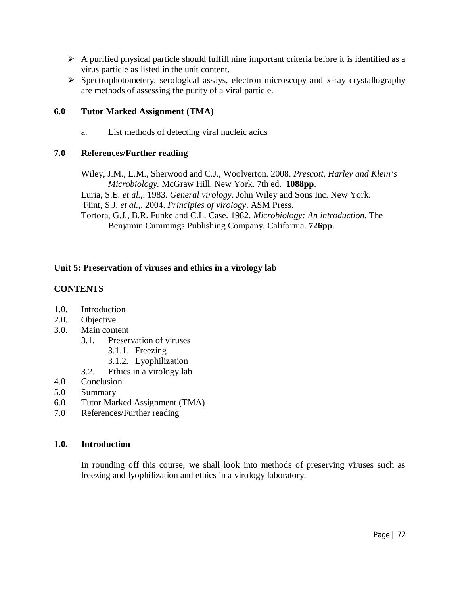- $\triangleright$  A purified physical particle should fulfill nine important criteria before it is identified as a virus particle as listed in the unit content.
- $\triangleright$  Spectrophotometery, serological assays, electron microscopy and x-ray crystallography are methods of assessing the purity of a viral particle.

# **6.0 Tutor Marked Assignment (TMA)**

a. List methods of detecting viral nucleic acids

# **7.0 References/Further reading**

Wiley, J.M., L.M., Sherwood and C.J., Woolverton. 2008. *Prescott, Harley and Klein's Microbiology.* McGraw Hill. New York. 7th ed. **1088pp**.

Luria, S.E*. et al.*,. 1983. *General virology*. John Wiley and Sons Inc. New York. Flint, S.J. *et al.*,. 2004. *Principles of virology*. ASM Press.

Tortora, G.J., B.R. Funke and C.L. Case. 1982. *Microbiology: An introduction*. The Benjamin Cummings Publishing Company. California. **726pp**.

# **Unit 5: Preservation of viruses and ethics in a virology lab**

# **CONTENTS**

- 1.0. Introduction<br>2.0. Objective
- Objective
- 3.0. Main content
	- 3.1. Preservation of viruses
		- 3.1.1. Freezing
		- 3.1.2. Lyophilization
	- 3.2. Ethics in a virology lab
- 4.0 Conclusion
- 5.0 Summary
- 6.0 Tutor Marked Assignment (TMA)
- 7.0 References/Further reading

## **1.0. Introduction**

In rounding off this course, we shall look into methods of preserving viruses such as freezing and lyophilization and ethics in a virology laboratory.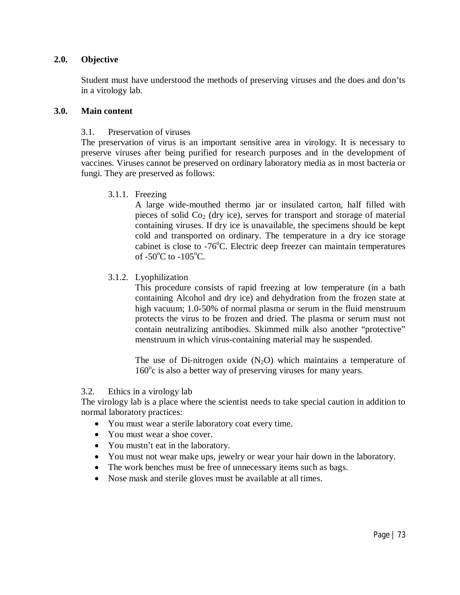#### **2.0. Objective**

Student must have understood the methods of preserving viruses and the does and don'ts in a virology lab.

#### **3.0. Main content**

#### 3.1. Preservation of viruses

The preservation of virus is an important sensitive area in virology. It is necessary to preserve viruses after being purified for research purposes and in the development of vaccines. Viruses cannot be preserved on ordinary laboratory media as in most bacteria or fungi. They are preserved as follows:

3.1.1. Freezing

A large wide-mouthed thermo jar or insulated carton, half filled with pieces of solid  $Co<sub>2</sub>$  (dry ice), serves for transport and storage of material containing viruses. If dry ice is unavailable, the specimens should be kept cold and transported on ordinary. The temperature in a dry ice storage cabinet is close to  $-76^{\circ}$ C. Electric deep freezer can maintain temperatures of  $-50^{\circ}$ C to  $-105^{\circ}$ C.

#### 3.1.2. Lyophilization

This procedure consists of rapid freezing at low temperature (in a bath containing Alcohol and dry ice) and dehydration from the frozen state at high vacuum; 1.0-50% of normal plasma or serum in the fluid menstruum protects the virus to be frozen and dried. The plasma or serum must not contain neutralizing antibodies. Skimmed milk also another "protective" menstruum in which virus-containing material may he suspended.

The use of Di-nitrogen oxide  $(N_2O)$  which maintains a temperature of 160°c is also a better way of preserving viruses for many years.

3.2. Ethics in a virology lab

The virology lab is a place where the scientist needs to take special caution in addition to normal laboratory practices:

- You must wear a sterile laboratory coat every time.
- You must wear a shoe cover.
- You mustn't eat in the laboratory.
- You must not wear make ups, jewelry or wear your hair down in the laboratory.
- The work benches must be free of unnecessary items such as bags.
- Nose mask and sterile gloves must be available at all times.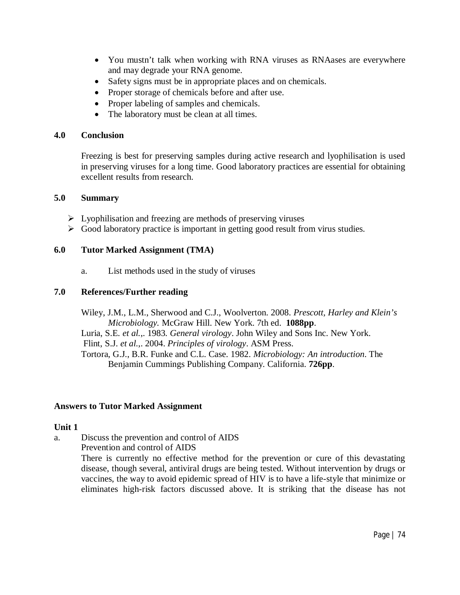- You mustn't talk when working with RNA viruses as RNAases are everywhere and may degrade your RNA genome.
- Safety signs must be in appropriate places and on chemicals.
- Proper storage of chemicals before and after use.
- Proper labeling of samples and chemicals.
- The laboratory must be clean at all times.

#### **4.0 Conclusion**

Freezing is best for preserving samples during active research and lyophilisation is used in preserving viruses for a long time. Good laboratory practices are essential for obtaining excellent results from research.

#### **5.0 Summary**

- $\triangleright$  Lyophilisation and freezing are methods of preserving viruses
- $\triangleright$  Good laboratory practice is important in getting good result from virus studies.

# **6.0 Tutor Marked Assignment (TMA)**

a. List methods used in the study of viruses

## **7.0 References/Further reading**

Wiley, J.M., L.M., Sherwood and C.J., Woolverton. 2008. *Prescott, Harley and Klein's Microbiology.* McGraw Hill. New York. 7th ed. **1088pp**. Luria, S.E*. et al.*,. 1983. *General virology*. John Wiley and Sons Inc. New York.

Flint, S.J. *et al.*,. 2004. *Principles of virology*. ASM Press.

Tortora, G.J., B.R. Funke and C.L. Case. 1982. *Microbiology: An introduction*. The Benjamin Cummings Publishing Company. California. **726pp**.

## **Answers to Tutor Marked Assignment**

## **Unit 1**

a. Discuss the prevention and control of AIDS

Prevention and control of AIDS

There is currently no effective method for the prevention or cure of this devastating disease, though several, antiviral drugs are being tested. Without intervention by drugs or vaccines, the way to avoid epidemic spread of HIV is to have a life-style that minimize or eliminates high-risk factors discussed above. It is striking that the disease has not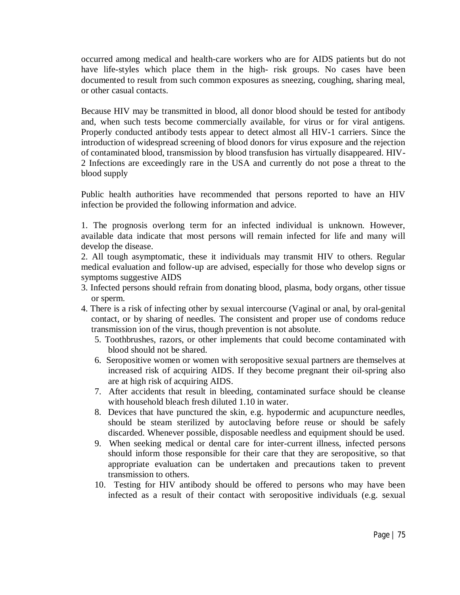occurred among medical and health-care workers who are for AIDS patients but do not have life-styles which place them in the high- risk groups. No cases have been documented to result from such common exposures as sneezing, coughing, sharing meal, or other casual contacts.

Because HIV may be transmitted in blood, all donor blood should be tested for antibody and, when such tests become commercially available, for virus or for viral antigens. Properly conducted antibody tests appear to detect almost all HIV-1 carriers. Since the introduction of widespread screening of blood donors for virus exposure and the rejection of contaminated blood, transmission by blood transfusion has virtually disappeared. HIV-2 Infections are exceedingly rare in the USA and currently do not pose a threat to the blood supply

Public health authorities have recommended that persons reported to have an HIV infection be provided the following information and advice.

1. The prognosis overlong term for an infected individual is unknown. However, available data indicate that most persons will remain infected for life and many will develop the disease.

2. All tough asymptomatic, these it individuals may transmit HIV to others. Regular medical evaluation and follow-up are advised, especially for those who develop signs or symptoms suggestive AIDS

- 3. Infected persons should refrain from donating blood, plasma, body organs, other tissue or sperm.
- 4. There is a risk of infecting other by sexual intercourse (Vaginal or anal, by oral-genital contact, or by sharing of needles. The consistent and proper use of condoms reduce transmission ion of the virus, though prevention is not absolute.
	- 5. Toothbrushes, razors, or other implements that could become contaminated with blood should not be shared.
	- 6. Seropositive women or women with seropositive sexual partners are themselves at increased risk of acquiring AIDS. If they become pregnant their oil-spring also are at high risk of acquiring AIDS.
	- 7. After accidents that result in bleeding, contaminated surface should be cleanse with household bleach fresh diluted 1.10 in water.
	- 8. Devices that have punctured the skin, e.g. hypodermic and acupuncture needles, should be steam sterilized by autoclaving before reuse or should be safely discarded. Whenever possible, disposable needless and equipment should be used.
	- 9. When seeking medical or dental care for inter-current illness, infected persons should inform those responsible for their care that they are seropositive, so that appropriate evaluation can be undertaken and precautions taken to prevent transmission to others.
	- 10. Testing for HIV antibody should be offered to persons who may have been infected as a result of their contact with seropositive individuals (e.g. sexual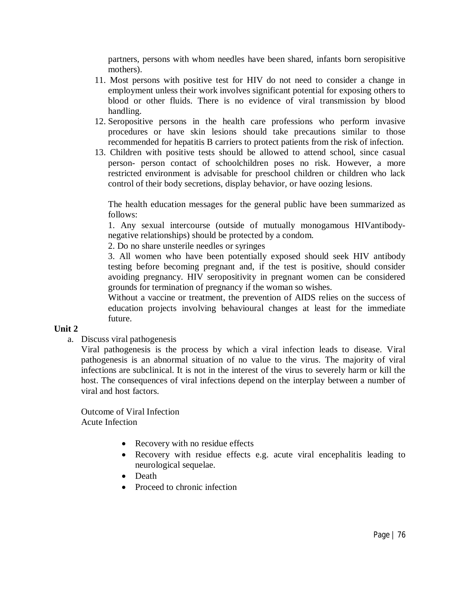partners, persons with whom needles have been shared, infants born seropisitive mothers).

- 11. Most persons with positive test for HIV do not need to consider a change in employment unless their work involves significant potential for exposing others to blood or other fluids. There is no evidence of viral transmission by blood handling.
- 12. Seropositive persons in the health care professions who perform invasive procedures or have skin lesions should take precautions similar to those recommended for hepatitis B carriers to protect patients from the risk of infection.
- 13. Children with positive tests should be allowed to attend school, since casual person- person contact of schoolchildren poses no risk. However, a more restricted environment is advisable for preschool children or children who lack control of their body secretions, display behavior, or have oozing lesions.

The health education messages for the general public have been summarized as follows:

1. Any sexual intercourse (outside of mutually monogamous HIVantibodynegative relationships) should be protected by a condom.

2. Do no share unsterile needles or syringes

3. All women who have been potentially exposed should seek HIV antibody testing before becoming pregnant and, if the test is positive, should consider avoiding pregnancy. HIV seropositivity in pregnant women can be considered grounds for termination of pregnancy if the woman so wishes.

Without a vaccine or treatment, the prevention of AIDS relies on the success of education projects involving behavioural changes at least for the immediate future.

## **Unit 2**

a. Discuss viral pathogenesis

Viral pathogenesis is the process by which a viral infection leads to disease. Viral pathogenesis is an abnormal situation of no value to the virus. The majority of viral infections are subclinical. It is not in the interest of the virus to severely harm or kill the host. The consequences of viral infections depend on the interplay between a number of viral and host factors.

Outcome of Viral Infection Acute Infection

- Recovery with no residue effects
- Recovery with residue effects e.g. acute viral encephalitis leading to neurological sequelae.
- Death
- Proceed to chronic infection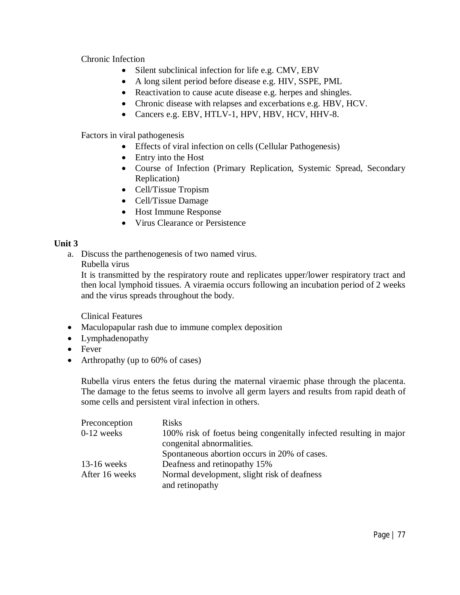Chronic Infection

- Silent subclinical infection for life e.g. CMV, EBV
- A long silent period before disease e.g. HIV, SSPE, PML
- Reactivation to cause acute disease e.g. herpes and shingles.
- Chronic disease with relapses and excerbations e.g. HBV, HCV.
- Cancers e.g. EBV, HTLV-1, HPV, HBV, HCV, HHV-8.

Factors in viral pathogenesis

- Effects of viral infection on cells (Cellular Pathogenesis)
- Entry into the Host
- Course of Infection (Primary Replication, Systemic Spread, Secondary Replication)
- Cell/Tissue Tropism
- Cell/Tissue Damage
- Host Immune Response
- Virus Clearance or Persistence

## **Unit 3**

a. Discuss the parthenogenesis of two named virus.

Rubella virus

It is transmitted by the respiratory route and replicates upper/lower respiratory tract and then local lymphoid tissues. A viraemia occurs following an incubation period of 2 weeks and the virus spreads throughout the body.

Clinical Features

- Maculopapular rash due to immune complex deposition
- Lymphadenopathy
- Fever
- Arthropathy (up to 60% of cases)

Rubella virus enters the fetus during the maternal viraemic phase through the placenta. The damage to the fetus seems to involve all germ layers and results from rapid death of some cells and persistent viral infection in others.

| Preconception  | <b>Risks</b>                                                       |
|----------------|--------------------------------------------------------------------|
| $0-12$ weeks   | 100% risk of foetus being congenitally infected resulting in major |
|                | congenital abnormalities.                                          |
|                | Spontaneous abortion occurs in 20% of cases.                       |
| $13-16$ weeks  | Deafness and retinopathy 15%                                       |
| After 16 weeks | Normal development, slight risk of deafness                        |
|                | and retinopathy                                                    |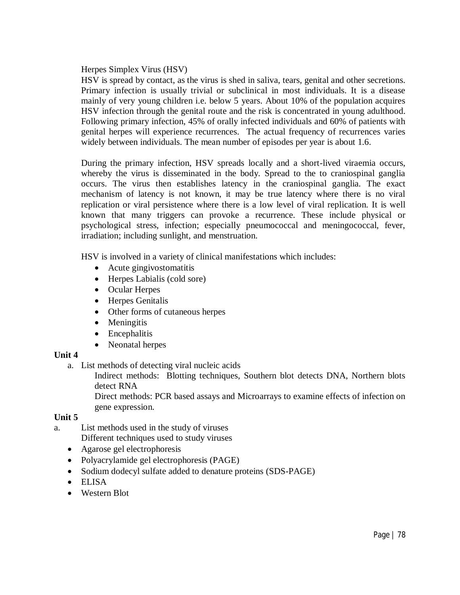Herpes Simplex Virus (HSV)

HSV is spread by contact, as the virus is shed in saliva, tears, genital and other secretions. Primary infection is usually trivial or subclinical in most individuals. It is a disease mainly of very young children i.e. below 5 years. About 10% of the population acquires HSV infection through the genital route and the risk is concentrated in young adulthood. Following primary infection, 45% of orally infected individuals and 60% of patients with genital herpes will experience recurrences. The actual frequency of recurrences varies widely between individuals. The mean number of episodes per year is about 1.6.

During the primary infection, HSV spreads locally and a short-lived viraemia occurs, whereby the virus is disseminated in the body. Spread to the to craniospinal ganglia occurs. The virus then establishes latency in the craniospinal ganglia. The exact mechanism of latency is not known, it may be true latency where there is no viral replication or viral persistence where there is a low level of viral replication. It is well known that many triggers can provoke a recurrence. These include physical or psychological stress, infection; especially pneumococcal and meningococcal, fever, irradiation; including sunlight, and menstruation.

HSV is involved in a variety of clinical manifestations which includes:

- Acute gingivostomatitis
- Herpes Labialis (cold sore)
- Ocular Herpes
- Herpes Genitalis
- Other forms of cutaneous herpes
- Meningitis
- Encephalitis
- Neonatal herpes

## **Unit 4**

a. List methods of detecting viral nucleic acids

Indirect methods: Blotting techniques, Southern blot detects DNA, Northern blots detect RNA

Direct methods: PCR based assays and Microarrays to examine effects of infection on gene expression.

## **Unit 5**

- a. List methods used in the study of viruses Different techniques used to study viruses
	- Agarose gel electrophoresis
	- Polyacrylamide gel electrophoresis (PAGE)
	- Sodium dodecyl sulfate added to denature proteins (SDS-PAGE)
	- ELISA
	- Western Blot